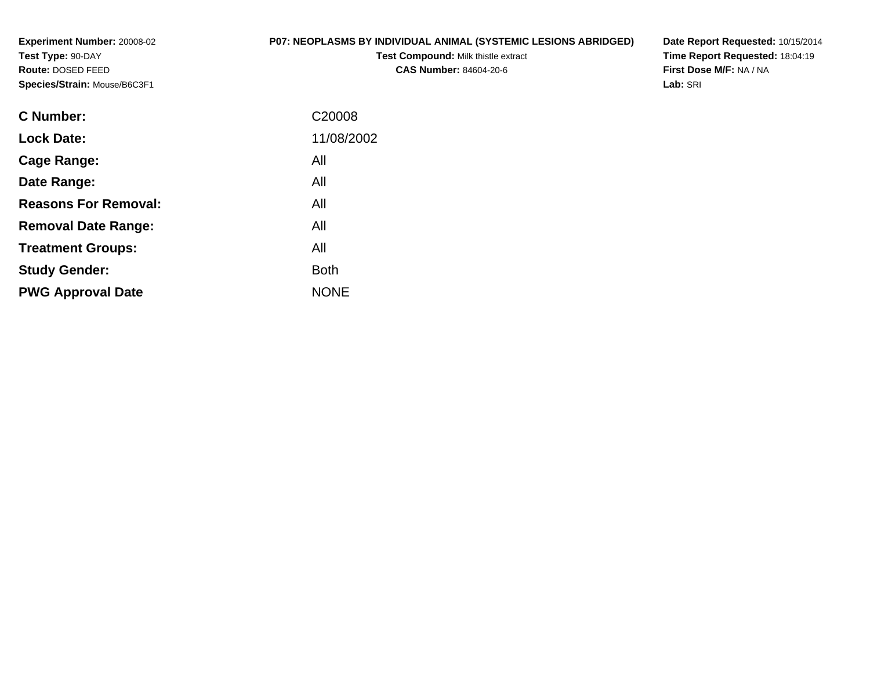**Experiment Number:** 20008-02**Test Type:** 90-DAY **Route:** DOSED FEED**Species/Strain:** Mouse/B6C3F1

## **P07: NEOPLASMS BY INDIVIDUAL ANIMAL (SYSTEMIC LESIONS ABRIDGED)**

**Test Compound:** Milk thistle extract**CAS Number:** 84604-20-6

**Date Report Requested:** 10/15/2014**Time Report Requested:** 18:04:19**First Dose M/F:** NA / NA**Lab:** SRI

| C <sub>20008</sub> |
|--------------------|
| 11/08/2002         |
| All                |
| All                |
| All                |
| All                |
| All                |
| <b>Both</b>        |
| <b>NONE</b>        |
|                    |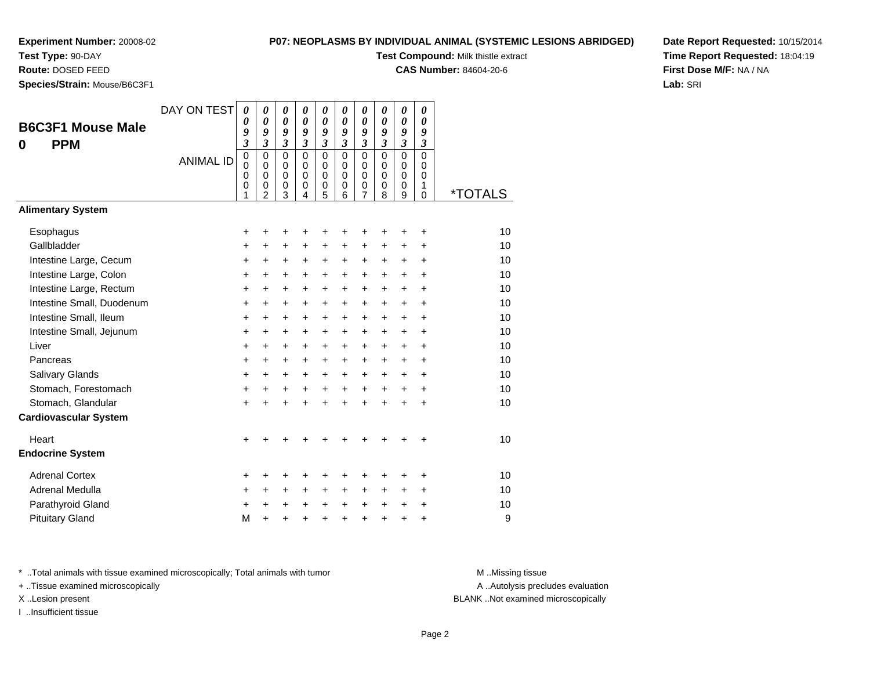# **Test Type:** 90-DAY

**Route:** DOSED FEED

**Species/Strain:** Mouse/B6C3F1

#### **P07: NEOPLASMS BY INDIVIDUAL ANIMAL (SYSTEMIC LESIONS ABRIDGED)**

**Test Compound:** Milk thistle extract

**CAS Number:** 84604-20-6

**Date Report Requested:** 10/15/2014**Time Report Requested:** 18:04:19**First Dose M/F:** NA / NA**Lab:** SRI

| <b>B6C3F1 Mouse Male</b><br><b>PPM</b><br>0 | DAY ON TEST<br><b>ANIMAL ID</b> | 0<br>0<br>9<br>$\overline{\mathbf{3}}$<br>$\overline{0}$<br>0<br>$\mathbf 0$<br>0<br>1 | $\boldsymbol{\theta}$<br>$\boldsymbol{\theta}$<br>9<br>$\overline{\mathbf{3}}$<br>$\mathbf 0$<br>$\mathbf 0$<br>$\mathbf 0$<br>$\mathbf 0$<br>2 | $\boldsymbol{\theta}$<br>$\boldsymbol{\theta}$<br>9<br>$\mathfrak{z}$<br>$\mathbf 0$<br>0<br>$\pmb{0}$<br>$\mathbf 0$<br>3 | 0<br>$\boldsymbol{\theta}$<br>9<br>$\mathfrak{z}$<br>$\mathbf 0$<br>$\mathbf 0$<br>$\Omega$<br>0<br>4 | 0<br>0<br>9<br>$\mathfrak{z}$<br>$\mathbf 0$<br>0<br>$\mathbf 0$<br>0<br>5 | 0<br>$\boldsymbol{\theta}$<br>$\boldsymbol{g}$<br>$\mathfrak{z}$<br>$\mathbf 0$<br>$\Omega$<br>$\Omega$<br>0<br>6 | $\boldsymbol{\theta}$<br>$\boldsymbol{\theta}$<br>9<br>$\mathfrak{z}$<br>$\mathbf 0$<br>$\mathbf 0$<br>$\mathbf 0$<br>0<br>7 | 0<br>0<br>9<br>$\overline{\mathbf{3}}$<br>$\mathbf 0$<br>0<br>$\Omega$<br>0<br>8 | 0<br>0<br>9<br>$\overline{\mathbf{3}}$<br>$\overline{0}$<br>0<br>$\mathbf 0$<br>0<br>9 | 0<br>0<br>9<br>$\mathfrak{z}$<br>$\overline{0}$<br>0<br>$\Omega$<br>1<br>0 | <i><b>*TOTALS</b></i> |
|---------------------------------------------|---------------------------------|----------------------------------------------------------------------------------------|-------------------------------------------------------------------------------------------------------------------------------------------------|----------------------------------------------------------------------------------------------------------------------------|-------------------------------------------------------------------------------------------------------|----------------------------------------------------------------------------|-------------------------------------------------------------------------------------------------------------------|------------------------------------------------------------------------------------------------------------------------------|----------------------------------------------------------------------------------|----------------------------------------------------------------------------------------|----------------------------------------------------------------------------|-----------------------|
| <b>Alimentary System</b>                    |                                 |                                                                                        |                                                                                                                                                 |                                                                                                                            |                                                                                                       |                                                                            |                                                                                                                   |                                                                                                                              |                                                                                  |                                                                                        |                                                                            |                       |
| Esophagus                                   |                                 | +                                                                                      | +                                                                                                                                               | +                                                                                                                          | ٠                                                                                                     | +                                                                          | +                                                                                                                 | +                                                                                                                            | ÷                                                                                | ÷                                                                                      | +                                                                          | 10                    |
| Gallbladder                                 |                                 | +                                                                                      | $\ddot{}$                                                                                                                                       | $\ddot{}$                                                                                                                  | $\ddot{}$                                                                                             | $\ddot{}$                                                                  | $\ddot{}$                                                                                                         | $\ddot{}$                                                                                                                    | $\ddot{}$                                                                        | $\ddot{}$                                                                              | $\ddot{}$                                                                  | 10                    |
| Intestine Large, Cecum                      |                                 | +                                                                                      | +                                                                                                                                               | +                                                                                                                          | +                                                                                                     | +                                                                          | +                                                                                                                 | +                                                                                                                            | $\pm$                                                                            | +                                                                                      | +                                                                          | 10                    |
| Intestine Large, Colon                      |                                 | +                                                                                      | +                                                                                                                                               | +                                                                                                                          | +                                                                                                     | +                                                                          | +                                                                                                                 | +                                                                                                                            | +                                                                                | +                                                                                      | +                                                                          | 10                    |
| Intestine Large, Rectum                     |                                 | +                                                                                      | +                                                                                                                                               | +                                                                                                                          | +                                                                                                     | +                                                                          | +                                                                                                                 | +                                                                                                                            | +                                                                                | +                                                                                      | +                                                                          | 10                    |
| Intestine Small, Duodenum                   |                                 | +                                                                                      | $\ddot{}$                                                                                                                                       | $\ddot{}$                                                                                                                  | $\ddot{}$                                                                                             | $\ddot{}$                                                                  | +                                                                                                                 | $\ddot{}$                                                                                                                    | +                                                                                | +                                                                                      | $\ddot{}$                                                                  | 10                    |
| Intestine Small, Ileum                      |                                 | +                                                                                      | +                                                                                                                                               | $\ddot{}$                                                                                                                  | $\ddot{}$                                                                                             | $\ddot{}$                                                                  | $\ddot{}$                                                                                                         | $\ddot{}$                                                                                                                    | $\ddot{}$                                                                        | $\ddot{}$                                                                              | $\ddot{}$                                                                  | 10                    |
| Intestine Small, Jejunum                    |                                 | $\ddot{}$                                                                              | $\ddot{}$                                                                                                                                       | $\ddot{}$                                                                                                                  | $\ddot{}$                                                                                             | $\ddot{}$                                                                  | $\ddot{}$                                                                                                         | $\ddot{}$                                                                                                                    | $\ddot{}$                                                                        | $\ddot{}$                                                                              | $\ddot{}$                                                                  | 10                    |
| Liver                                       |                                 | $\ddot{}$                                                                              | $\ddot{}$                                                                                                                                       | $\ddot{}$                                                                                                                  | $\ddot{}$                                                                                             | $\ddot{}$                                                                  | $\ddot{}$                                                                                                         | $\ddot{}$                                                                                                                    | $\ddot{}$                                                                        | $\ddot{}$                                                                              | $\ddot{}$                                                                  | 10                    |
| Pancreas                                    |                                 | $\ddot{}$                                                                              | $\ddot{}$                                                                                                                                       | $\ddot{}$                                                                                                                  | $\ddot{}$                                                                                             | $\ddot{}$                                                                  | $\ddot{}$                                                                                                         | $\ddot{}$                                                                                                                    | $\ddot{}$                                                                        | $\ddot{}$                                                                              | $\ddot{}$                                                                  | 10                    |
| Salivary Glands                             |                                 | +                                                                                      | +                                                                                                                                               | $\ddot{}$                                                                                                                  | $\ddot{}$                                                                                             | +                                                                          | +                                                                                                                 | +                                                                                                                            | +                                                                                | +                                                                                      | +                                                                          | 10                    |
| Stomach, Forestomach                        |                                 | +                                                                                      | +                                                                                                                                               | +                                                                                                                          | +                                                                                                     | +                                                                          | $\ddot{}$                                                                                                         | $\ddot{}$                                                                                                                    | $\ddot{}$                                                                        | $\ddot{}$                                                                              | +                                                                          | 10                    |
| Stomach, Glandular                          |                                 | $\ddot{}$                                                                              | $\ddot{}$                                                                                                                                       | $\ddot{}$                                                                                                                  | ÷                                                                                                     | $\ddot{}$                                                                  | $\ddot{}$                                                                                                         | $\ddot{}$                                                                                                                    | ÷                                                                                | $\ddot{}$                                                                              | $\ddot{}$                                                                  | 10                    |
| <b>Cardiovascular System</b>                |                                 |                                                                                        |                                                                                                                                                 |                                                                                                                            |                                                                                                       |                                                                            |                                                                                                                   |                                                                                                                              |                                                                                  |                                                                                        |                                                                            |                       |
| Heart                                       |                                 | $\ddot{}$                                                                              |                                                                                                                                                 |                                                                                                                            |                                                                                                       |                                                                            |                                                                                                                   |                                                                                                                              |                                                                                  |                                                                                        | ÷                                                                          | 10                    |
| <b>Endocrine System</b>                     |                                 |                                                                                        |                                                                                                                                                 |                                                                                                                            |                                                                                                       |                                                                            |                                                                                                                   |                                                                                                                              |                                                                                  |                                                                                        |                                                                            |                       |
| <b>Adrenal Cortex</b>                       |                                 | +                                                                                      | +                                                                                                                                               | +                                                                                                                          | +                                                                                                     | +                                                                          | +                                                                                                                 | +                                                                                                                            |                                                                                  | +                                                                                      | +                                                                          | 10                    |
| Adrenal Medulla                             |                                 | +                                                                                      | +                                                                                                                                               | $\ddot{}$                                                                                                                  | $\ddot{}$                                                                                             | +                                                                          | +                                                                                                                 | +                                                                                                                            | $\ddot{}$                                                                        | +                                                                                      | +                                                                          | 10                    |
| Parathyroid Gland                           |                                 | $\ddot{}$                                                                              | $\ddot{}$                                                                                                                                       | $\ddot{}$                                                                                                                  | $\ddot{}$                                                                                             | $\ddot{}$                                                                  | $\ddot{}$                                                                                                         | $\ddot{}$                                                                                                                    | $\ddot{}$                                                                        | $\ddot{}$                                                                              | $\ddot{}$                                                                  | 10                    |
| <b>Pituitary Gland</b>                      |                                 | M                                                                                      | $\ddot{}$                                                                                                                                       | $\ddot{}$                                                                                                                  | $\ddot{}$                                                                                             | $\ddot{}$                                                                  | $\ddot{}$                                                                                                         | $\ddot{}$                                                                                                                    | $\ddot{}$                                                                        | $\ddot{}$                                                                              | $\ddot{}$                                                                  | 9                     |

\* ..Total animals with tissue examined microscopically; Total animals with tumor **M** . Missing tissue M ..Missing tissue

+ ..Tissue examined microscopically

I ..Insufficient tissue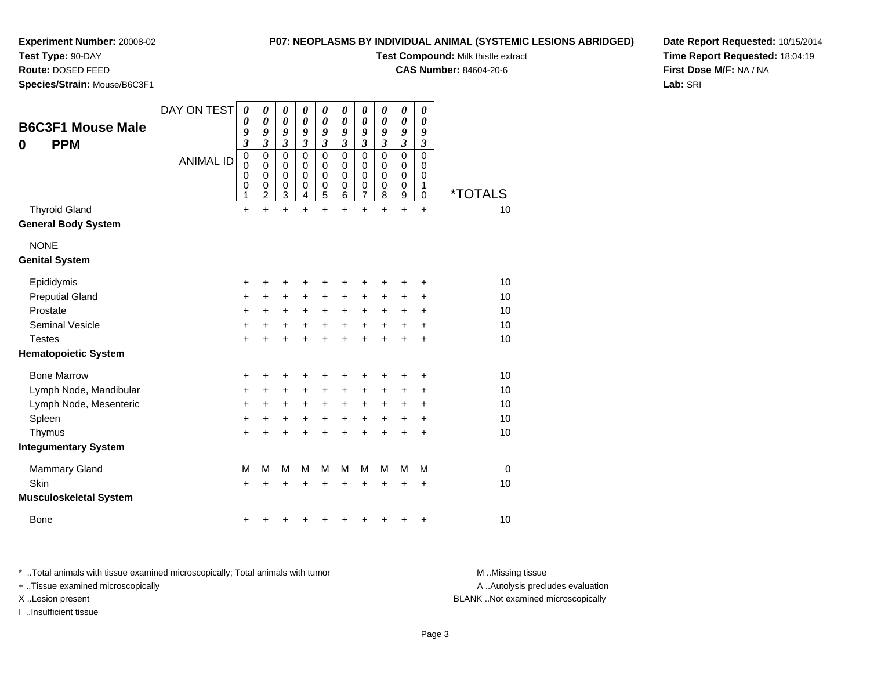# **Test Type:** 90-DAY

**Route:** DOSED FEED

**Species/Strain:** Mouse/B6C3F1

#### **P07: NEOPLASMS BY INDIVIDUAL ANIMAL (SYSTEMIC LESIONS ABRIDGED)**

**Test Compound:** Milk thistle extract

**CAS Number:** 84604-20-6

**Date Report Requested:** 10/15/2014**Time Report Requested:** 18:04:19**First Dose M/F:** NA / NA**Lab:** SRI

| <b>B6C3F1 Mouse Male</b><br><b>PPM</b><br>0 | DAY ON TEST<br><b>ANIMAL ID</b> | 0<br>0<br>9<br>$\overline{\mathbf{3}}$<br>$\mathbf 0$ | 0<br>0<br>9<br>$\overline{\mathbf{3}}$<br>$\mathbf 0$ | 0<br>$\boldsymbol{\theta}$<br>9<br>$\mathfrak{z}$<br>$\mathbf 0$ | 0<br>0<br>9<br>$\mathfrak{z}$<br>$\mathbf 0$ | 0<br>0<br>9<br>$\mathfrak{z}$<br>$\mathbf 0$ | 0<br>0<br>9<br>3<br>$\mathbf 0$ | 0<br>0<br>9<br>3<br>$\mathbf 0$ | 0<br>$\boldsymbol{\theta}$<br>9<br>3<br>$\mathbf 0$ | 0<br>0<br>9<br>$\overline{\mathbf{3}}$<br>$\mathbf 0$         | 0<br>0<br>9<br>3<br>0 |                       |
|---------------------------------------------|---------------------------------|-------------------------------------------------------|-------------------------------------------------------|------------------------------------------------------------------|----------------------------------------------|----------------------------------------------|---------------------------------|---------------------------------|-----------------------------------------------------|---------------------------------------------------------------|-----------------------|-----------------------|
|                                             |                                 | $\mathbf 0$<br>$\mathbf 0$<br>0<br>1                  | 0<br>$\mathbf 0$<br>0<br>2                            | 0<br>$\mathbf 0$<br>$\boldsymbol{0}$<br>3                        | $\mathbf 0$<br>$\pmb{0}$<br>0<br>4           | 0<br>$\mathbf 0$<br>$\boldsymbol{0}$<br>5    | 0<br>0<br>0<br>6                | 0<br>0<br>$\boldsymbol{0}$<br>7 | 0<br>$\mathbf 0$<br>0<br>8                          | $\mathbf 0$<br>$\mathbf 0$<br>$\boldsymbol{0}$<br>$\mathsf g$ | 0<br>0<br>1<br>0      | <i><b>*TOTALS</b></i> |
| <b>Thyroid Gland</b>                        |                                 | $\ddot{}$                                             | $\ddot{}$                                             | $\ddot{}$                                                        | $\ddot{}$                                    | $\ddot{}$                                    | $\ddot{}$                       | $\ddot{}$                       | $\ddot{}$                                           | $\ddot{}$                                                     | $\ddot{}$             | 10                    |
| <b>General Body System</b>                  |                                 |                                                       |                                                       |                                                                  |                                              |                                              |                                 |                                 |                                                     |                                                               |                       |                       |
| <b>NONE</b>                                 |                                 |                                                       |                                                       |                                                                  |                                              |                                              |                                 |                                 |                                                     |                                                               |                       |                       |
| <b>Genital System</b>                       |                                 |                                                       |                                                       |                                                                  |                                              |                                              |                                 |                                 |                                                     |                                                               |                       |                       |
| Epididymis                                  |                                 | +                                                     |                                                       | +                                                                | +                                            | +                                            | +                               | +                               | ٠                                                   | +                                                             | +                     | 10                    |
| <b>Preputial Gland</b>                      |                                 | +                                                     | +                                                     | +                                                                | +                                            | +                                            | +                               | +                               | +                                                   | +                                                             | +                     | 10                    |
| Prostate                                    |                                 | $\ddot{}$                                             | +                                                     | $\ddot{}$                                                        | $\ddot{}$                                    | $\ddot{}$                                    | $\ddot{}$                       | $\ddot{}$                       | $\ddot{}$                                           | $\ddot{}$                                                     | $\ddot{}$             | 10                    |
| <b>Seminal Vesicle</b>                      |                                 | +                                                     | +                                                     | +                                                                | +                                            | $\ddot{}$                                    | +                               | +                               | +                                                   | +                                                             | +                     | 10                    |
| <b>Testes</b>                               |                                 | +                                                     |                                                       | +                                                                | +                                            | +                                            | +                               | $\ddot{}$                       | $\div$                                              | +                                                             | +                     | 10                    |
| <b>Hematopoietic System</b>                 |                                 |                                                       |                                                       |                                                                  |                                              |                                              |                                 |                                 |                                                     |                                                               |                       |                       |
| <b>Bone Marrow</b>                          |                                 | +                                                     | +                                                     | +                                                                |                                              | +                                            | +                               | +                               |                                                     | +                                                             | +                     | 10                    |
| Lymph Node, Mandibular                      |                                 | +                                                     | +                                                     | $\ddot{}$                                                        | $\ddot{}$                                    | $\ddot{}$                                    | +                               | +                               | $\ddot{}$                                           | +                                                             | +                     | 10                    |
| Lymph Node, Mesenteric                      |                                 | +                                                     | +                                                     | $\ddot{}$                                                        | +                                            | $\ddot{}$                                    | +                               | +                               | +                                                   | +                                                             | +                     | 10                    |
| Spleen                                      |                                 | +                                                     | +                                                     | +                                                                | +                                            | $\ddot{}$                                    | $\ddot{}$                       | +                               | $\ddot{}$                                           | +                                                             | $\ddot{}$             | 10                    |
| Thymus                                      |                                 | +                                                     |                                                       |                                                                  |                                              | +                                            | +                               | $\ddot{}$                       | $\ddot{}$                                           | $\ddot{}$                                                     | +                     | 10                    |
| <b>Integumentary System</b>                 |                                 |                                                       |                                                       |                                                                  |                                              |                                              |                                 |                                 |                                                     |                                                               |                       |                       |
| <b>Mammary Gland</b>                        |                                 | M                                                     | M                                                     | M                                                                | M                                            | M                                            | M                               | М                               | M                                                   | M                                                             | M                     | $\mathbf 0$           |
| Skin                                        |                                 | +                                                     |                                                       | +                                                                |                                              | +                                            | +                               | +                               |                                                     | +                                                             | +                     | 10                    |
| <b>Musculoskeletal System</b>               |                                 |                                                       |                                                       |                                                                  |                                              |                                              |                                 |                                 |                                                     |                                                               |                       |                       |
| <b>Bone</b>                                 |                                 | +                                                     |                                                       |                                                                  |                                              |                                              | ٠                               | +                               |                                                     | +                                                             | +                     | 10                    |

\* ..Total animals with tissue examined microscopically; Total animals with tumor **M** . Missing tissue M ..Missing tissue

+ ..Tissue examined microscopically

I ..Insufficient tissue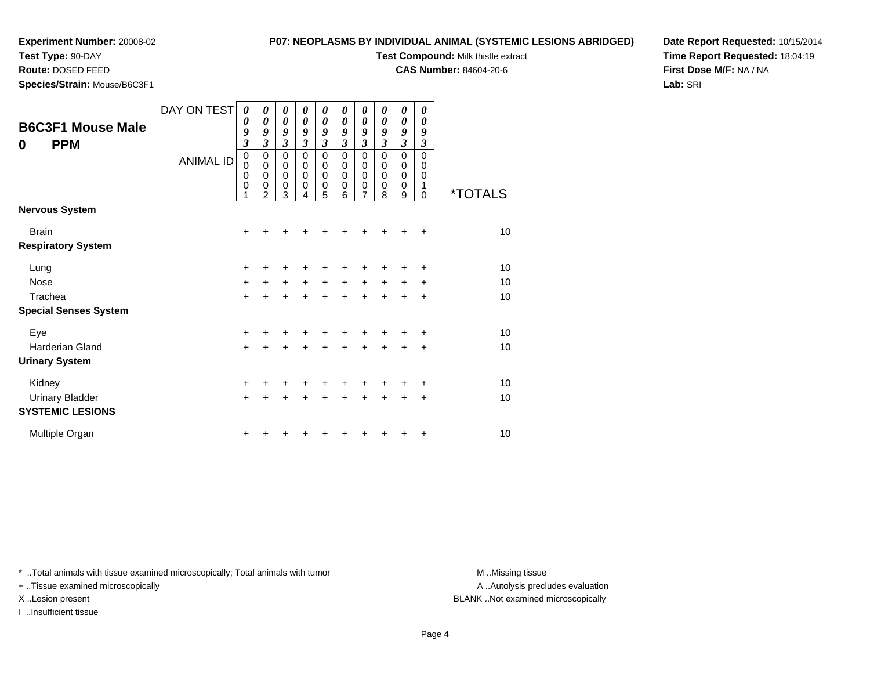**Test Type:** 90-DAY

**Route:** DOSED FEED

**Species/Strain:** Mouse/B6C3F1

#### **P07: NEOPLASMS BY INDIVIDUAL ANIMAL (SYSTEMIC LESIONS ABRIDGED)**

**Test Compound:** Milk thistle extract

**CAS Number:** 84604-20-6

**Date Report Requested:** 10/15/2014**Time Report Requested:** 18:04:19**First Dose M/F:** NA / NA**Lab:** SRI

| <b>B6C3F1 Mouse Male</b><br><b>PPM</b><br>$\bf{0}$ | DAY ON TEST<br><b>ANIMAL ID</b> | $\boldsymbol{\theta}$<br>$\boldsymbol{\theta}$<br>9<br>$\boldsymbol{\beta}$<br>$\pmb{0}$<br>0<br>$\mathbf 0$<br>$\mathbf 0$<br>1 | 0<br>$\boldsymbol{\theta}$<br>9<br>$\mathfrak{z}$<br>0<br>$\mathbf 0$<br>$\mathbf 0$<br>$\pmb{0}$<br>$\mathcal{P}$ | 0<br>$\boldsymbol{\theta}$<br>9<br>$\mathfrak{z}$<br>$\mathbf 0$<br>$\mathbf 0$<br>$\mathbf 0$<br>0<br>3 | 0<br>$\boldsymbol{\theta}$<br>9<br>$\mathfrak{z}$<br>$\pmb{0}$<br>$\pmb{0}$<br>$\mathbf 0$<br>0<br>4 | 0<br>0<br>9<br>$\mathfrak{z}$<br>0<br>$\mathbf 0$<br>$\mathbf 0$<br>0<br>5 | 0<br>0<br>9<br>3<br>$\mathbf 0$<br>0<br>$\Omega$<br>0<br>6 | 0<br>0<br>9<br>$\mathfrak{z}$<br>$\mathbf 0$<br>0<br>$\pmb{0}$<br>0<br>$\overline{7}$ | 0<br>0<br>9<br>3<br>$\mathbf 0$<br>0<br>$\Omega$<br>0<br>8 | 0<br>$\boldsymbol{\theta}$<br>9<br>$\mathfrak{z}$<br>$\mathbf 0$<br>$\mathbf 0$<br>$\mathbf 0$<br>0<br>9 | 0<br>$\theta$<br>9<br>3<br>$\Omega$<br>0<br>0<br>1<br>0 | <i><b>*TOTALS</b></i> |
|----------------------------------------------------|---------------------------------|----------------------------------------------------------------------------------------------------------------------------------|--------------------------------------------------------------------------------------------------------------------|----------------------------------------------------------------------------------------------------------|------------------------------------------------------------------------------------------------------|----------------------------------------------------------------------------|------------------------------------------------------------|---------------------------------------------------------------------------------------|------------------------------------------------------------|----------------------------------------------------------------------------------------------------------|---------------------------------------------------------|-----------------------|
| <b>Nervous System</b>                              |                                 |                                                                                                                                  |                                                                                                                    |                                                                                                          |                                                                                                      |                                                                            |                                                            |                                                                                       |                                                            |                                                                                                          |                                                         |                       |
| <b>Brain</b><br><b>Respiratory System</b>          |                                 | $\ddot{}$                                                                                                                        | +                                                                                                                  |                                                                                                          |                                                                                                      | +                                                                          | +                                                          | +                                                                                     | +                                                          | +                                                                                                        | $\ddot{}$                                               | 10                    |
| Lung                                               |                                 | $\ddot{}$                                                                                                                        |                                                                                                                    | +                                                                                                        | +                                                                                                    | +                                                                          | +                                                          | +                                                                                     | +                                                          | ٠                                                                                                        | ÷                                                       | 10                    |
| Nose                                               |                                 | $\ddot{}$                                                                                                                        | $\ddot{}$                                                                                                          | $\ddot{}$                                                                                                | $\ddot{}$                                                                                            | $\ddot{}$                                                                  | $\ddot{}$                                                  | $\ddot{}$                                                                             | $\ddot{}$                                                  | $\ddot{}$                                                                                                | $\ddot{}$                                               | 10                    |
| Trachea                                            |                                 | $\ddot{}$                                                                                                                        |                                                                                                                    |                                                                                                          |                                                                                                      | $\ddot{}$                                                                  | $\ddot{}$                                                  | $\ddot{}$                                                                             | $\ddot{}$                                                  | $\ddot{}$                                                                                                | $\ddot{}$                                               | 10                    |
| <b>Special Senses System</b>                       |                                 |                                                                                                                                  |                                                                                                                    |                                                                                                          |                                                                                                      |                                                                            |                                                            |                                                                                       |                                                            |                                                                                                          |                                                         |                       |
| Eye                                                |                                 | $\ddot{}$                                                                                                                        |                                                                                                                    |                                                                                                          |                                                                                                      |                                                                            |                                                            |                                                                                       |                                                            |                                                                                                          | ٠                                                       | 10                    |
| <b>Harderian Gland</b>                             |                                 | $\ddot{}$                                                                                                                        |                                                                                                                    |                                                                                                          | +                                                                                                    | +                                                                          | $\ddot{}$                                                  | $\ddot{}$                                                                             | +                                                          | +                                                                                                        | +                                                       | 10                    |
| <b>Urinary System</b>                              |                                 |                                                                                                                                  |                                                                                                                    |                                                                                                          |                                                                                                      |                                                                            |                                                            |                                                                                       |                                                            |                                                                                                          |                                                         |                       |
| Kidney                                             |                                 | $\ddot{}$                                                                                                                        |                                                                                                                    |                                                                                                          |                                                                                                      | +                                                                          |                                                            | +                                                                                     |                                                            |                                                                                                          | ٠                                                       | 10                    |
| <b>Urinary Bladder</b>                             |                                 | $\ddot{}$                                                                                                                        |                                                                                                                    |                                                                                                          |                                                                                                      | $\ddot{}$                                                                  | ÷                                                          | $\ddot{}$                                                                             | $\ddot{}$                                                  | $\ddot{}$                                                                                                | +                                                       | 10                    |
| <b>SYSTEMIC LESIONS</b>                            |                                 |                                                                                                                                  |                                                                                                                    |                                                                                                          |                                                                                                      |                                                                            |                                                            |                                                                                       |                                                            |                                                                                                          |                                                         |                       |
| Multiple Organ                                     |                                 | +                                                                                                                                |                                                                                                                    |                                                                                                          |                                                                                                      |                                                                            |                                                            | ٠                                                                                     |                                                            |                                                                                                          | ÷                                                       | 10                    |

\* ..Total animals with tissue examined microscopically; Total animals with tumor **M** . Missing tissue M ..Missing tissue

+ ..Tissue examined microscopically

I ..Insufficient tissue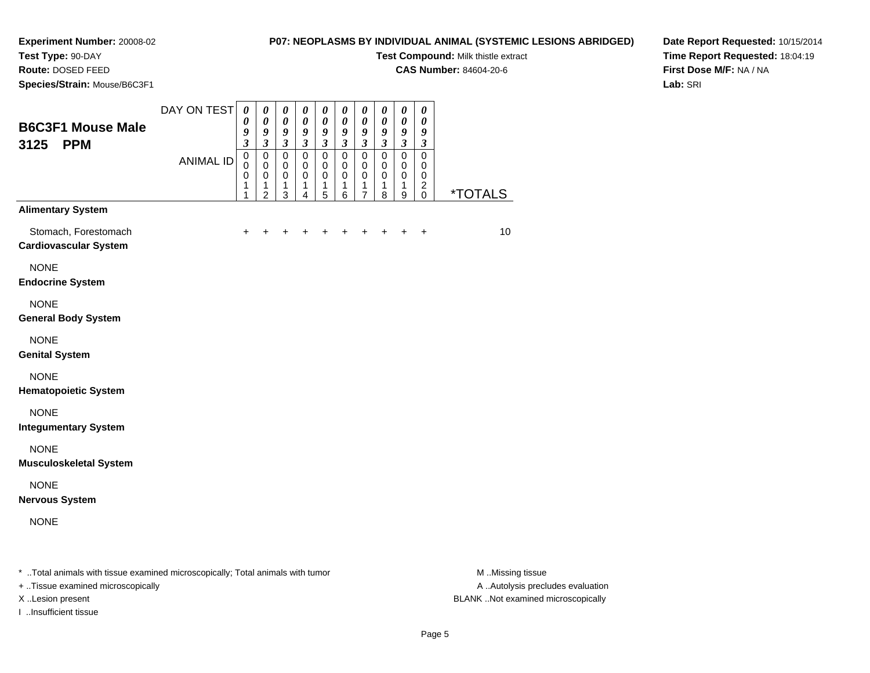**Test Type:** 90-DAY**Route:** DOSED FEED

**Species/Strain:** Mouse/B6C3F1

#### **P07: NEOPLASMS BY INDIVIDUAL ANIMAL (SYSTEMIC LESIONS ABRIDGED)**

**Test Compound:** Milk thistle extract

**CAS Number:** 84604-20-6

**Date Report Requested:** 10/15/2014**Time Report Requested:** 18:04:19**First Dose M/F:** NA / NA**Lab:** SRI

| <b>B6C3F1 Mouse Male</b><br><b>PPM</b><br>3125       | DAY ON TEST      | $\boldsymbol{\theta}$<br>0<br>9<br>$\mathfrak{z}$ | $\boldsymbol{\theta}$<br>$\boldsymbol{\theta}$<br>9<br>$\mathfrak{z}$ | 0<br>$\boldsymbol{\theta}$<br>$\boldsymbol{g}$<br>$\mathfrak{z}$ | $\boldsymbol{\theta}$<br>$\boldsymbol{\theta}$<br>9<br>$\mathfrak{z}$ | $\boldsymbol{\theta}$<br>$\boldsymbol{\theta}$<br>$\boldsymbol{g}$<br>$\boldsymbol{\beta}$ | 0<br>$\boldsymbol{\theta}$<br>9<br>$\boldsymbol{\beta}$ | $\boldsymbol{\theta}$<br>$\pmb{\theta}$<br>$\boldsymbol{g}$<br>$\boldsymbol{\beta}$ | $\boldsymbol{\theta}$<br>$\pmb{\theta}$<br>9<br>$\mathfrak{z}$ | $\pmb{\theta}$<br>$\pmb{\theta}$<br>$\boldsymbol{g}$<br>$\mathfrak{z}$ | $\boldsymbol{\theta}$<br>$\boldsymbol{\theta}$<br>9<br>$\boldsymbol{\beta}$ |                       |
|------------------------------------------------------|------------------|---------------------------------------------------|-----------------------------------------------------------------------|------------------------------------------------------------------|-----------------------------------------------------------------------|--------------------------------------------------------------------------------------------|---------------------------------------------------------|-------------------------------------------------------------------------------------|----------------------------------------------------------------|------------------------------------------------------------------------|-----------------------------------------------------------------------------|-----------------------|
|                                                      | <b>ANIMAL ID</b> | $\mathsf 0$<br>$\Omega$<br>0<br>1<br>1            | $\pmb{0}$<br>$\mathbf 0$<br>$\mathbf 0$<br>1<br>2                     | $\pmb{0}$<br>$\mathbf 0$<br>$\mathbf 0$<br>1<br>3                | $\mathsf 0$<br>$\mathbf 0$<br>$\mathbf 0$<br>1<br>4                   | $\pmb{0}$<br>$\mathbf 0$<br>$\mathbf 0$<br>1<br>5                                          | $\pmb{0}$<br>$\mathbf 0$<br>$\mathbf 0$<br>1<br>6       | $\mathsf 0$<br>$\mathbf 0$<br>$\pmb{0}$<br>1<br>$\overline{7}$                      | $\pmb{0}$<br>$\mathbf 0$<br>0<br>1<br>8                        | $\pmb{0}$<br>$\mathbf 0$<br>$\mathbf 0$<br>1<br>9                      | $\mathbf 0$<br>0<br>$\mathbf 0$<br>$\boldsymbol{2}$<br>0                    | <i><b>*TOTALS</b></i> |
| <b>Alimentary System</b>                             |                  |                                                   |                                                                       |                                                                  |                                                                       |                                                                                            |                                                         |                                                                                     |                                                                |                                                                        |                                                                             |                       |
| Stomach, Forestomach<br><b>Cardiovascular System</b> |                  | $\ddot{}$                                         | $\ddot{}$                                                             |                                                                  | $\ddot{}$                                                             | $\ddot{}$                                                                                  | $\ddot{}$                                               | $\ddot{}$                                                                           | $+$                                                            | $\ddot{}$                                                              | $\ddot{}$                                                                   | 10                    |
| <b>NONE</b><br><b>Endocrine System</b>               |                  |                                                   |                                                                       |                                                                  |                                                                       |                                                                                            |                                                         |                                                                                     |                                                                |                                                                        |                                                                             |                       |
| <b>NONE</b><br><b>General Body System</b>            |                  |                                                   |                                                                       |                                                                  |                                                                       |                                                                                            |                                                         |                                                                                     |                                                                |                                                                        |                                                                             |                       |
| <b>NONE</b><br><b>Genital System</b>                 |                  |                                                   |                                                                       |                                                                  |                                                                       |                                                                                            |                                                         |                                                                                     |                                                                |                                                                        |                                                                             |                       |
| <b>NONE</b><br><b>Hematopoietic System</b>           |                  |                                                   |                                                                       |                                                                  |                                                                       |                                                                                            |                                                         |                                                                                     |                                                                |                                                                        |                                                                             |                       |
| <b>NONE</b><br><b>Integumentary System</b>           |                  |                                                   |                                                                       |                                                                  |                                                                       |                                                                                            |                                                         |                                                                                     |                                                                |                                                                        |                                                                             |                       |
| <b>NONE</b><br><b>Musculoskeletal System</b>         |                  |                                                   |                                                                       |                                                                  |                                                                       |                                                                                            |                                                         |                                                                                     |                                                                |                                                                        |                                                                             |                       |
| <b>NONE</b><br><b>Nervous System</b>                 |                  |                                                   |                                                                       |                                                                  |                                                                       |                                                                                            |                                                         |                                                                                     |                                                                |                                                                        |                                                                             |                       |
| <b>NONE</b>                                          |                  |                                                   |                                                                       |                                                                  |                                                                       |                                                                                            |                                                         |                                                                                     |                                                                |                                                                        |                                                                             |                       |
|                                                      |                  |                                                   |                                                                       |                                                                  |                                                                       |                                                                                            |                                                         |                                                                                     |                                                                |                                                                        |                                                                             |                       |

\* ..Total animals with tissue examined microscopically; Total animals with tumor **M** ...Missing tissue M ...Missing tissue

+ ..Tissue examined microscopically

I ..Insufficient tissue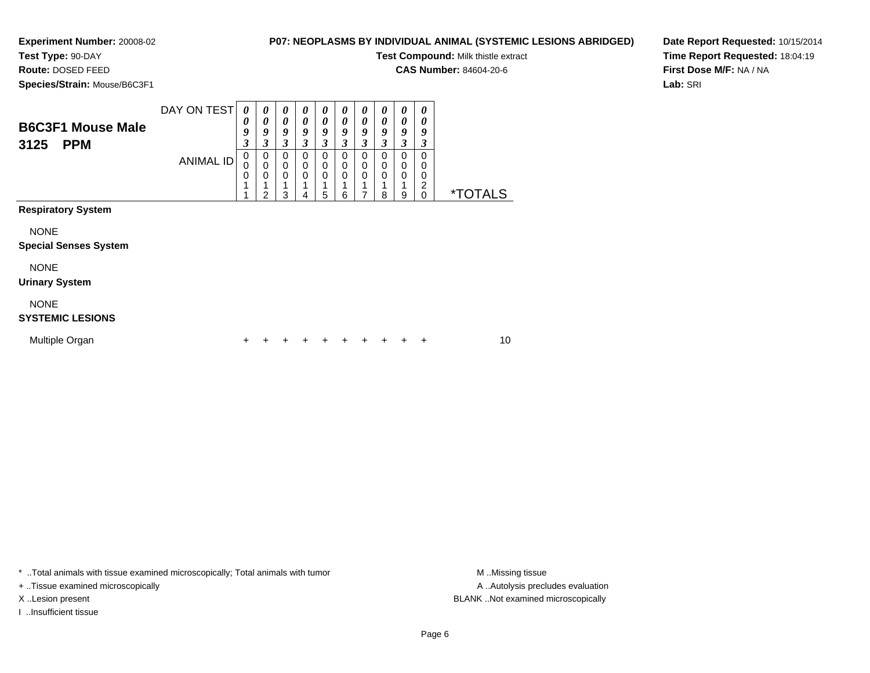**Test Type:** 90-DAY**Route:** DOSED FEED

# **P07: NEOPLASMS BY INDIVIDUAL ANIMAL (SYSTEMIC LESIONS ABRIDGED)**

**Test Compound:** Milk thistle extract

**CAS Number:** 84604-20-6

**Species/Strain:** Mouse/B6C3F1

**Date Report Requested:** 10/15/2014**Time Report Requested:** 18:04:19**First Dose M/F:** NA / NA**Lab:** SRI

| <b>B6C3F1 Mouse Male</b><br>3125<br><b>PPM</b> | DAY ON TEST<br><b>ANIMAL ID</b> | 0<br>0<br>9<br>3<br>0<br>$\mathbf 0$<br>$\mathbf 0$<br>1 | $\boldsymbol{\theta}$<br>0<br>9<br>3<br>0<br>$\mathbf 0$<br>$\mathbf 0$ | 0<br>$\boldsymbol{\theta}$<br>9<br>3<br>0<br>$\mathbf 0$<br>$\mathbf 0$<br>1 | $\boldsymbol{\theta}$<br>$\boldsymbol{\theta}$<br>9<br>3<br>0<br>$\mathbf 0$<br>$\mathbf 0$ | 0<br>$\boldsymbol{\theta}$<br>9<br>3<br>$\Omega$<br>0<br>$\Omega$ | 0<br>0<br>9<br>3<br>$\Omega$<br>0<br>$\Omega$ | 0<br>$\boldsymbol{\theta}$<br>9<br>3<br>0<br>0<br>0 | 0<br>$\boldsymbol{\theta}$<br>9<br>3<br>$\Omega$<br>0<br>$\mathbf 0$ | 0<br>0<br>9<br>3<br>$\Omega$<br>0<br>$\Omega$ | 0<br>$\boldsymbol{\theta}$<br>9<br>3<br>$\Omega$<br>0<br>0<br>$\overline{c}$ |                       |
|------------------------------------------------|---------------------------------|----------------------------------------------------------|-------------------------------------------------------------------------|------------------------------------------------------------------------------|---------------------------------------------------------------------------------------------|-------------------------------------------------------------------|-----------------------------------------------|-----------------------------------------------------|----------------------------------------------------------------------|-----------------------------------------------|------------------------------------------------------------------------------|-----------------------|
| <b>Respiratory System</b><br><b>NONE</b>       |                                 |                                                          | 2                                                                       | 3                                                                            | 4                                                                                           | 5                                                                 | 6                                             | 7                                                   | 8                                                                    | 9                                             | $\mathbf 0$                                                                  | <i><b>*TOTALS</b></i> |
| <b>Special Senses System</b><br><b>NONE</b>    |                                 |                                                          |                                                                         |                                                                              |                                                                                             |                                                                   |                                               |                                                     |                                                                      |                                               |                                                                              |                       |
| <b>Urinary System</b><br><b>NONE</b>           |                                 |                                                          |                                                                         |                                                                              |                                                                                             |                                                                   |                                               |                                                     |                                                                      |                                               |                                                                              |                       |
| <b>SYSTEMIC LESIONS</b><br>Multiple Organ      |                                 |                                                          |                                                                         |                                                                              |                                                                                             |                                                                   | +                                             |                                                     |                                                                      |                                               | ÷                                                                            | 10                    |

\* ..Total animals with tissue examined microscopically; Total animals with tumor **M** . Missing tissue M ..Missing tissue

+ ..Tissue examined microscopically

I ..Insufficient tissue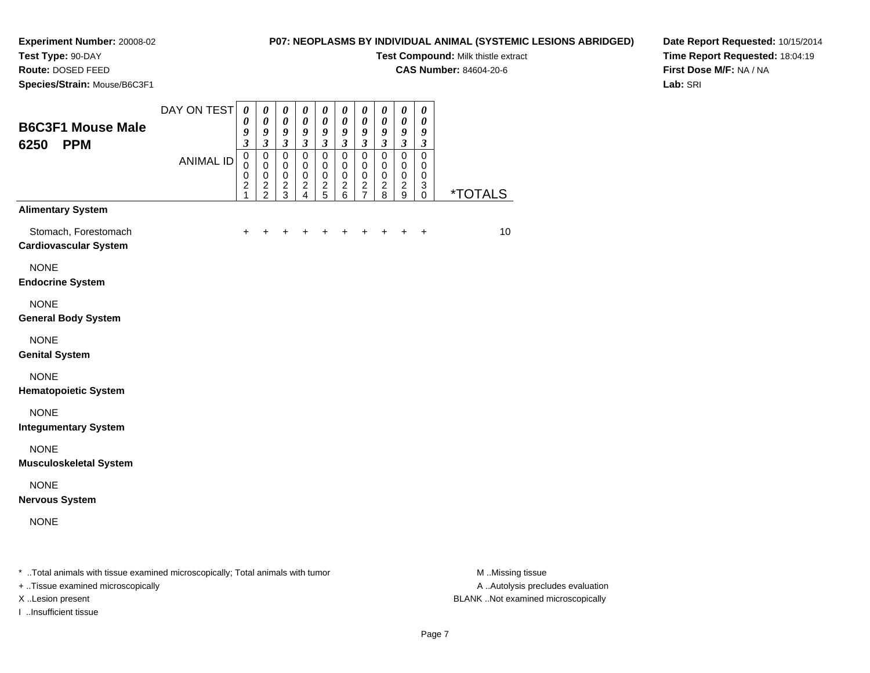# **Test Type:** 90-DAY

**Route:** DOSED FEED

**Species/Strain:** Mouse/B6C3F1

## **P07: NEOPLASMS BY INDIVIDUAL ANIMAL (SYSTEMIC LESIONS ABRIDGED)**

**Test Compound:** Milk thistle extract

**CAS Number:** 84604-20-6

**Date Report Requested:** 10/15/2014**Time Report Requested:** 18:04:19**First Dose M/F:** NA / NA**Lab:** SRI

| <b>B6C3F1 Mouse Male</b><br>6250<br><b>PPM</b>       | DAY ON TEST      | $\pmb{\theta}$<br>0<br>9<br>$\overline{\mathbf{3}}$          | $\pmb{\theta}$<br>$\boldsymbol{\theta}$<br>9<br>$\mathfrak{z}$ | $\boldsymbol{\theta}$<br>$\boldsymbol{\theta}$<br>9<br>$\boldsymbol{\beta}$ | 0<br>$\boldsymbol{\theta}$<br>9<br>$\boldsymbol{\beta}$    | $\boldsymbol{\theta}$<br>$\boldsymbol{\theta}$<br>$\boldsymbol{g}$<br>$\mathfrak{z}$ | 0<br>$\boldsymbol{\theta}$<br>9<br>$\mathfrak{z}$                                    | $\boldsymbol{\theta}$<br>$\boldsymbol{\theta}$<br>$\boldsymbol{g}$<br>$\mathfrak{z}$ | 0<br>$\pmb{\theta}$<br>$\boldsymbol{g}$<br>$\boldsymbol{\beta}$ | $\pmb{\theta}$<br>$\pmb{\theta}$<br>9<br>$\boldsymbol{\beta}$ | 0<br>$\boldsymbol{\theta}$<br>9<br>$\boldsymbol{\beta}$ |                       |
|------------------------------------------------------|------------------|--------------------------------------------------------------|----------------------------------------------------------------|-----------------------------------------------------------------------------|------------------------------------------------------------|--------------------------------------------------------------------------------------|--------------------------------------------------------------------------------------|--------------------------------------------------------------------------------------|-----------------------------------------------------------------|---------------------------------------------------------------|---------------------------------------------------------|-----------------------|
|                                                      | <b>ANIMAL ID</b> | $\mathbf 0$<br>$\Omega$<br>0<br>$\overline{\mathbf{c}}$<br>1 | $\pmb{0}$<br>$\mathbf 0$<br>$\mathbf 0$<br>$\frac{2}{2}$       | $\mathbf 0$<br>0<br>$\pmb{0}$<br>$\boldsymbol{2}$<br>3                      | $\mathbf 0$<br>$\mathbf 0$<br>$\mathbf 0$<br>$\frac{2}{4}$ | $\pmb{0}$<br>$\mathbf 0$<br>$\pmb{0}$<br>$\frac{2}{5}$                               | $\mathsf 0$<br>$\mathbf 0$<br>$\pmb{0}$<br>$\overline{\mathbf{c}}$<br>$6\phantom{a}$ | $\pmb{0}$<br>$\mathbf 0$<br>$\pmb{0}$<br>$\frac{2}{7}$                               | $\mathbf 0$<br>$\pmb{0}$<br>$\pmb{0}$<br>$\boldsymbol{2}$<br>8  | $\mathsf 0$<br>$\mathbf 0$<br>$\pmb{0}$<br>$\frac{2}{9}$      | $\mathbf 0$<br>0<br>$\mathbf 0$<br>3<br>0               | <i><b>*TOTALS</b></i> |
| <b>Alimentary System</b>                             |                  |                                                              |                                                                |                                                                             |                                                            |                                                                                      |                                                                                      |                                                                                      |                                                                 |                                                               |                                                         |                       |
| Stomach, Forestomach<br><b>Cardiovascular System</b> |                  | +                                                            | +                                                              |                                                                             |                                                            | $\ddot{}$                                                                            | $\ddot{}$                                                                            | $\ddot{}$                                                                            | $\ddot{}$                                                       | $\ddot{}$                                                     | $\ddot{}$                                               | 10                    |
| <b>NONE</b><br><b>Endocrine System</b>               |                  |                                                              |                                                                |                                                                             |                                                            |                                                                                      |                                                                                      |                                                                                      |                                                                 |                                                               |                                                         |                       |
| <b>NONE</b><br><b>General Body System</b>            |                  |                                                              |                                                                |                                                                             |                                                            |                                                                                      |                                                                                      |                                                                                      |                                                                 |                                                               |                                                         |                       |
| <b>NONE</b><br><b>Genital System</b>                 |                  |                                                              |                                                                |                                                                             |                                                            |                                                                                      |                                                                                      |                                                                                      |                                                                 |                                                               |                                                         |                       |
| <b>NONE</b><br><b>Hematopoietic System</b>           |                  |                                                              |                                                                |                                                                             |                                                            |                                                                                      |                                                                                      |                                                                                      |                                                                 |                                                               |                                                         |                       |
| <b>NONE</b><br><b>Integumentary System</b>           |                  |                                                              |                                                                |                                                                             |                                                            |                                                                                      |                                                                                      |                                                                                      |                                                                 |                                                               |                                                         |                       |
| <b>NONE</b><br><b>Musculoskeletal System</b>         |                  |                                                              |                                                                |                                                                             |                                                            |                                                                                      |                                                                                      |                                                                                      |                                                                 |                                                               |                                                         |                       |
| <b>NONE</b><br><b>Nervous System</b>                 |                  |                                                              |                                                                |                                                                             |                                                            |                                                                                      |                                                                                      |                                                                                      |                                                                 |                                                               |                                                         |                       |
| <b>NONE</b>                                          |                  |                                                              |                                                                |                                                                             |                                                            |                                                                                      |                                                                                      |                                                                                      |                                                                 |                                                               |                                                         |                       |
|                                                      |                  |                                                              |                                                                |                                                                             |                                                            |                                                                                      |                                                                                      |                                                                                      |                                                                 |                                                               |                                                         |                       |

\* ..Total animals with tissue examined microscopically; Total animals with tumor **M** ...Missing tissue M ...Missing tissue

+ ..Tissue examined microscopically

I ..Insufficient tissue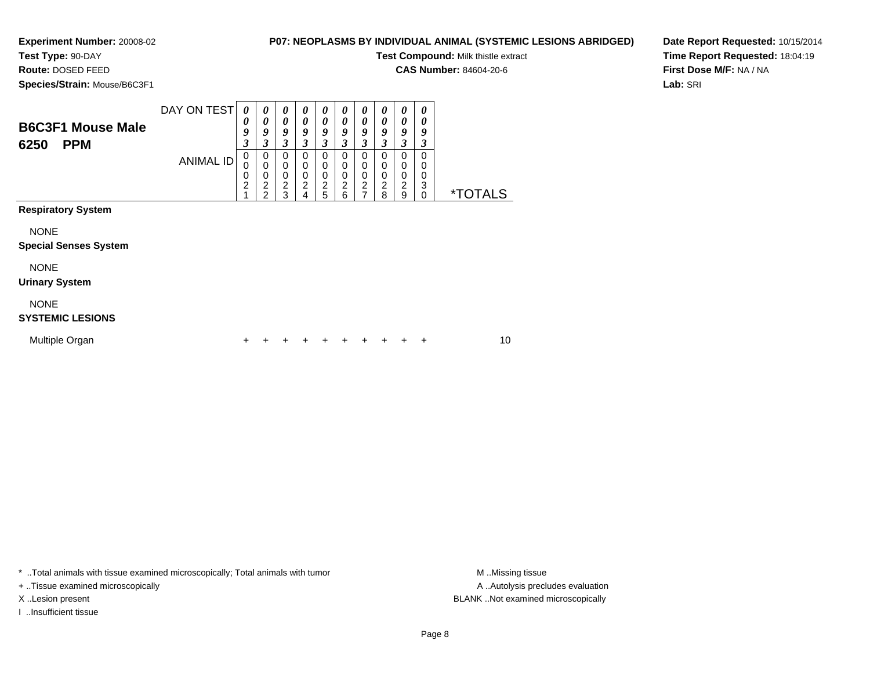**Test Type:** 90-DAY**Route:** DOSED FEED

## **P07: NEOPLASMS BY INDIVIDUAL ANIMAL (SYSTEMIC LESIONS ABRIDGED)**

**Test Compound:** Milk thistle extract

**CAS Number:** 84604-20-6

**Species/Strain:** Mouse/B6C3F1

**Date Report Requested:** 10/15/2014**Time Report Requested:** 18:04:19**First Dose M/F:** NA / NA**Lab:** SRI

| <b>B6C3F1 Mouse Male</b><br>6250<br><b>PPM</b> | DAY ON TEST<br><b>ANIMAL ID</b> | 0<br>$\boldsymbol{\theta}$<br>9<br>$\overline{\mathbf{3}}$<br>$\mathbf 0$<br>0<br>0<br>$\overline{c}$ | 0<br>0<br>9<br>3<br>0<br>$\mathbf 0$<br>$\mathbf 0$<br>$\overline{c}$<br>2 | 0<br>$\boldsymbol{\theta}$<br>9<br>3<br>$\mathbf 0$<br>$\mathbf 0$<br>$\pmb{0}$<br>$\boldsymbol{2}$<br>3 | 0<br>0<br>9<br>3<br>$\mathbf 0$<br>0<br>$\mathbf 0$<br>$\boldsymbol{2}$<br>4 | $\boldsymbol{\theta}$<br>0<br>9<br>3<br>$\pmb{0}$<br>$\mathbf 0$<br>$\mathbf 0$<br>$\frac{2}{5}$ | 0<br>$\boldsymbol{\theta}$<br>9<br>3<br>$\mathbf 0$<br>$\pmb{0}$<br>$\pmb{0}$<br>$\boldsymbol{2}$<br>6 | 0<br>0<br>9<br>3<br>$\mathbf 0$<br>0<br>0<br>$\boldsymbol{2}$<br>$\overline{7}$ | 0<br>0<br>9<br>3<br>0<br>0<br>0<br>$\overline{c}$<br>8 | 0<br>$\boldsymbol{\theta}$<br>9<br>3<br>0<br>0<br>0<br>$\overline{c}$<br>9 | $\boldsymbol{\theta}$<br>0<br>9<br>3<br>0<br>$\Omega$<br>0<br>3<br>$\Omega$ | <i><b>*TOTALS</b></i> |  |
|------------------------------------------------|---------------------------------|-------------------------------------------------------------------------------------------------------|----------------------------------------------------------------------------|----------------------------------------------------------------------------------------------------------|------------------------------------------------------------------------------|--------------------------------------------------------------------------------------------------|--------------------------------------------------------------------------------------------------------|---------------------------------------------------------------------------------|--------------------------------------------------------|----------------------------------------------------------------------------|-----------------------------------------------------------------------------|-----------------------|--|
| <b>Respiratory System</b>                      |                                 |                                                                                                       |                                                                            |                                                                                                          |                                                                              |                                                                                                  |                                                                                                        |                                                                                 |                                                        |                                                                            |                                                                             |                       |  |
| <b>NONE</b><br><b>Special Senses System</b>    |                                 |                                                                                                       |                                                                            |                                                                                                          |                                                                              |                                                                                                  |                                                                                                        |                                                                                 |                                                        |                                                                            |                                                                             |                       |  |
| <b>NONE</b><br><b>Urinary System</b>           |                                 |                                                                                                       |                                                                            |                                                                                                          |                                                                              |                                                                                                  |                                                                                                        |                                                                                 |                                                        |                                                                            |                                                                             |                       |  |
| <b>NONE</b><br><b>SYSTEMIC LESIONS</b>         |                                 |                                                                                                       |                                                                            |                                                                                                          |                                                                              |                                                                                                  |                                                                                                        |                                                                                 |                                                        |                                                                            |                                                                             |                       |  |
| Multiple Organ                                 |                                 | +                                                                                                     |                                                                            |                                                                                                          |                                                                              | ٠                                                                                                | +                                                                                                      | +                                                                               | +                                                      |                                                                            | ÷                                                                           | 10                    |  |

\* ..Total animals with tissue examined microscopically; Total animals with tumor **M** . Missing tissue M ..Missing tissue

+ ..Tissue examined microscopically

I ..Insufficient tissue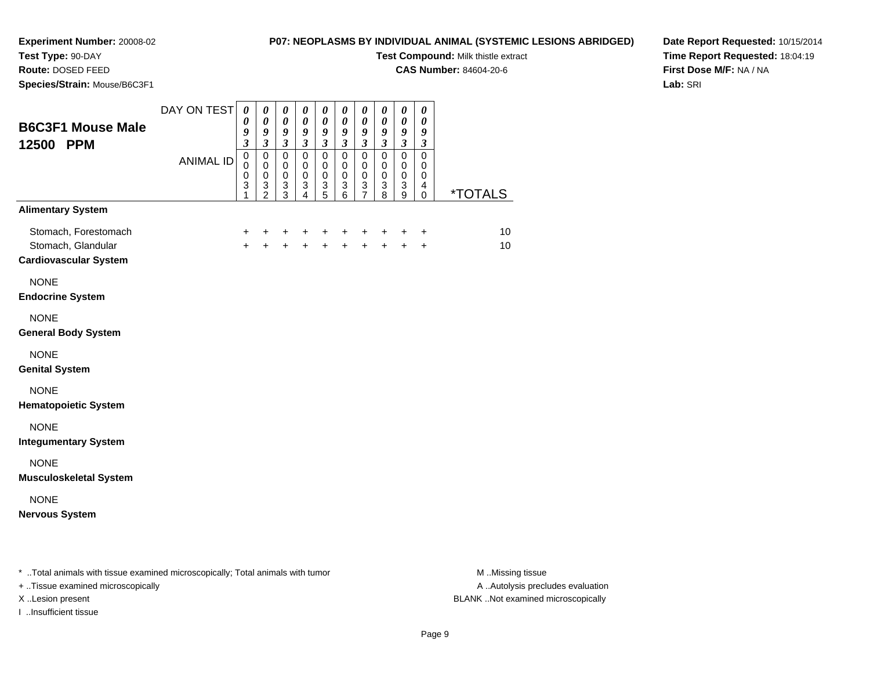# **Test Type:** 90-DAY

**Route:** DOSED FEED

**Species/Strain:** Mouse/B6C3F1

## **P07: NEOPLASMS BY INDIVIDUAL ANIMAL (SYSTEMIC LESIONS ABRIDGED)**

**Test Compound:** Milk thistle extract

**CAS Number:** 84604-20-6

**Date Report Requested:** 10/15/2014**Time Report Requested:** 18:04:19**First Dose M/F:** NA / NA**Lab:** SRI

| <b>B6C3F1 Mouse Male</b><br>12500 PPM                                      | DAY ON TEST<br><b>ANIMAL ID</b> | $\boldsymbol{\theta}$<br>$\boldsymbol{\theta}$<br>9<br>$\mathfrak{z}$<br>$\overline{0}$<br>$\mathbf 0$<br>$\pmb{0}$<br>3<br>1 | $\boldsymbol{\theta}$<br>$\pmb{\theta}$<br>9<br>$\overline{\mathbf{3}}$<br>$\overline{0}$<br>$\mathbf 0$<br>$\pmb{0}$<br>$\frac{3}{2}$ | $\boldsymbol{\theta}$<br>$\boldsymbol{\theta}$<br>$\boldsymbol{g}$<br>$\overline{\mathbf{3}}$<br>$\mathsf 0$<br>$\mathbf 0$<br>$\,0\,$<br>$\frac{3}{3}$ | $\pmb{\theta}$<br>$\boldsymbol{\theta}$<br>9<br>$\mathfrak{z}$<br>$\mathbf 0$<br>$\mathbf 0$<br>$\mathbf 0$<br>$\ensuremath{\mathsf{3}}$<br>$\overline{4}$ | $\boldsymbol{\theta}$<br>$\boldsymbol{\theta}$<br>9<br>$\mathfrak{z}$<br>$\pmb{0}$<br>$\mathbf 0$<br>$\mathbf 0$<br>$\frac{3}{5}$ | 0<br>$\boldsymbol{\theta}$<br>9<br>$\overline{\mathbf{3}}$<br>0<br>$\mathbf 0$<br>$\mathbf 0$<br>3<br>6 | $\boldsymbol{\theta}$<br>$\boldsymbol{\theta}$<br>9<br>$\mathfrak{z}$<br>$\overline{0}$<br>$\mathbf 0$<br>$\pmb{0}$<br>$\ensuremath{\mathsf{3}}$<br>7 | 0<br>$\boldsymbol{\theta}$<br>9<br>$\boldsymbol{\beta}$<br>$\overline{0}$<br>$\mathbf 0$<br>$\mathbf 0$<br>$\ensuremath{\mathsf{3}}$<br>8 | $\boldsymbol{\theta}$<br>$\boldsymbol{\theta}$<br>9<br>$\mathfrak{z}$<br>$\overline{0}$<br>$\mathbf 0$<br>$\mathbf 0$<br>$\sqrt{3}$<br>$\boldsymbol{9}$ | 0<br>0<br>9<br>$\mathfrak{z}$<br>$\overline{0}$<br>$\mathbf 0$<br>$\mathbf 0$<br>4<br>$\mathbf 0$ | <i><b>*TOTALS</b></i> |
|----------------------------------------------------------------------------|---------------------------------|-------------------------------------------------------------------------------------------------------------------------------|----------------------------------------------------------------------------------------------------------------------------------------|---------------------------------------------------------------------------------------------------------------------------------------------------------|------------------------------------------------------------------------------------------------------------------------------------------------------------|-----------------------------------------------------------------------------------------------------------------------------------|---------------------------------------------------------------------------------------------------------|-------------------------------------------------------------------------------------------------------------------------------------------------------|-------------------------------------------------------------------------------------------------------------------------------------------|---------------------------------------------------------------------------------------------------------------------------------------------------------|---------------------------------------------------------------------------------------------------|-----------------------|
| <b>Alimentary System</b>                                                   |                                 |                                                                                                                               |                                                                                                                                        |                                                                                                                                                         |                                                                                                                                                            |                                                                                                                                   |                                                                                                         |                                                                                                                                                       |                                                                                                                                           |                                                                                                                                                         |                                                                                                   |                       |
| Stomach, Forestomach<br>Stomach, Glandular<br><b>Cardiovascular System</b> |                                 | $\ddot{}$<br>$+$                                                                                                              | $\ddot{}$<br>$+$                                                                                                                       | $\ddot{}$<br>$+$                                                                                                                                        | $\ddot{}$<br>$\ddot{+}$                                                                                                                                    | $\ddot{}$<br>$+$                                                                                                                  | $\ddot{}$<br>$\ddot{}$                                                                                  | $\ddot{}$<br>$+$                                                                                                                                      | $\ddot{}$<br>$+$                                                                                                                          | $\ddot{}$<br>$+$                                                                                                                                        | $\ddot{}$<br>$\ddot{}$                                                                            | 10<br>10              |
| <b>NONE</b><br><b>Endocrine System</b>                                     |                                 |                                                                                                                               |                                                                                                                                        |                                                                                                                                                         |                                                                                                                                                            |                                                                                                                                   |                                                                                                         |                                                                                                                                                       |                                                                                                                                           |                                                                                                                                                         |                                                                                                   |                       |
| <b>NONE</b><br><b>General Body System</b>                                  |                                 |                                                                                                                               |                                                                                                                                        |                                                                                                                                                         |                                                                                                                                                            |                                                                                                                                   |                                                                                                         |                                                                                                                                                       |                                                                                                                                           |                                                                                                                                                         |                                                                                                   |                       |
| <b>NONE</b><br><b>Genital System</b>                                       |                                 |                                                                                                                               |                                                                                                                                        |                                                                                                                                                         |                                                                                                                                                            |                                                                                                                                   |                                                                                                         |                                                                                                                                                       |                                                                                                                                           |                                                                                                                                                         |                                                                                                   |                       |
| <b>NONE</b><br><b>Hematopoietic System</b>                                 |                                 |                                                                                                                               |                                                                                                                                        |                                                                                                                                                         |                                                                                                                                                            |                                                                                                                                   |                                                                                                         |                                                                                                                                                       |                                                                                                                                           |                                                                                                                                                         |                                                                                                   |                       |
| <b>NONE</b><br><b>Integumentary System</b>                                 |                                 |                                                                                                                               |                                                                                                                                        |                                                                                                                                                         |                                                                                                                                                            |                                                                                                                                   |                                                                                                         |                                                                                                                                                       |                                                                                                                                           |                                                                                                                                                         |                                                                                                   |                       |
| <b>NONE</b><br><b>Musculoskeletal System</b>                               |                                 |                                                                                                                               |                                                                                                                                        |                                                                                                                                                         |                                                                                                                                                            |                                                                                                                                   |                                                                                                         |                                                                                                                                                       |                                                                                                                                           |                                                                                                                                                         |                                                                                                   |                       |
| <b>NONE</b><br><b>Nervous System</b>                                       |                                 |                                                                                                                               |                                                                                                                                        |                                                                                                                                                         |                                                                                                                                                            |                                                                                                                                   |                                                                                                         |                                                                                                                                                       |                                                                                                                                           |                                                                                                                                                         |                                                                                                   |                       |

\* ..Total animals with tissue examined microscopically; Total animals with tumor **M** . Missing tissue M ..Missing tissue

+ ..Tissue examined microscopically

I ..Insufficient tissue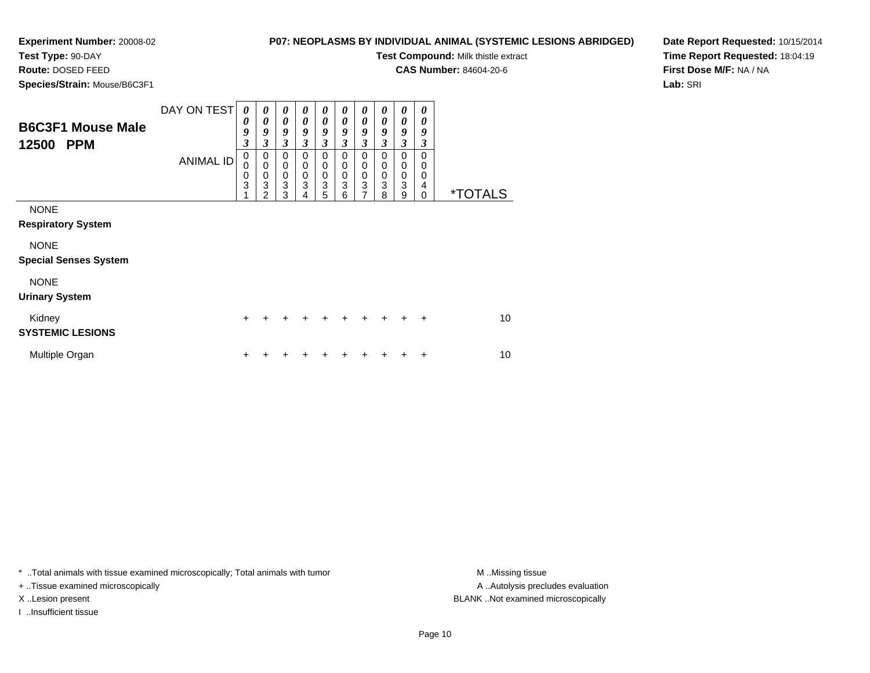# **Test Type:** 90-DAY

**Route:** DOSED FEED

**Species/Strain:** Mouse/B6C3F1

## **P07: NEOPLASMS BY INDIVIDUAL ANIMAL (SYSTEMIC LESIONS ABRIDGED)**

**Test Compound:** Milk thistle extract

**CAS Number:** 84604-20-6

**Date Report Requested:** 10/15/2014**Time Report Requested:** 18:04:19**First Dose M/F:** NA / NA**Lab:** SRI

| <b>B6C3F1 Mouse Male</b><br>12500<br><b>PPM</b> | DAY ON TEST<br><b>ANIMAL ID</b> | 0<br>0<br>9<br>3<br>$\mathbf 0$<br>$\Omega$<br>$\mathbf 0$<br>3 | 0<br>0<br>9<br>$\overline{\mathbf{3}}$<br>$\mathbf 0$<br>$\mathbf 0$<br>$\mathbf 0$<br>$\mathbf{3}$<br>$\mathfrak{p}$ | $\boldsymbol{\theta}$<br>0<br>9<br>$\overline{\mathbf{3}}$<br>$\Omega$<br>$\mathbf 0$<br>$\mathbf 0$<br>3<br>3 | 0<br>0<br>9<br>$\overline{\mathbf{3}}$<br>$\mathbf 0$<br>$\mathbf 0$<br>$\mathbf 0$<br>3 | $\boldsymbol{\theta}$<br>$\boldsymbol{\theta}$<br>9<br>$\boldsymbol{\beta}$<br>$\mathbf 0$<br>$\mathbf 0$<br>$\mathbf 0$<br>3<br>5 | 0<br>$\boldsymbol{\theta}$<br>9<br>3<br>0<br>$\boldsymbol{0}$<br>$\pmb{0}$<br>$\overline{3}$<br>6 | 0<br>$\boldsymbol{\theta}$<br>9<br>$\mathfrak{z}$<br>$\mathbf 0$<br>$\pmb{0}$<br>$\pmb{0}$<br>3<br>7 | $\boldsymbol{\theta}$<br>$\boldsymbol{\theta}$<br>9<br>$\overline{\mathbf{3}}$<br>$\mathbf 0$<br>0<br>$\pmb{0}$<br>3<br>8 | 0<br>$\boldsymbol{\theta}$<br>9<br>$\mathfrak{z}$<br>$\mathbf 0$<br>$\mathbf 0$<br>$\mathbf 0$<br>3<br>9 | $\boldsymbol{\theta}$<br>0<br>9<br>3<br>$\Omega$<br>$\Omega$<br>0<br>4<br>$\Omega$ | <i><b>*TOTALS</b></i> |
|-------------------------------------------------|---------------------------------|-----------------------------------------------------------------|-----------------------------------------------------------------------------------------------------------------------|----------------------------------------------------------------------------------------------------------------|------------------------------------------------------------------------------------------|------------------------------------------------------------------------------------------------------------------------------------|---------------------------------------------------------------------------------------------------|------------------------------------------------------------------------------------------------------|---------------------------------------------------------------------------------------------------------------------------|----------------------------------------------------------------------------------------------------------|------------------------------------------------------------------------------------|-----------------------|
| <b>NONE</b><br><b>Respiratory System</b>        |                                 |                                                                 |                                                                                                                       |                                                                                                                |                                                                                          |                                                                                                                                    |                                                                                                   |                                                                                                      |                                                                                                                           |                                                                                                          |                                                                                    |                       |
| <b>NONE</b><br><b>Special Senses System</b>     |                                 |                                                                 |                                                                                                                       |                                                                                                                |                                                                                          |                                                                                                                                    |                                                                                                   |                                                                                                      |                                                                                                                           |                                                                                                          |                                                                                    |                       |
| <b>NONE</b><br><b>Urinary System</b>            |                                 |                                                                 |                                                                                                                       |                                                                                                                |                                                                                          |                                                                                                                                    |                                                                                                   |                                                                                                      |                                                                                                                           |                                                                                                          |                                                                                    |                       |
| Kidney<br><b>SYSTEMIC LESIONS</b>               |                                 | $\div$                                                          |                                                                                                                       |                                                                                                                |                                                                                          |                                                                                                                                    |                                                                                                   | $\div$                                                                                               | $\div$                                                                                                                    | $\div$                                                                                                   | $\div$                                                                             | 10                    |
| Multiple Organ                                  |                                 |                                                                 |                                                                                                                       |                                                                                                                |                                                                                          |                                                                                                                                    |                                                                                                   |                                                                                                      |                                                                                                                           |                                                                                                          | ٠                                                                                  | 10                    |

\* ..Total animals with tissue examined microscopically; Total animals with tumor **M** . Missing tissue M ..Missing tissue

+ ..Tissue examined microscopically

I ..Insufficient tissue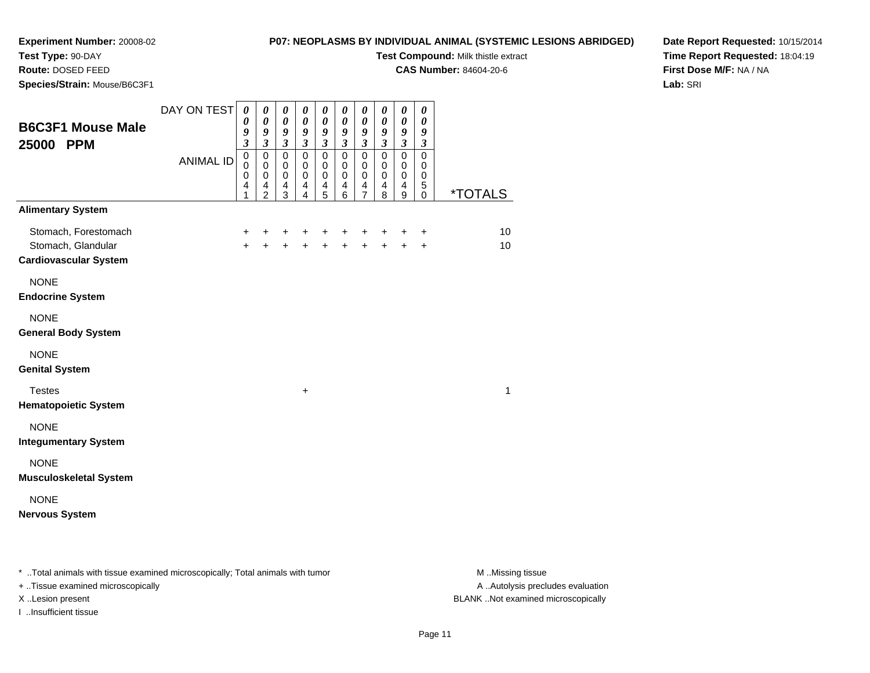# **Test Type:** 90-DAY

**Route:** DOSED FEED

**Species/Strain:** Mouse/B6C3F1

### **P07: NEOPLASMS BY INDIVIDUAL ANIMAL (SYSTEMIC LESIONS ABRIDGED)**

**Test Compound:** Milk thistle extract

**CAS Number:** 84604-20-6

**Date Report Requested:** 10/15/2014**Time Report Requested:** 18:04:19**First Dose M/F:** NA / NA**Lab:** SRI

| <b>B6C3F1 Mouse Male</b><br>25000 PPM                                      | DAY ON TEST<br><b>ANIMAL ID</b> | $\boldsymbol{\theta}$<br>0<br>9<br>$\overline{\mathbf{3}}$<br>$\pmb{0}$<br>$\mathbf 0$<br>0<br>4 | $\pmb{\theta}$<br>$\pmb{\theta}$<br>$\boldsymbol{g}$<br>$\mathfrak{z}$<br>$\pmb{0}$<br>$\mathbf 0$<br>$\mathbf 0$<br>4 | 0<br>$\boldsymbol{\theta}$<br>9<br>$\mathfrak{z}$<br>$\pmb{0}$<br>$\mathbf 0$<br>$\mathbf 0$<br>4 | $\boldsymbol{\theta}$<br>$\boldsymbol{\theta}$<br>9<br>$\mathfrak{z}$<br>$\pmb{0}$<br>$\mathbf 0$<br>$\mathbf 0$<br>$\overline{4}$ | 0<br>$\boldsymbol{\theta}$<br>$\boldsymbol{g}$<br>$\mathfrak{z}$<br>$\mathbf 0$<br>$\mathbf 0$<br>$\mathbf 0$<br>4 | $\boldsymbol{\theta}$<br>$\boldsymbol{\theta}$<br>9<br>$\mathfrak{z}$<br>$\mathbf 0$<br>$\mathbf 0$<br>$\pmb{0}$<br>4 | $\boldsymbol{\theta}$<br>$\boldsymbol{\theta}$<br>9<br>$\mathfrak{z}$<br>$\mathbf 0$<br>$\mathbf 0$<br>$\mathbf 0$<br>$\overline{4}$ | 0<br>$\boldsymbol{\theta}$<br>9<br>$\overline{\mathbf{3}}$<br>$\pmb{0}$<br>$\mathbf 0$<br>0<br>4 | $\pmb{\theta}$<br>$\pmb{\theta}$<br>9<br>$\mathfrak{z}$<br>$\mathbf 0$<br>$\mathbf 0$<br>$\mathbf 0$<br>$\overline{4}$ | 0<br>$\boldsymbol{\theta}$<br>$\boldsymbol{g}$<br>$\mathfrak{z}$<br>$\mathbf 0$<br>$\mathbf 0$<br>$\mathbf 0$<br>5 |                       |
|----------------------------------------------------------------------------|---------------------------------|--------------------------------------------------------------------------------------------------|------------------------------------------------------------------------------------------------------------------------|---------------------------------------------------------------------------------------------------|------------------------------------------------------------------------------------------------------------------------------------|--------------------------------------------------------------------------------------------------------------------|-----------------------------------------------------------------------------------------------------------------------|--------------------------------------------------------------------------------------------------------------------------------------|--------------------------------------------------------------------------------------------------|------------------------------------------------------------------------------------------------------------------------|--------------------------------------------------------------------------------------------------------------------|-----------------------|
| <b>Alimentary System</b>                                                   |                                 | 1                                                                                                | $\overline{2}$                                                                                                         | 3                                                                                                 | 4                                                                                                                                  | 5                                                                                                                  | 6                                                                                                                     | $\overline{7}$                                                                                                                       | 8                                                                                                | 9                                                                                                                      | $\mathbf 0$                                                                                                        | <i><b>*TOTALS</b></i> |
| Stomach, Forestomach<br>Stomach, Glandular<br><b>Cardiovascular System</b> |                                 | $\ddot{}$<br>$+$                                                                                 | +<br>$\ddot{+}$                                                                                                        | $\pm$<br>$+$                                                                                      | +                                                                                                                                  | $+$<br>$+ + +$                                                                                                     | $\pm$                                                                                                                 | +<br>$\ddot{+}$                                                                                                                      | $\ddot{}$<br>$+$                                                                                 | $\ddot{}$<br>$\ddot{+}$                                                                                                | $\ddot{}$<br>$\ddot{}$                                                                                             | 10<br>10              |
| <b>NONE</b><br><b>Endocrine System</b>                                     |                                 |                                                                                                  |                                                                                                                        |                                                                                                   |                                                                                                                                    |                                                                                                                    |                                                                                                                       |                                                                                                                                      |                                                                                                  |                                                                                                                        |                                                                                                                    |                       |
| <b>NONE</b><br><b>General Body System</b>                                  |                                 |                                                                                                  |                                                                                                                        |                                                                                                   |                                                                                                                                    |                                                                                                                    |                                                                                                                       |                                                                                                                                      |                                                                                                  |                                                                                                                        |                                                                                                                    |                       |
| <b>NONE</b><br><b>Genital System</b>                                       |                                 |                                                                                                  |                                                                                                                        |                                                                                                   |                                                                                                                                    |                                                                                                                    |                                                                                                                       |                                                                                                                                      |                                                                                                  |                                                                                                                        |                                                                                                                    |                       |
| <b>Testes</b><br><b>Hematopoietic System</b>                               |                                 |                                                                                                  |                                                                                                                        |                                                                                                   | $\ddot{}$                                                                                                                          |                                                                                                                    |                                                                                                                       |                                                                                                                                      |                                                                                                  |                                                                                                                        |                                                                                                                    | 1                     |
| <b>NONE</b><br><b>Integumentary System</b>                                 |                                 |                                                                                                  |                                                                                                                        |                                                                                                   |                                                                                                                                    |                                                                                                                    |                                                                                                                       |                                                                                                                                      |                                                                                                  |                                                                                                                        |                                                                                                                    |                       |
| <b>NONE</b><br><b>Musculoskeletal System</b>                               |                                 |                                                                                                  |                                                                                                                        |                                                                                                   |                                                                                                                                    |                                                                                                                    |                                                                                                                       |                                                                                                                                      |                                                                                                  |                                                                                                                        |                                                                                                                    |                       |
| <b>NONE</b><br><b>Nervous System</b>                                       |                                 |                                                                                                  |                                                                                                                        |                                                                                                   |                                                                                                                                    |                                                                                                                    |                                                                                                                       |                                                                                                                                      |                                                                                                  |                                                                                                                        |                                                                                                                    |                       |

\* ..Total animals with tissue examined microscopically; Total animals with tumor **M** . Missing tissue M ..Missing tissue

+ ..Tissue examined microscopically

I ..Insufficient tissue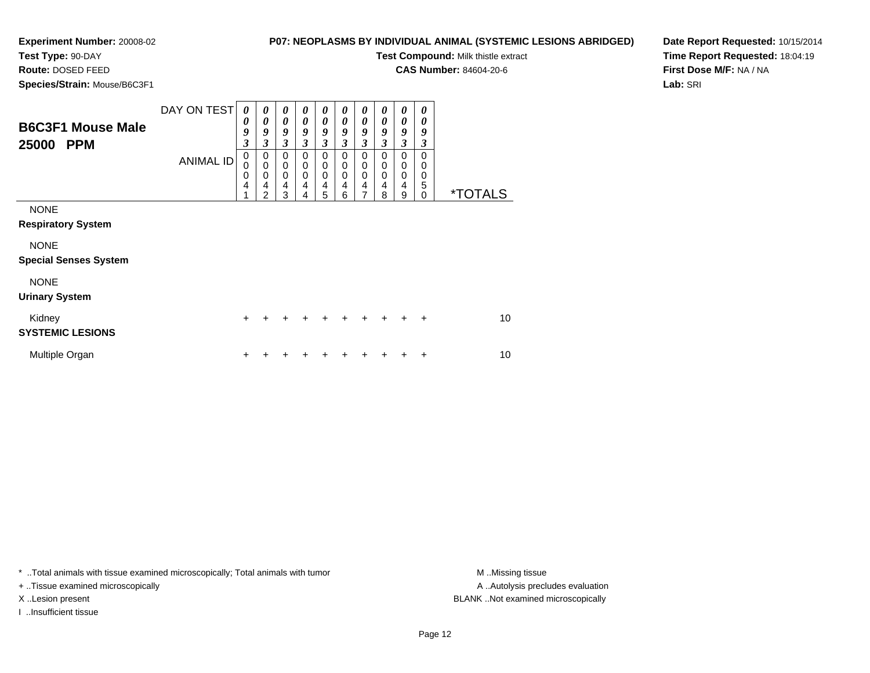**Test Type:** 90-DAY**Route:** DOSED FEED

# **P07: NEOPLASMS BY INDIVIDUAL ANIMAL (SYSTEMIC LESIONS ABRIDGED)**

**Test Compound:** Milk thistle extract

**CAS Number:** 84604-20-6

**Date Report Requested:** 10/15/2014**Time Report Requested:** 18:04:19**First Dose M/F:** NA / NA**Lab:** SRI

**Species/Strain:** Mouse/B6C3F1

| <b>Opcores/Otilani.</b> Modsc/Doosi T           |                  |                                                            |                                           |                                                 |                                           |                                 |                               |                                              |                                     |                                                        |                              |                       |
|-------------------------------------------------|------------------|------------------------------------------------------------|-------------------------------------------|-------------------------------------------------|-------------------------------------------|---------------------------------|-------------------------------|----------------------------------------------|-------------------------------------|--------------------------------------------------------|------------------------------|-----------------------|
| <b>B6C3F1 Mouse Male</b><br>25000<br><b>PPM</b> | DAY ON TEST      | $\boldsymbol{\theta}$<br>0<br>9<br>$\overline{\mathbf{3}}$ | 0<br>0<br>9<br>3                          | 0<br>0<br>9<br>$\mathfrak{z}$                   | 0<br>0<br>9<br>3                          | 0<br>0<br>9<br>3                | 0<br>0<br>9<br>$\mathfrak{z}$ | 0<br>0<br>9<br>3                             | 0<br>0<br>9<br>3                    | 0<br>0<br>9<br>3                                       | 0<br>0<br>9<br>3             |                       |
|                                                 | <b>ANIMAL ID</b> | $\pmb{0}$<br>$\mathbf 0$<br>0<br>4                         | 0<br>$\mathbf 0$<br>$\mathbf 0$<br>4<br>2 | $\mathbf 0$<br>$\pmb{0}$<br>$\pmb{0}$<br>4<br>3 | 0<br>$\mathbf 0$<br>$\mathbf 0$<br>4<br>4 | 0<br>0<br>$\mathbf 0$<br>4<br>5 | 0<br>$\Omega$<br>0<br>4<br>6  | 0<br>$\mathsf 0$<br>0<br>4<br>$\overline{7}$ | 0<br>$\Omega$<br>$\Omega$<br>4<br>8 | 0<br>$\mathbf 0$<br>$\mathbf 0$<br>$\overline{4}$<br>9 | 0<br>0<br>0<br>5<br>$\Omega$ | <i><b>*TOTALS</b></i> |
| <b>NONE</b><br><b>Respiratory System</b>        |                  |                                                            |                                           |                                                 |                                           |                                 |                               |                                              |                                     |                                                        |                              |                       |
| <b>NONE</b><br><b>Special Senses System</b>     |                  |                                                            |                                           |                                                 |                                           |                                 |                               |                                              |                                     |                                                        |                              |                       |
| <b>NONE</b><br><b>Urinary System</b>            |                  |                                                            |                                           |                                                 |                                           |                                 |                               |                                              |                                     |                                                        |                              |                       |
| Kidney<br><b>SYSTEMIC LESIONS</b>               |                  | $\ddot{}$                                                  |                                           |                                                 |                                           | +                               | $\ddot{}$                     | $+$                                          | $+$                                 | $\ddot{}$                                              | $\ddot{}$                    | 10                    |
| Multiple Organ                                  |                  | +                                                          |                                           |                                                 |                                           |                                 |                               |                                              |                                     |                                                        | ٠                            | 10                    |

\* ..Total animals with tissue examined microscopically; Total animals with tumor **M** . Missing tissue M ..Missing tissue

+ ..Tissue examined microscopically

I ..Insufficient tissue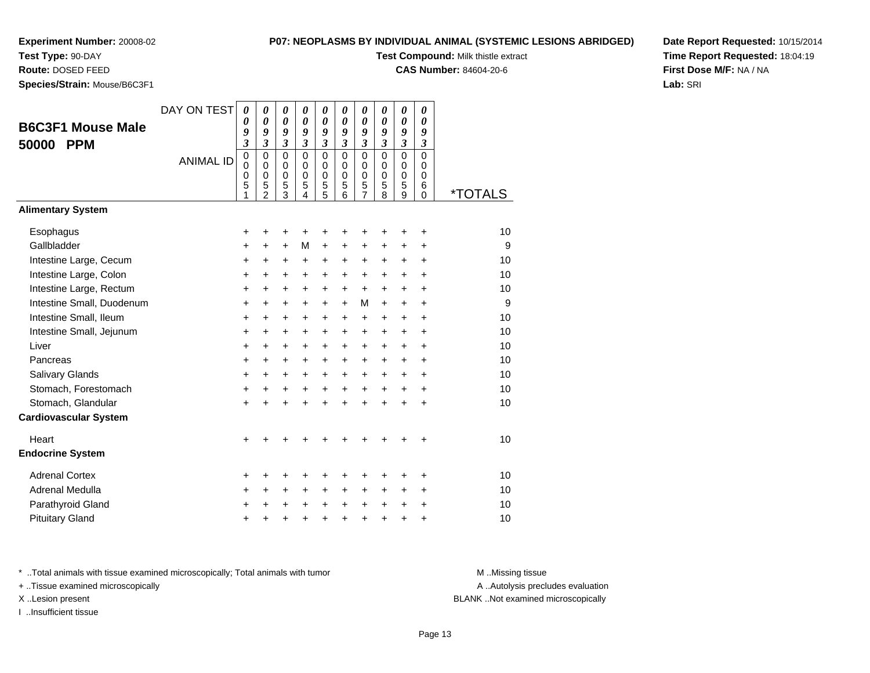#### **Test Type:** 90-DAY

**Route:** DOSED FEED

**Species/Strain:** Mouse/B6C3F1

#### **P07: NEOPLASMS BY INDIVIDUAL ANIMAL (SYSTEMIC LESIONS ABRIDGED)**

**Test Compound:** Milk thistle extract

**CAS Number:** 84604-20-6

**Date Report Requested:** 10/15/2014**Time Report Requested:** 18:04:19**First Dose M/F:** NA / NA**Lab:** SRI

| <b>B6C3F1 Mouse Male</b><br><b>PPM</b><br>50000 | DAY ON TEST<br><b>ANIMAL ID</b> | 0<br>0<br>9<br>$\overline{\mathbf{3}}$<br>$\mathbf 0$<br>$\mathbf 0$<br>0<br>5<br>1 | 0<br>$\boldsymbol{\theta}$<br>9<br>$\mathfrak{z}$<br>$\mathbf 0$<br>$\mathbf 0$<br>$\mathbf 0$<br>5<br>$\overline{2}$ | 0<br>$\boldsymbol{\theta}$<br>9<br>$\mathfrak{z}$<br>$\mathbf 0$<br>$\mathbf 0$<br>$\pmb{0}$<br>5<br>3 | 0<br>$\boldsymbol{\theta}$<br>9<br>$\mathfrak{z}$<br>$\Omega$<br>$\mathbf 0$<br>$\mathbf 0$<br>5<br>4 | 0<br>0<br>9<br>$\mathfrak{z}$<br>$\mathbf 0$<br>$\mathbf 0$<br>0<br>5<br>5 | 0<br>0<br>9<br>$\overline{\mathbf{3}}$<br>$\Omega$<br>$\mathbf 0$<br>$\mathbf 0$<br>5<br>6 | 0<br>0<br>9<br>$\overline{\mathbf{3}}$<br>$\mathbf 0$<br>$\mathbf 0$<br>$\pmb{0}$<br>5<br>$\overline{7}$ | 0<br>0<br>9<br>$\overline{\mathbf{3}}$<br>$\mathbf 0$<br>$\mathbf 0$<br>$\mathbf 0$<br>5<br>8 | 0<br>$\pmb{\theta}$<br>9<br>$\mathfrak{z}$<br>$\mathbf 0$<br>$\mathbf 0$<br>0<br>5<br>9 | 0<br>0<br>9<br>$\overline{\mathbf{3}}$<br>$\mathbf 0$<br>$\mathbf 0$<br>0<br>6<br>$\Omega$ | <i><b>*TOTALS</b></i> |
|-------------------------------------------------|---------------------------------|-------------------------------------------------------------------------------------|-----------------------------------------------------------------------------------------------------------------------|--------------------------------------------------------------------------------------------------------|-------------------------------------------------------------------------------------------------------|----------------------------------------------------------------------------|--------------------------------------------------------------------------------------------|----------------------------------------------------------------------------------------------------------|-----------------------------------------------------------------------------------------------|-----------------------------------------------------------------------------------------|--------------------------------------------------------------------------------------------|-----------------------|
| <b>Alimentary System</b>                        |                                 |                                                                                     |                                                                                                                       |                                                                                                        |                                                                                                       |                                                                            |                                                                                            |                                                                                                          |                                                                                               |                                                                                         |                                                                                            |                       |
| Esophagus                                       |                                 | +                                                                                   | +                                                                                                                     | +                                                                                                      | +                                                                                                     | +                                                                          | +                                                                                          | +                                                                                                        | +                                                                                             | +                                                                                       | +                                                                                          | 10                    |
| Gallbladder                                     |                                 | +                                                                                   | +                                                                                                                     | +                                                                                                      | M                                                                                                     | $\ddot{}$                                                                  | +                                                                                          | +                                                                                                        | +                                                                                             | +                                                                                       | $\ddot{}$                                                                                  | 9                     |
| Intestine Large, Cecum                          |                                 | +                                                                                   | +                                                                                                                     | +                                                                                                      | +                                                                                                     | +                                                                          | +                                                                                          | +                                                                                                        | $\pm$                                                                                         | $\ddot{}$                                                                               | +                                                                                          | 10                    |
| Intestine Large, Colon                          |                                 | +                                                                                   | +                                                                                                                     | $\ddot{}$                                                                                              | $\ddot{}$                                                                                             | $\ddot{}$                                                                  | +                                                                                          | +                                                                                                        | +                                                                                             | $\ddot{}$                                                                               | $\ddot{}$                                                                                  | 10                    |
| Intestine Large, Rectum                         |                                 | +                                                                                   | +                                                                                                                     | +                                                                                                      | +                                                                                                     | +                                                                          | +                                                                                          | $\ddot{}$                                                                                                | $\pm$                                                                                         | $+$                                                                                     | +                                                                                          | 10                    |
| Intestine Small, Duodenum                       |                                 | +                                                                                   | $\ddot{}$                                                                                                             | +                                                                                                      | +                                                                                                     | +                                                                          | $\ddot{}$                                                                                  | М                                                                                                        | $\ddot{}$                                                                                     | $+$                                                                                     | $\ddot{}$                                                                                  | 9                     |
| Intestine Small, Ileum                          |                                 | +                                                                                   | $\ddot{}$                                                                                                             | $\ddot{}$                                                                                              | $\ddot{}$                                                                                             | +                                                                          | +                                                                                          | +                                                                                                        | $\ddot{}$                                                                                     | $\pm$                                                                                   | $\ddot{}$                                                                                  | 10                    |
| Intestine Small, Jejunum                        |                                 | +                                                                                   | $\ddot{}$                                                                                                             | $\ddot{}$                                                                                              | +                                                                                                     | +                                                                          | +                                                                                          | +                                                                                                        | $\pm$                                                                                         | $\ddot{}$                                                                               | +                                                                                          | 10                    |
| Liver                                           |                                 | +                                                                                   | +                                                                                                                     | +                                                                                                      | +                                                                                                     | +                                                                          | +                                                                                          | +                                                                                                        | +                                                                                             | +                                                                                       | +                                                                                          | 10                    |
| Pancreas                                        |                                 | +                                                                                   | $\ddot{}$                                                                                                             | $\ddot{}$                                                                                              | +                                                                                                     | +                                                                          | +                                                                                          | +                                                                                                        | +                                                                                             | $\ddot{}$                                                                               | $\ddot{}$                                                                                  | 10                    |
| Salivary Glands                                 |                                 | +                                                                                   | +                                                                                                                     | +                                                                                                      | $\ddot{}$                                                                                             | +                                                                          | +                                                                                          | +                                                                                                        | +                                                                                             | $\ddot{}$                                                                               | $\ddot{}$                                                                                  | 10                    |
| Stomach, Forestomach                            |                                 | $\ddot{}$                                                                           | $\ddot{}$                                                                                                             | +                                                                                                      | $\ddot{}$                                                                                             | $\ddot{}$                                                                  | $\ddot{}$                                                                                  | $\ddot{}$                                                                                                | $\ddot{}$                                                                                     | $\ddot{}$                                                                               | $\ddot{}$                                                                                  | 10                    |
| Stomach, Glandular                              |                                 | $\ddot{}$                                                                           | $\ddot{}$                                                                                                             | $\ddot{}$                                                                                              | $\ddot{}$                                                                                             | $\ddot{}$                                                                  | $\ddot{}$                                                                                  | $\ddot{}$                                                                                                | $\ddot{}$                                                                                     | $\ddot{}$                                                                               | $\ddot{}$                                                                                  | 10                    |
| <b>Cardiovascular System</b>                    |                                 |                                                                                     |                                                                                                                       |                                                                                                        |                                                                                                       |                                                                            |                                                                                            |                                                                                                          |                                                                                               |                                                                                         |                                                                                            |                       |
| Heart                                           |                                 | $\ddot{}$                                                                           |                                                                                                                       |                                                                                                        |                                                                                                       |                                                                            |                                                                                            | +                                                                                                        |                                                                                               | +                                                                                       | +                                                                                          | 10                    |
| <b>Endocrine System</b>                         |                                 |                                                                                     |                                                                                                                       |                                                                                                        |                                                                                                       |                                                                            |                                                                                            |                                                                                                          |                                                                                               |                                                                                         |                                                                                            |                       |
| <b>Adrenal Cortex</b>                           |                                 | +                                                                                   | +                                                                                                                     | ٠                                                                                                      | ٠                                                                                                     | +                                                                          | +                                                                                          | +                                                                                                        |                                                                                               | ٠                                                                                       | ٠                                                                                          | 10                    |
| Adrenal Medulla                                 |                                 | +                                                                                   | +                                                                                                                     | $\ddot{}$                                                                                              | $\ddot{}$                                                                                             | +                                                                          | +                                                                                          | +                                                                                                        | $\pm$                                                                                         | $\ddot{}$                                                                               | +                                                                                          | 10                    |
| Parathyroid Gland                               |                                 | +                                                                                   | $\ddot{}$                                                                                                             | $\ddot{}$                                                                                              | $\ddot{}$                                                                                             | $\ddot{}$                                                                  | $\ddot{}$                                                                                  | $\ddot{}$                                                                                                | $\ddot{}$                                                                                     | $\ddot{}$                                                                               | $\ddot{}$                                                                                  | 10                    |
| <b>Pituitary Gland</b>                          |                                 | $\ddot{}$                                                                           | +                                                                                                                     | +                                                                                                      | $\ddot{}$                                                                                             | +                                                                          | +                                                                                          | +                                                                                                        | $\ddot{}$                                                                                     | +                                                                                       | +                                                                                          | 10                    |

\* ..Total animals with tissue examined microscopically; Total animals with tumor **M** . Missing tissue M ..Missing tissue

+ ..Tissue examined microscopically

I ..Insufficient tissue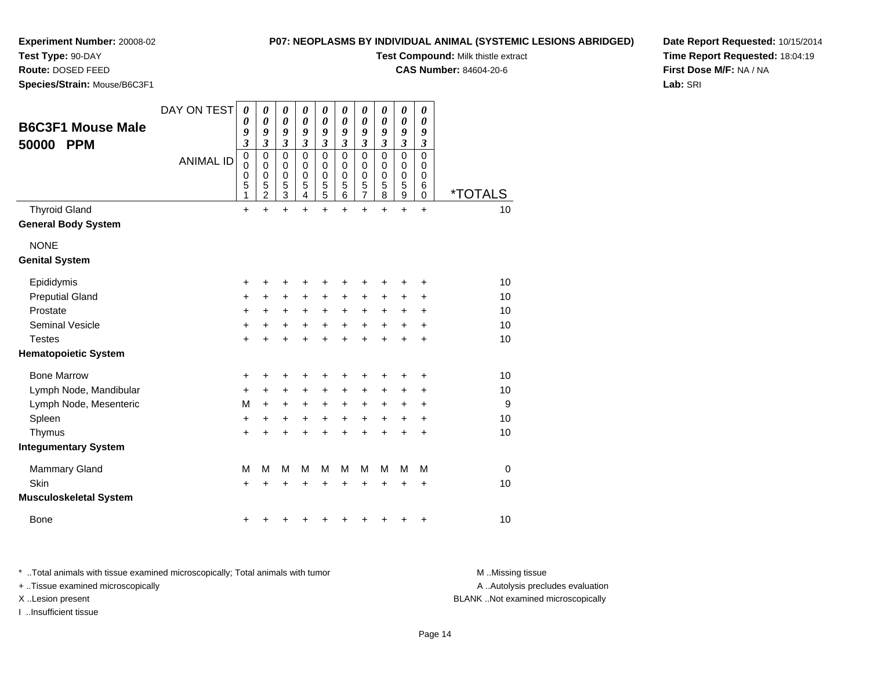**Species/Strain:** Mouse/B6C3F1

**Test Type:** 90-DAY**Route:** DOSED FEED

# **P07: NEOPLASMS BY INDIVIDUAL ANIMAL (SYSTEMIC LESIONS ABRIDGED)**

**Test Compound:** Milk thistle extract

**CAS Number:** 84604-20-6

**Date Report Requested:** 10/15/2014**Time Report Requested:** 18:04:19**First Dose M/F:** NA / NA**Lab:** SRI

| <b>B6C3F1 Mouse Male</b><br>50000<br><b>PPM</b>    | DAY ON TEST<br><b>ANIMAL ID</b> | 0<br>0<br>9<br>$\overline{\mathbf{3}}$<br>0<br>$\mathbf 0$<br>0<br>5 | 0<br>0<br>9<br>$\mathfrak{z}$<br>0<br>$\mathbf 0$<br>0 | 0<br>$\boldsymbol{\theta}$<br>9<br>$\mathfrak{z}$<br>$\mathbf 0$<br>0<br>$\boldsymbol{0}$ | 0<br>0<br>9<br>$\mathfrak{z}$<br>$\mathbf 0$<br>$\mathbf 0$<br>0 | 0<br>$\boldsymbol{\theta}$<br>9<br>$\mathfrak{z}$<br>$\mathbf 0$<br>0<br>$\boldsymbol{0}$ | 0<br>0<br>9<br>$\mathfrak{z}$<br>$\mathbf 0$<br>$\mathbf 0$<br>0 | 0<br>$\boldsymbol{\theta}$<br>9<br>$\mathfrak{z}$<br>$\mathbf 0$<br>0<br>$\boldsymbol{0}$ | 0<br>0<br>9<br>$\mathfrak{z}$<br>$\mathbf 0$<br>0<br>0 | $\boldsymbol{\theta}$<br>$\boldsymbol{\theta}$<br>9<br>$\overline{\mathbf{3}}$<br>$\mathbf 0$<br>0<br>0 | 0<br>0<br>9<br>$\mathfrak{z}$<br>$\mathbf 0$<br>0<br>0<br>6 |                       |
|----------------------------------------------------|---------------------------------|----------------------------------------------------------------------|--------------------------------------------------------|-------------------------------------------------------------------------------------------|------------------------------------------------------------------|-------------------------------------------------------------------------------------------|------------------------------------------------------------------|-------------------------------------------------------------------------------------------|--------------------------------------------------------|---------------------------------------------------------------------------------------------------------|-------------------------------------------------------------|-----------------------|
|                                                    |                                 | 1                                                                    | $\frac{5}{2}$                                          | $\frac{5}{3}$                                                                             | $\frac{5}{4}$                                                    | $\frac{5}{5}$                                                                             | $\frac{5}{6}$                                                    | $\frac{5}{7}$                                                                             | $\frac{5}{8}$                                          | $\frac{5}{9}$                                                                                           | 0                                                           | <i><b>*TOTALS</b></i> |
| <b>Thyroid Gland</b><br><b>General Body System</b> |                                 | $\ddot{}$                                                            | $\ddot{}$                                              | $\ddot{}$                                                                                 | $\ddot{}$                                                        | $\ddot{}$                                                                                 | $\ddot{}$                                                        | $\ddot{}$                                                                                 | $\ddot{}$                                              | $\ddot{}$                                                                                               | $\ddot{}$                                                   | 10                    |
| <b>NONE</b>                                        |                                 |                                                                      |                                                        |                                                                                           |                                                                  |                                                                                           |                                                                  |                                                                                           |                                                        |                                                                                                         |                                                             |                       |
| <b>Genital System</b>                              |                                 |                                                                      |                                                        |                                                                                           |                                                                  |                                                                                           |                                                                  |                                                                                           |                                                        |                                                                                                         |                                                             |                       |
| Epididymis                                         |                                 | +                                                                    | +                                                      | +                                                                                         | +                                                                | +                                                                                         | +                                                                | +                                                                                         | +                                                      | +                                                                                                       | +                                                           | 10                    |
| <b>Preputial Gland</b>                             |                                 | +                                                                    | +                                                      | +                                                                                         | +                                                                | +                                                                                         | +                                                                | +                                                                                         | +                                                      | +                                                                                                       | +                                                           | 10                    |
| Prostate                                           |                                 | +                                                                    | $\pm$                                                  | +                                                                                         | $\ddot{}$                                                        | $\ddot{}$                                                                                 | $\ddot{}$                                                        | $\ddot{}$                                                                                 | $\ddot{}$                                              | +                                                                                                       | +                                                           | 10                    |
| <b>Seminal Vesicle</b>                             |                                 | +                                                                    | +                                                      | +                                                                                         | +                                                                | +                                                                                         | +                                                                | +                                                                                         | +                                                      | +                                                                                                       | +                                                           | 10                    |
| <b>Testes</b>                                      |                                 | $\ddot{}$                                                            |                                                        | +                                                                                         |                                                                  | +                                                                                         | +                                                                | +                                                                                         |                                                        | $\ddot{}$                                                                                               | +                                                           | 10                    |
| <b>Hematopoietic System</b>                        |                                 |                                                                      |                                                        |                                                                                           |                                                                  |                                                                                           |                                                                  |                                                                                           |                                                        |                                                                                                         |                                                             |                       |
| <b>Bone Marrow</b>                                 |                                 | +                                                                    | +                                                      | +                                                                                         | +                                                                | +                                                                                         |                                                                  | +                                                                                         |                                                        | +                                                                                                       | +                                                           | 10                    |
| Lymph Node, Mandibular                             |                                 | $\ddot{}$                                                            | $\ddot{}$                                              | +                                                                                         | $\ddot{}$                                                        | $\ddot{}$                                                                                 | +                                                                | +                                                                                         | $\pm$                                                  | +                                                                                                       | +                                                           | 10                    |
| Lymph Node, Mesenteric                             |                                 | M                                                                    | +                                                      | +                                                                                         | +                                                                | $\ddot{}$                                                                                 | +                                                                | +                                                                                         | +                                                      | +                                                                                                       | +                                                           | 9                     |
| Spleen                                             |                                 | +                                                                    | +                                                      | +                                                                                         | +                                                                | +                                                                                         | +                                                                | +                                                                                         | +                                                      | +                                                                                                       | +                                                           | 10                    |
| Thymus                                             |                                 | +                                                                    |                                                        |                                                                                           |                                                                  |                                                                                           |                                                                  | +                                                                                         |                                                        | $\ddot{}$                                                                                               | +                                                           | 10                    |
| <b>Integumentary System</b>                        |                                 |                                                                      |                                                        |                                                                                           |                                                                  |                                                                                           |                                                                  |                                                                                           |                                                        |                                                                                                         |                                                             |                       |
| <b>Mammary Gland</b>                               |                                 | M                                                                    | M                                                      | M                                                                                         | M                                                                | M                                                                                         | M                                                                | M                                                                                         | M                                                      | M                                                                                                       | M                                                           | $\mathbf 0$           |
| <b>Skin</b>                                        |                                 | +                                                                    |                                                        | +                                                                                         |                                                                  | +                                                                                         |                                                                  | +                                                                                         |                                                        | +                                                                                                       | +                                                           | 10                    |
| Musculoskeletal System                             |                                 |                                                                      |                                                        |                                                                                           |                                                                  |                                                                                           |                                                                  |                                                                                           |                                                        |                                                                                                         |                                                             |                       |
| Bone                                               |                                 | +                                                                    |                                                        |                                                                                           |                                                                  |                                                                                           |                                                                  |                                                                                           |                                                        |                                                                                                         | +                                                           | 10                    |

\* ..Total animals with tissue examined microscopically; Total animals with tumor **M** . Missing tissue M ..Missing tissue

+ ..Tissue examined microscopically

I ..Insufficient tissue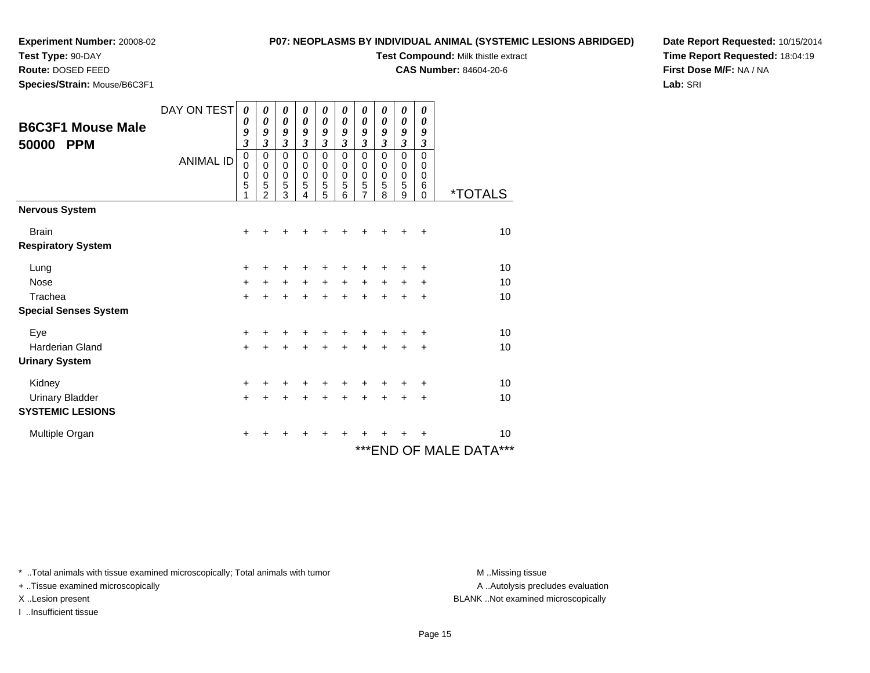# **Test Type:** 90-DAY

**Route:** DOSED FEED

**Species/Strain:** Mouse/B6C3F1

#### **P07: NEOPLASMS BY INDIVIDUAL ANIMAL (SYSTEMIC LESIONS ABRIDGED)**

**Test Compound:** Milk thistle extract

**CAS Number:** 84604-20-6

**Date Report Requested:** 10/15/2014**Time Report Requested:** 18:04:19**First Dose M/F:** NA / NA**Lab:** SRI

| <b>B6C3F1 Mouse Male</b><br>50000<br><b>PPM</b> | DAY ON TEST<br><b>ANIMAL ID</b> | 0<br>0<br>9<br>3<br>$\mathbf 0$<br>$\mathbf 0$<br>0<br>5<br>1 | 0<br>0<br>9<br>3<br>$\mathbf 0$<br>$\mathbf 0$<br>0<br>5<br>$\mathfrak{p}$ | 0<br>0<br>9<br>3<br>0<br>$\pmb{0}$<br>$\begin{array}{c} 0 \\ 5 \\ 3 \end{array}$ | 0<br>0<br>9<br>3<br>$\mathbf 0$<br>$\mathbf 0$<br>0<br>$\sqrt{5}$<br>4 | 0<br>0<br>9<br>$\overline{\mathbf{3}}$<br>$\mathbf 0$<br>0<br>0<br>5<br>5 | 0<br>$\boldsymbol{\theta}$<br>9<br>3<br>$\Omega$<br>0<br>0<br>5<br>6 | 0<br>$\boldsymbol{\theta}$<br>9<br>3<br>$\mathbf 0$<br>0<br>$\mathbf 0$<br>5<br>$\overline{7}$ | 0<br>0<br>9<br>$\mathfrak{z}$<br>$\Omega$<br>0<br>$\mathbf 0$<br>5<br>8 | 0<br>0<br>9<br>$\overline{\mathbf{3}}$<br>$\mathbf 0$<br>$\mathbf 0$<br>$\mathbf 0$<br>$\sqrt{5}$<br>9 | 0<br>0<br>9<br>3<br>$\mathbf 0$<br>0<br>0<br>6<br>$\Omega$ | <i><b>*TOTALS</b></i>        |
|-------------------------------------------------|---------------------------------|---------------------------------------------------------------|----------------------------------------------------------------------------|----------------------------------------------------------------------------------|------------------------------------------------------------------------|---------------------------------------------------------------------------|----------------------------------------------------------------------|------------------------------------------------------------------------------------------------|-------------------------------------------------------------------------|--------------------------------------------------------------------------------------------------------|------------------------------------------------------------|------------------------------|
| <b>Nervous System</b>                           |                                 |                                                               |                                                                            |                                                                                  |                                                                        |                                                                           |                                                                      |                                                                                                |                                                                         |                                                                                                        |                                                            |                              |
| <b>Brain</b><br><b>Respiratory System</b>       |                                 | +                                                             |                                                                            |                                                                                  |                                                                        |                                                                           |                                                                      |                                                                                                |                                                                         |                                                                                                        | +                                                          | 10                           |
| Lung                                            |                                 | +                                                             | +                                                                          | +                                                                                |                                                                        | +                                                                         |                                                                      |                                                                                                |                                                                         |                                                                                                        | ٠                                                          | 10                           |
| <b>Nose</b>                                     |                                 | $\ddot{}$                                                     | $\pm$                                                                      | $+$                                                                              | $+$                                                                    | $+$                                                                       | $+$                                                                  | $\ddot{}$                                                                                      | $+$                                                                     | $\pm$                                                                                                  | +                                                          | 10                           |
| Trachea                                         |                                 | $\ddot{}$                                                     | $\ddot{}$                                                                  | $\ddot{}$                                                                        | $\ddot{}$                                                              | $\ddot{}$                                                                 | $\ddot{}$                                                            | $\ddot{}$                                                                                      |                                                                         |                                                                                                        | +                                                          | 10                           |
| <b>Special Senses System</b>                    |                                 |                                                               |                                                                            |                                                                                  |                                                                        |                                                                           |                                                                      |                                                                                                |                                                                         |                                                                                                        |                                                            |                              |
| Eye                                             |                                 | +                                                             |                                                                            | +                                                                                |                                                                        | +                                                                         |                                                                      |                                                                                                |                                                                         |                                                                                                        | ÷                                                          | 10                           |
| <b>Harderian Gland</b>                          |                                 | $+$                                                           | +                                                                          | +                                                                                | +                                                                      | $\pm$                                                                     | +                                                                    | +                                                                                              | $\ddot{}$                                                               | +                                                                                                      | $\ddot{}$                                                  | 10                           |
| <b>Urinary System</b>                           |                                 |                                                               |                                                                            |                                                                                  |                                                                        |                                                                           |                                                                      |                                                                                                |                                                                         |                                                                                                        |                                                            |                              |
| Kidney                                          |                                 | +                                                             |                                                                            |                                                                                  |                                                                        |                                                                           |                                                                      |                                                                                                |                                                                         |                                                                                                        | +                                                          | 10                           |
| <b>Urinary Bladder</b>                          |                                 | $\ddot{}$                                                     | +                                                                          | $\ddot{}$                                                                        |                                                                        | $\ddot{}$                                                                 | ÷                                                                    | $\ddot{}$                                                                                      |                                                                         | $\ddot{}$                                                                                              | +                                                          | 10                           |
| <b>SYSTEMIC LESIONS</b>                         |                                 |                                                               |                                                                            |                                                                                  |                                                                        |                                                                           |                                                                      |                                                                                                |                                                                         |                                                                                                        |                                                            |                              |
| Multiple Organ                                  |                                 | +                                                             | +                                                                          | +                                                                                | +                                                                      | +                                                                         | ٠                                                                    | +                                                                                              |                                                                         |                                                                                                        | +                                                          | 10                           |
|                                                 |                                 |                                                               |                                                                            |                                                                                  |                                                                        |                                                                           |                                                                      |                                                                                                |                                                                         |                                                                                                        |                                                            | $***$<br>***END OF MALE DATA |

\* ..Total animals with tissue examined microscopically; Total animals with tumor **M** . Missing tissue M ..Missing tissue

+ ..Tissue examined microscopically

I ..Insufficient tissue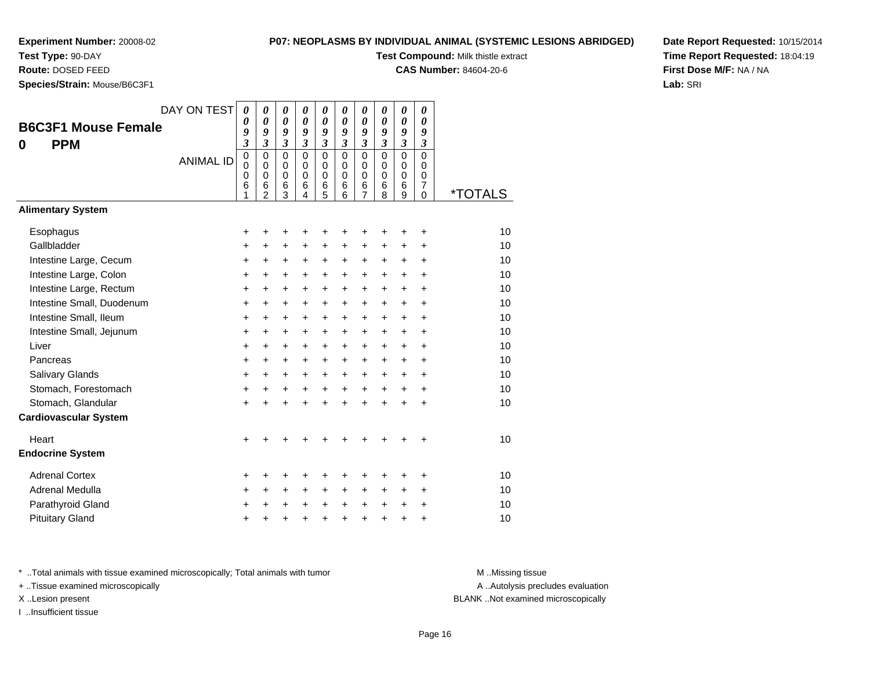# **Test Type:** 90-DAY

**Route:** DOSED FEED

**Species/Strain:** Mouse/B6C3F1

#### **P07: NEOPLASMS BY INDIVIDUAL ANIMAL (SYSTEMIC LESIONS ABRIDGED)**

**Test Compound:** Milk thistle extract

**CAS Number:** 84604-20-6

**Date Report Requested:** 10/15/2014**Time Report Requested:** 18:04:19**First Dose M/F:** NA / NA**Lab:** SRI

|       |                              | DAY ON TEST      | $\boldsymbol{\theta}$      | $\boldsymbol{\theta}$<br>0 | 0                       | 0                    | 0                | 0<br>0               | 0<br>$\theta$    | 0<br>0                  | 0                | 0                |         |
|-------|------------------------------|------------------|----------------------------|----------------------------|-------------------------|----------------------|------------------|----------------------|------------------|-------------------------|------------------|------------------|---------|
|       | <b>B6C3F1 Mouse Female</b>   |                  | 0<br>9                     | 9                          | 0<br>9                  | 0<br>9               | 0<br>9           | 9                    | 9                | 9                       | 0<br>9           | 0<br>9           |         |
| 0     | <b>PPM</b>                   |                  | $\overline{\mathbf{3}}$    | $\mathfrak{z}$             | $\mathfrak{z}$          | $\mathfrak{z}$       | $\mathfrak{z}$   | $\mathfrak{z}$       | $\mathfrak{z}$   | $\mathfrak{z}$          | $\mathfrak{z}$   | 3                |         |
|       |                              | <b>ANIMAL ID</b> | $\mathbf 0$<br>$\mathbf 0$ | 0<br>$\Omega$              | $\Omega$<br>$\mathbf 0$ | $\Omega$<br>$\Omega$ | $\mathbf 0$<br>0 | $\Omega$<br>$\Omega$ | $\mathbf 0$<br>0 | $\mathbf 0$<br>$\Omega$ | $\mathbf 0$<br>0 | $\mathbf 0$<br>0 |         |
|       |                              |                  | $\mathbf 0$                | $\mathbf 0$                | 0                       | $\Omega$             | $\mathbf 0$      | $\Omega$             | $\mathbf 0$      | $\mathbf 0$             | $\mathbf 0$      | 0                |         |
|       |                              |                  | 6<br>1                     | 6<br>2                     | 6<br>3                  | 6<br>4               | 6<br>5           | 6<br>6               | 6<br>7           | 6<br>8                  | 6<br>9           | 7<br>0           | *TOTALS |
|       | <b>Alimentary System</b>     |                  |                            |                            |                         |                      |                  |                      |                  |                         |                  |                  |         |
|       | Esophagus                    |                  | +                          | +                          | +                       | +                    | +                | +                    | +                |                         | +                | +                | 10      |
|       | Gallbladder                  |                  | +                          | +                          | +                       | +                    | +                | +                    | +                | +                       | +                | +                | 10      |
|       | Intestine Large, Cecum       |                  | $\ddot{}$                  | $\ddot{}$                  | +                       | $\ddot{}$            | $\ddot{}$        | +                    | $\ddot{}$        | $\ddot{}$               | $\ddot{}$        | $\ddot{}$        | 10      |
|       | Intestine Large, Colon       |                  | +                          | $\ddot{}$                  | $\ddot{}$               | $\ddot{}$            | $\ddot{}$        | $\ddot{}$            | $\ddot{}$        | $\ddot{}$               | $\ddot{}$        | $\ddot{}$        | 10      |
|       | Intestine Large, Rectum      |                  | $\ddot{}$                  | $\ddot{}$                  | +                       | $\ddot{}$            | $\ddot{}$        | $\ddot{}$            | $\ddot{}$        | $\ddot{}$               | $\ddot{}$        | $\ddot{}$        | 10      |
|       | Intestine Small, Duodenum    |                  | +                          | $\ddot{}$                  | +                       | $\ddot{}$            | $\ddot{}$        | $\ddot{}$            | +                | $\ddot{}$               | $\ddot{}$        | $\ddot{}$        | 10      |
|       | Intestine Small, Ileum       |                  | +                          | $\ddot{}$                  | $\ddot{}$               | $\ddot{}$            | $\ddot{}$        | +                    | $\ddot{}$        | $\ddot{}$               | $\ddot{}$        | $\ddot{}$        | 10      |
|       | Intestine Small, Jejunum     |                  | +                          | $\ddot{}$                  | $\ddot{}$               | $\ddot{}$            | $\ddot{}$        | $\ddot{}$            | $\ddot{}$        | $\ddot{}$               | $\ddot{}$        | $\ddot{}$        | 10      |
| Liver |                              |                  | +                          | $\ddot{}$                  | +                       | $\ddot{}$            | $\ddot{}$        | $\pm$                | $\ddot{}$        | $\ddot{}$               | $\ddot{}$        | +                | 10      |
|       | Pancreas                     |                  | +                          | +                          | +                       | +                    | $\ddot{}$        | $\ddot{}$            | +                | $\ddot{}$               | $\ddot{}$        | $\ddot{}$        | 10      |
|       | Salivary Glands              |                  | +                          | $\ddot{}$                  | $\ddot{}$               | $\ddot{}$            | $\ddot{}$        | +                    | +                | $\ddot{}$               | $\ddot{}$        | $\ddot{}$        | 10      |
|       | Stomach, Forestomach         |                  | +                          | +                          | +                       | $\ddot{}$            | $\ddot{}$        | $+$                  | $\ddot{}$        | $+$                     | $\ddot{}$        | $\ddot{}$        | 10      |
|       | Stomach, Glandular           |                  | +                          |                            | +                       |                      | $\ddot{}$        | $\ddot{}$            | $\ddot{}$        | $\ddot{}$               | $\ddot{}$        | $\ddot{}$        | 10      |
|       | <b>Cardiovascular System</b> |                  |                            |                            |                         |                      |                  |                      |                  |                         |                  |                  |         |
| Heart |                              |                  | $\ddot{}$                  |                            |                         |                      |                  |                      | +                |                         | +                | +                | 10      |
|       | <b>Endocrine System</b>      |                  |                            |                            |                         |                      |                  |                      |                  |                         |                  |                  |         |
|       | <b>Adrenal Cortex</b>        |                  | +                          | +                          |                         |                      | +                | +                    | +                |                         | +                | +                | 10      |
|       | Adrenal Medulla              |                  | +                          | $\ddot{}$                  | +                       | +                    | +                | +                    | +                | +                       | +                | ٠                | 10      |
|       | Parathyroid Gland            |                  | +                          | +                          | $\ddot{}$               | $\ddot{}$            | +                | $\ddot{}$            | +                | $\ddot{}$               | +                | +                | 10      |
|       | <b>Pituitary Gland</b>       |                  | +                          | +                          | +                       | +                    | +                | +                    | +                | +                       | +                | +                | 10      |

\* ..Total animals with tissue examined microscopically; Total animals with tumor **M** . Missing tissue M ..Missing tissue

+ ..Tissue examined microscopically

I ..Insufficient tissue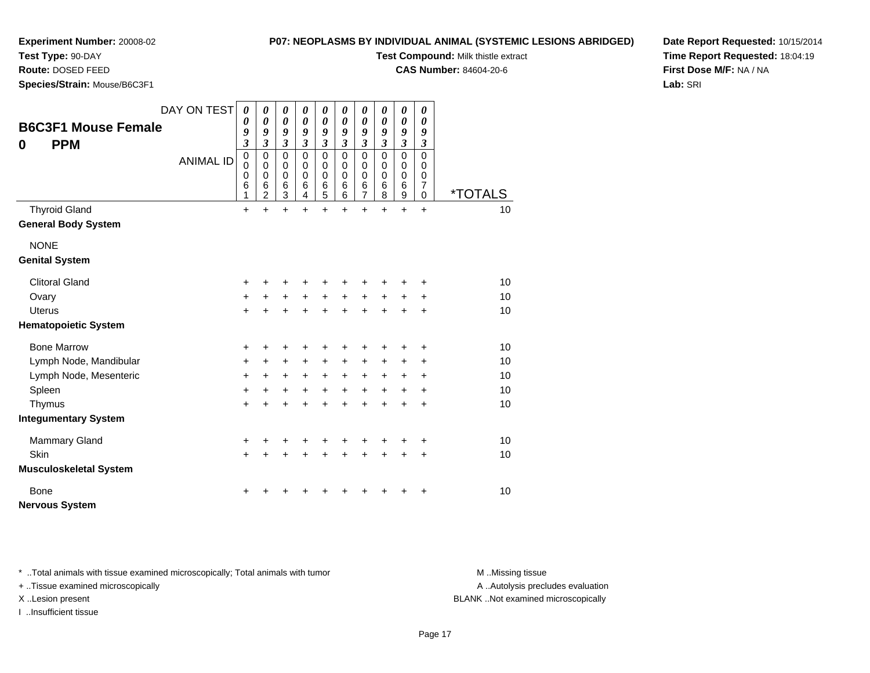# **Test Type:** 90-DAY

**Route:** DOSED FEED

**Species/Strain:** Mouse/B6C3F1

#### **P07: NEOPLASMS BY INDIVIDUAL ANIMAL (SYSTEMIC LESIONS ABRIDGED)**

**Test Compound:** Milk thistle extract

**CAS Number:** 84604-20-6

**Date Report Requested:** 10/15/2014**Time Report Requested:** 18:04:19**First Dose M/F:** NA / NA**Lab:** SRI

| <b>B6C3F1 Mouse Female</b><br><b>PPM</b><br>0      | DAY ON TEST      | $\boldsymbol{\theta}$<br>0<br>9<br>$\mathfrak{z}$   | 0<br>$\boldsymbol{\theta}$<br>9<br>$\overline{\mathbf{3}}$     | 0<br>$\boldsymbol{\theta}$<br>9<br>$\mathfrak{z}$ | 0<br>$\boldsymbol{\theta}$<br>9<br>$\mathfrak{z}$ | $\boldsymbol{\theta}$<br>$\boldsymbol{\theta}$<br>9<br>$\overline{\mathbf{3}}$ | 0<br>0<br>9<br>$\overline{\mathbf{3}}$              | 0<br>$\boldsymbol{\theta}$<br>9<br>$\overline{\mathbf{3}}$ | 0<br>0<br>9<br>$\overline{3}$   | 0<br>$\boldsymbol{\theta}$<br>9<br>$\overline{\mathbf{3}}$ | $\boldsymbol{\theta}$<br>$\boldsymbol{\theta}$<br>9<br>$\mathfrak{z}$ |                       |
|----------------------------------------------------|------------------|-----------------------------------------------------|----------------------------------------------------------------|---------------------------------------------------|---------------------------------------------------|--------------------------------------------------------------------------------|-----------------------------------------------------|------------------------------------------------------------|---------------------------------|------------------------------------------------------------|-----------------------------------------------------------------------|-----------------------|
|                                                    | <b>ANIMAL ID</b> | $\mathbf 0$<br>$\mathbf 0$<br>$\mathbf 0$<br>6<br>1 | $\mathbf 0$<br>$\pmb{0}$<br>$\mathbf 0$<br>6<br>$\overline{2}$ | $\mathbf 0$<br>$\mathbf 0$<br>0<br>6<br>3         | $\Omega$<br>$\mathbf 0$<br>$\mathbf 0$<br>6<br>4  | $\mathbf 0$<br>$\mathbf 0$<br>$\mathbf 0$<br>$\,6$<br>5                        | $\mathbf 0$<br>$\mathbf 0$<br>$\mathbf 0$<br>6<br>6 | 0<br>0<br>0<br>$\,6$<br>$\overline{7}$                     | $\mathbf 0$<br>0<br>0<br>6<br>8 | 0<br>$\pmb{0}$<br>$\mathbf 0$<br>6<br>9                    | $\mathbf 0$<br>0<br>0<br>$\overline{7}$<br>0                          | <i><b>*TOTALS</b></i> |
| <b>Thyroid Gland</b><br><b>General Body System</b> |                  | +                                                   | $\ddot{}$                                                      | $\ddot{}$                                         | $\ddot{}$                                         | $\ddot{}$                                                                      | $\ddot{}$                                           | $\ddot{}$                                                  | $\ddot{}$                       | $\ddot{}$                                                  | $\ddot{}$                                                             | 10                    |
| <b>NONE</b><br><b>Genital System</b>               |                  |                                                     |                                                                |                                                   |                                                   |                                                                                |                                                     |                                                            |                                 |                                                            |                                                                       |                       |
| <b>Clitoral Gland</b>                              |                  | +                                                   | +                                                              | +                                                 | +                                                 | +                                                                              |                                                     | +                                                          |                                 |                                                            | +                                                                     | 10                    |
| Ovary                                              |                  | $\ddot{}$                                           | +                                                              | $\ddot{}$                                         | $\ddot{}$                                         | $\ddot{}$                                                                      | $\ddot{}$                                           | $\ddot{}$                                                  | $\ddot{}$                       | +                                                          | +                                                                     | 10                    |
| <b>Uterus</b>                                      |                  | $\ddot{}$                                           | $\ddot{}$                                                      | $\ddot{}$                                         | $\ddot{}$                                         | $\ddot{}$                                                                      | $\ddot{}$                                           | $\ddot{}$                                                  | $\ddot{}$                       | $\ddot{}$                                                  | $\ddot{}$                                                             | 10                    |
| <b>Hematopoietic System</b>                        |                  |                                                     |                                                                |                                                   |                                                   |                                                                                |                                                     |                                                            |                                 |                                                            |                                                                       |                       |
| <b>Bone Marrow</b>                                 |                  | $\ddot{}$                                           | +                                                              | +                                                 | +                                                 | +                                                                              |                                                     | +                                                          |                                 |                                                            | +                                                                     | 10                    |
| Lymph Node, Mandibular                             |                  | $\ddot{}$                                           | +                                                              | +                                                 | +                                                 | $\ddot{}$                                                                      | +                                                   | +                                                          | +                               | +                                                          | +                                                                     | 10                    |
| Lymph Node, Mesenteric                             |                  | $\ddot{}$                                           | +                                                              | $\ddot{}$                                         | $\ddot{}$                                         | $\ddot{}$                                                                      | $\ddot{}$                                           | $\ddot{}$                                                  | $\ddot{}$                       | $\ddot{}$                                                  | +                                                                     | 10                    |
| Spleen                                             |                  | $\ddot{}$                                           | +                                                              | +                                                 | $\ddot{}$                                         | $\ddot{}$                                                                      | $\ddot{}$                                           | $\ddot{}$                                                  | $\ddot{}$                       | $\ddot{}$                                                  | $\ddot{}$                                                             | 10                    |
| Thymus                                             |                  | $\ddot{}$                                           | $\ddot{}$                                                      | $\ddot{}$                                         | $\ddot{}$                                         | $\ddot{}$                                                                      | $\ddot{}$                                           | $\ddot{}$                                                  | $\ddot{}$                       | $\ddot{}$                                                  | $\ddot{}$                                                             | 10                    |
| <b>Integumentary System</b>                        |                  |                                                     |                                                                |                                                   |                                                   |                                                                                |                                                     |                                                            |                                 |                                                            |                                                                       |                       |
| <b>Mammary Gland</b>                               |                  | $\ddot{}$                                           | +                                                              | +                                                 | +                                                 | +                                                                              |                                                     |                                                            |                                 | +                                                          | +                                                                     | 10                    |
| Skin                                               |                  | $\ddot{}$                                           | $\ddot{}$                                                      | $\ddot{}$                                         | $\ddot{}$                                         | $\ddot{}$                                                                      | $\ddot{}$                                           | $\ddot{}$                                                  | $\ddot{}$                       | $\ddot{}$                                                  | $\ddot{}$                                                             | 10                    |
| <b>Musculoskeletal System</b>                      |                  |                                                     |                                                                |                                                   |                                                   |                                                                                |                                                     |                                                            |                                 |                                                            |                                                                       |                       |
| Bone                                               |                  | ٠                                                   |                                                                |                                                   |                                                   |                                                                                |                                                     |                                                            |                                 |                                                            | +                                                                     | 10                    |
| <b>Nervous System</b>                              |                  |                                                     |                                                                |                                                   |                                                   |                                                                                |                                                     |                                                            |                                 |                                                            |                                                                       |                       |

\* ..Total animals with tissue examined microscopically; Total animals with tumor **M** . Missing tissue M ..Missing tissue

+ ..Tissue examined microscopically

I ..Insufficient tissue

A ..Autolysis precludes evaluation

X ..Lesion present BLANK ..Not examined microscopically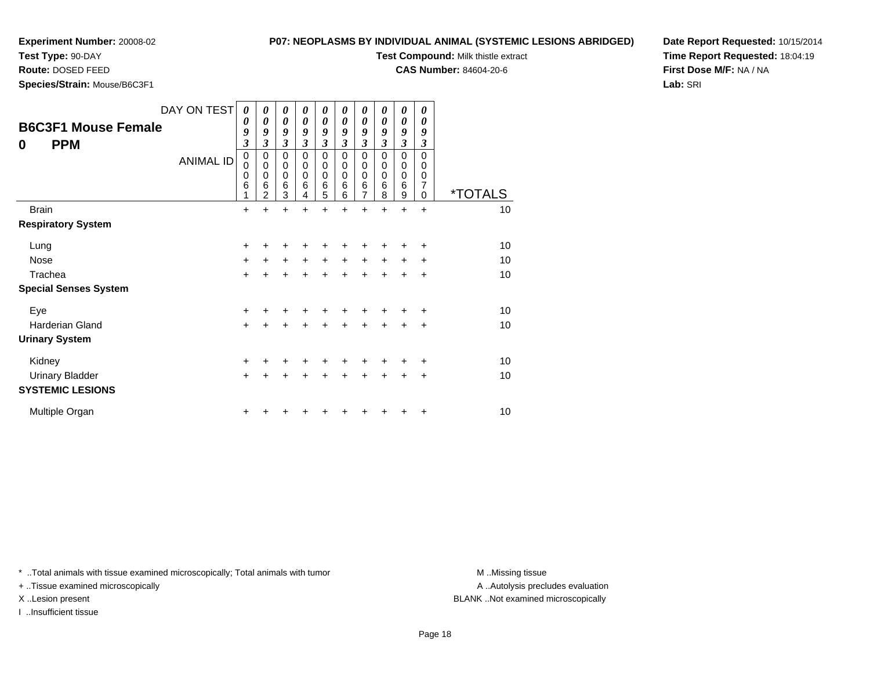# **Test Type:** 90-DAY

**Route:** DOSED FEED

**Species/Strain:** Mouse/B6C3F1

**P07: NEOPLASMS BY INDIVIDUAL ANIMAL (SYSTEMIC LESIONS ABRIDGED)**

**Test Compound:** Milk thistle extract

**CAS Number:** 84604-20-6

**Date Report Requested:** 10/15/2014**Time Report Requested:** 18:04:19**First Dose M/F:** NA / NA**Lab:** SRI

| <b>B6C3F1 Mouse Female</b><br><b>PPM</b><br>0 | DAY ON TEST<br><b>ANIMAL ID</b> | $\boldsymbol{\theta}$<br>0<br>9<br>$\overline{\mathbf{3}}$<br>$\mathbf 0$<br>0<br>$\mathbf 0$<br>6<br>1 | 0<br>0<br>9<br>$\overline{\mathbf{3}}$<br>0<br>$\mathbf 0$<br>$\mathbf 0$<br>$6\phantom{1}6$<br>$\overline{2}$ | 0<br>$\boldsymbol{\theta}$<br>9<br>$\mathfrak{z}$<br>$\mathbf 0$<br>$\mathbf 0$<br>$\pmb{0}$<br>$\,6$<br>3 | 0<br>$\boldsymbol{\theta}$<br>9<br>3<br>$\mathbf 0$<br>0<br>$\mathbf 0$<br>6<br>4 | 0<br>$\boldsymbol{\theta}$<br>9<br>$\boldsymbol{\beta}$<br>$\mathbf 0$<br>$\mathbf 0$<br>$\mathbf 0$<br>$\,6$<br>5 | 0<br>$\boldsymbol{\theta}$<br>9<br>3<br>0<br>0<br>0<br>$\,6$<br>6 | 0<br>$\boldsymbol{\theta}$<br>9<br>$\overline{\mathbf{3}}$<br>0<br>0<br>$\mathbf 0$<br>$\,6$<br>$\overline{7}$ | 0<br>$\boldsymbol{\theta}$<br>9<br>3<br>0<br>0<br>0<br>$6\phantom{1}6$<br>8 | 0<br>0<br>9<br>$\boldsymbol{\beta}$<br>$\mathbf 0$<br>0<br>0<br>$\,6$<br>9 | 0<br>0<br>9<br>3<br>$\Omega$<br>0<br>0<br>7<br>0 | <i><b>*TOTALS</b></i> |
|-----------------------------------------------|---------------------------------|---------------------------------------------------------------------------------------------------------|----------------------------------------------------------------------------------------------------------------|------------------------------------------------------------------------------------------------------------|-----------------------------------------------------------------------------------|--------------------------------------------------------------------------------------------------------------------|-------------------------------------------------------------------|----------------------------------------------------------------------------------------------------------------|-----------------------------------------------------------------------------|----------------------------------------------------------------------------|--------------------------------------------------|-----------------------|
| <b>Brain</b>                                  |                                 | +                                                                                                       |                                                                                                                | $\ddot{}$                                                                                                  |                                                                                   | +                                                                                                                  |                                                                   | $\ddot{}$                                                                                                      |                                                                             | +                                                                          | $\ddot{}$                                        | 10                    |
| <b>Respiratory System</b>                     |                                 |                                                                                                         |                                                                                                                |                                                                                                            |                                                                                   |                                                                                                                    |                                                                   |                                                                                                                |                                                                             |                                                                            |                                                  |                       |
| Lung                                          |                                 | $\ddot{}$                                                                                               |                                                                                                                |                                                                                                            |                                                                                   | +                                                                                                                  |                                                                   |                                                                                                                |                                                                             |                                                                            |                                                  | 10                    |
| Nose                                          |                                 | +                                                                                                       | +                                                                                                              | $\ddot{}$                                                                                                  | $\ddot{}$                                                                         | $\ddot{}$                                                                                                          | $\ddot{}$                                                         | $\ddot{}$                                                                                                      | $\ddot{}$                                                                   | $\ddot{}$                                                                  | $\ddot{}$                                        | 10                    |
| Trachea                                       |                                 | $\ddot{}$                                                                                               | +                                                                                                              | $\ddot{}$                                                                                                  | $\ddot{}$                                                                         | $\ddot{}$                                                                                                          | $\ddot{}$                                                         | $\ddot{}$                                                                                                      | $\ddot{}$                                                                   | $\pm$                                                                      | +                                                | 10                    |
| <b>Special Senses System</b>                  |                                 |                                                                                                         |                                                                                                                |                                                                                                            |                                                                                   |                                                                                                                    |                                                                   |                                                                                                                |                                                                             |                                                                            |                                                  |                       |
| Eye                                           |                                 | +                                                                                                       |                                                                                                                | +                                                                                                          | +                                                                                 | +                                                                                                                  | +                                                                 | +                                                                                                              |                                                                             | +                                                                          | +                                                | 10                    |
| <b>Harderian Gland</b>                        |                                 | $\ddot{}$                                                                                               | +                                                                                                              | +                                                                                                          | +                                                                                 | $\ddot{}$                                                                                                          | $\ddot{}$                                                         | $\ddot{}$                                                                                                      | $\ddot{}$                                                                   | $\ddot{}$                                                                  | $\ddot{}$                                        | 10                    |
| <b>Urinary System</b>                         |                                 |                                                                                                         |                                                                                                                |                                                                                                            |                                                                                   |                                                                                                                    |                                                                   |                                                                                                                |                                                                             |                                                                            |                                                  |                       |
| Kidney                                        |                                 | +                                                                                                       |                                                                                                                | +                                                                                                          |                                                                                   | ٠                                                                                                                  |                                                                   | +                                                                                                              |                                                                             |                                                                            | ٠                                                | 10                    |
| <b>Urinary Bladder</b>                        |                                 | $\ddot{}$                                                                                               | +                                                                                                              | +                                                                                                          |                                                                                   | +                                                                                                                  | +                                                                 | $\ddot{}$                                                                                                      | +                                                                           | $\pm$                                                                      | $\ddot{}$                                        | 10                    |
| <b>SYSTEMIC LESIONS</b>                       |                                 |                                                                                                         |                                                                                                                |                                                                                                            |                                                                                   |                                                                                                                    |                                                                   |                                                                                                                |                                                                             |                                                                            |                                                  |                       |
| Multiple Organ                                |                                 | +                                                                                                       |                                                                                                                |                                                                                                            |                                                                                   |                                                                                                                    |                                                                   |                                                                                                                |                                                                             |                                                                            | +                                                | 10                    |

\* ..Total animals with tissue examined microscopically; Total animals with tumor **M** . Missing tissue M ..Missing tissue

+ ..Tissue examined microscopically

I ..Insufficient tissue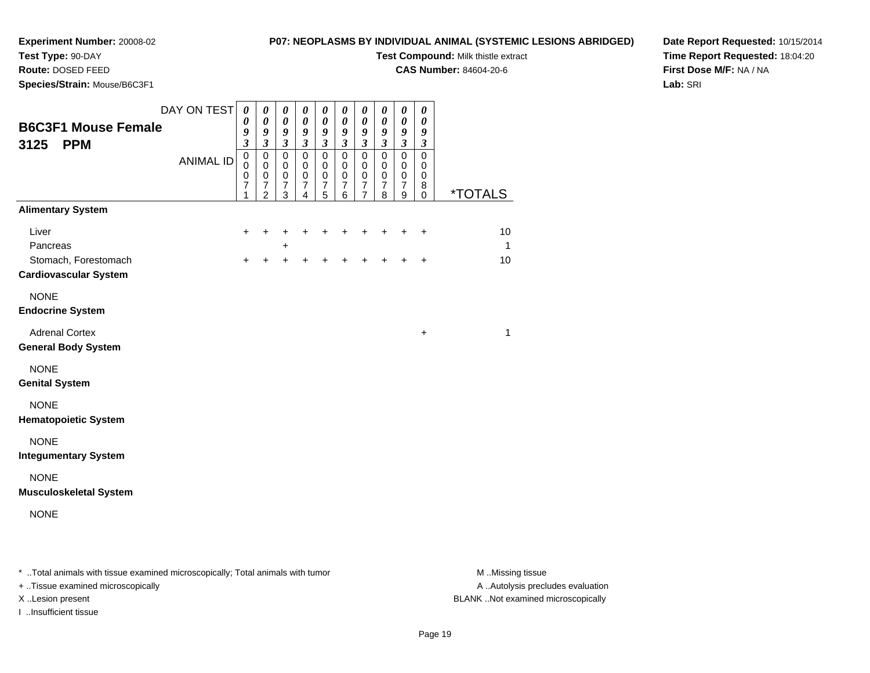**Test Type:** 90-DAY**Route:** DOSED FEED

#### **P07: NEOPLASMS BY INDIVIDUAL ANIMAL (SYSTEMIC LESIONS ABRIDGED)**

**Test Compound:** Milk thistle extract

**CAS Number:** 84604-20-6

**Date Report Requested:** 10/15/2014**Time Report Requested:** 18:04:20**First Dose M/F:** NA / NA**Lab:** SRI

 **Species/Strain:** Mouse/B6C3F1DAY ON TEST**B6C3F1 Mouse Female3125 PPM**ANIMAL ID*0 0 9 3* 0 0 0 7 1*0 0 9 3* 0 0 0 7 2*0 0 9 3* 0 0 0 7 3*0 0 9 3* 0 0 0 7 4*0 0 9 3* 0 0 0 7 5*0 0 9 3* 0 0 0 7 6*0 0 9 3* 0 0 0 7 7*0 0 9 3* 0 0 0 7 8*0 0 9 3* 0 0 0 7 9*0 0 9 3* 0 0 0 8 $\check{\mathrm{o}}$ 0 \*TOTALS**Alimentary System**Liver $\mathsf{r}$  + <sup>+</sup> <sup>+</sup> <sup>+</sup> <sup>+</sup> <sup>+</sup> <sup>+</sup> <sup>+</sup> <sup>+</sup> <sup>+</sup> <sup>10</sup> Pancreas <sup>+</sup> $\pm$  1 Stomach, Forestomach $\mathsf{h}$  + <sup>+</sup> <sup>+</sup> <sup>+</sup> <sup>+</sup> <sup>+</sup> <sup>+</sup> <sup>+</sup> <sup>+</sup> <sup>+</sup> <sup>10</sup> **Cardiovascular System**NONE **Endocrine System**Adrenal Cortex $\mathsf{X}$  $+$  1 **General Body System**NONE **Genital System**NONE **Hematopoietic System**NONE **Integumentary System**NONE **Musculoskeletal System**NONE

\* ..Total animals with tissue examined microscopically; Total animals with tumor **M** ..Missing tissue M ..Missing tissue A ..Autolysis precludes evaluation + ..Tissue examined microscopically X ..Lesion present BLANK ..Not examined microscopicallyI ..Insufficient tissue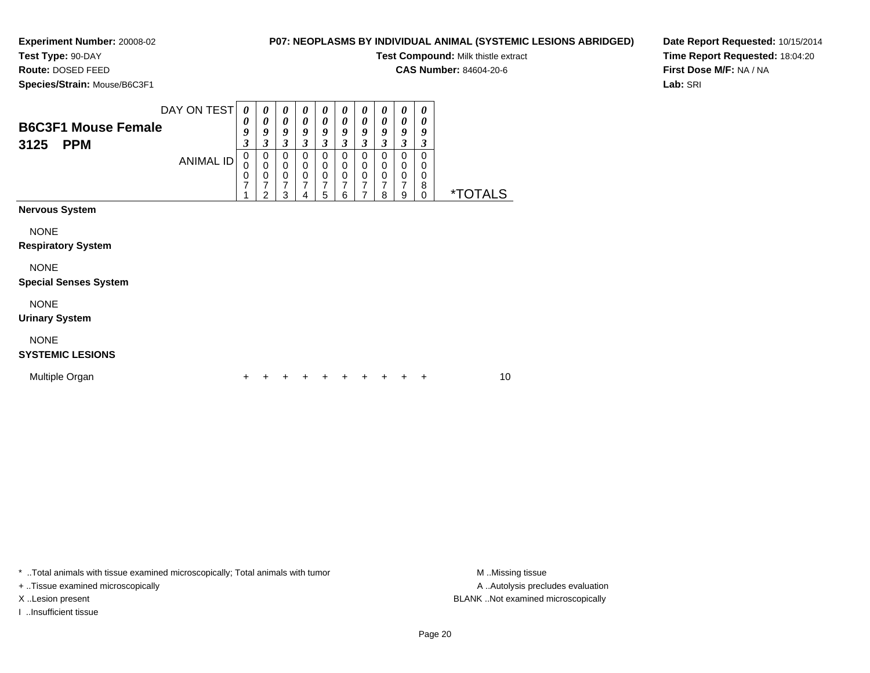**Experiment Number:** 20008-02**Test Type:** 90-DAY

## **P07: NEOPLASMS BY INDIVIDUAL ANIMAL (SYSTEMIC LESIONS ABRIDGED)**

**Test Compound:** Milk thistle extract

**CAS Number:** 84604-20-6

**Species/Strain:** Mouse/B6C3F1

**Route:** DOSED FEED

**Date Report Requested:** 10/15/2014**Time Report Requested:** 18:04:20**First Dose M/F:** NA / NA**Lab:** SRI

| DAY ON TEST<br><b>B6C3F1 Mouse Female</b><br>3125<br><b>PPM</b> | <b>ANIMAL ID</b> | 0<br>0<br>9<br>$\overline{\mathbf{3}}$<br>0<br>0<br>0<br>7 | 0<br>$\boldsymbol{\theta}$<br>9<br>$\mathfrak{z}$<br>0<br>$\pmb{0}$<br>$\mathbf 0$<br>$\overline{7}$<br>$\overline{2}$ | 0<br>$\pmb{\theta}$<br>9<br>3<br>0<br>$\pmb{0}$<br>$\frac{0}{7}$<br>3 | 0<br>$\boldsymbol{\theta}$<br>9<br>$\mathfrak{z}$<br>0<br>$\mathbf 0$<br>$\mathbf 0$<br>$\overline{7}$<br>4 | 0<br>0<br>9<br>3<br>0<br>$\mathbf 0$<br>$\mathbf 0$<br>7<br>5 | 0<br>$\boldsymbol{\theta}$<br>9<br>$\mathfrak{z}$<br>0<br>$\mathbf 0$<br>$\mathbf 0$<br>7<br>6 | 0<br>$\boldsymbol{\theta}$<br>9<br>$\overline{\mathbf{3}}$<br>0<br>$\mathbf 0$<br>$\mathbf 0$<br>7<br>7 | 0<br>$\boldsymbol{\theta}$<br>9<br>$\mathfrak{z}$<br>0<br>$\pmb{0}$<br>$\pmb{0}$<br>7<br>8 | 0<br>0<br>9<br>3<br>0<br>$\mathbf 0$<br>0<br>$\overline{7}$<br>9 | 0<br>0<br>9<br>3<br>0<br>0<br>0<br>$\bf8$<br>$\mathbf 0$ | <i><b>*TOTALS</b></i> |    |
|-----------------------------------------------------------------|------------------|------------------------------------------------------------|------------------------------------------------------------------------------------------------------------------------|-----------------------------------------------------------------------|-------------------------------------------------------------------------------------------------------------|---------------------------------------------------------------|------------------------------------------------------------------------------------------------|---------------------------------------------------------------------------------------------------------|--------------------------------------------------------------------------------------------|------------------------------------------------------------------|----------------------------------------------------------|-----------------------|----|
| <b>Nervous System</b>                                           |                  |                                                            |                                                                                                                        |                                                                       |                                                                                                             |                                                               |                                                                                                |                                                                                                         |                                                                                            |                                                                  |                                                          |                       |    |
| <b>NONE</b><br><b>Respiratory System</b>                        |                  |                                                            |                                                                                                                        |                                                                       |                                                                                                             |                                                               |                                                                                                |                                                                                                         |                                                                                            |                                                                  |                                                          |                       |    |
| <b>NONE</b><br><b>Special Senses System</b>                     |                  |                                                            |                                                                                                                        |                                                                       |                                                                                                             |                                                               |                                                                                                |                                                                                                         |                                                                                            |                                                                  |                                                          |                       |    |
| <b>NONE</b><br><b>Urinary System</b>                            |                  |                                                            |                                                                                                                        |                                                                       |                                                                                                             |                                                               |                                                                                                |                                                                                                         |                                                                                            |                                                                  |                                                          |                       |    |
| <b>NONE</b><br><b>SYSTEMIC LESIONS</b>                          |                  |                                                            |                                                                                                                        |                                                                       |                                                                                                             |                                                               |                                                                                                |                                                                                                         |                                                                                            |                                                                  |                                                          |                       |    |
| Multiple Organ                                                  |                  | +                                                          |                                                                                                                        |                                                                       |                                                                                                             |                                                               |                                                                                                |                                                                                                         |                                                                                            |                                                                  | ÷                                                        |                       | 10 |

\* ..Total animals with tissue examined microscopically; Total animals with tumor **M** . Missing tissue M ..Missing tissue

+ ..Tissue examined microscopically

I ..Insufficient tissue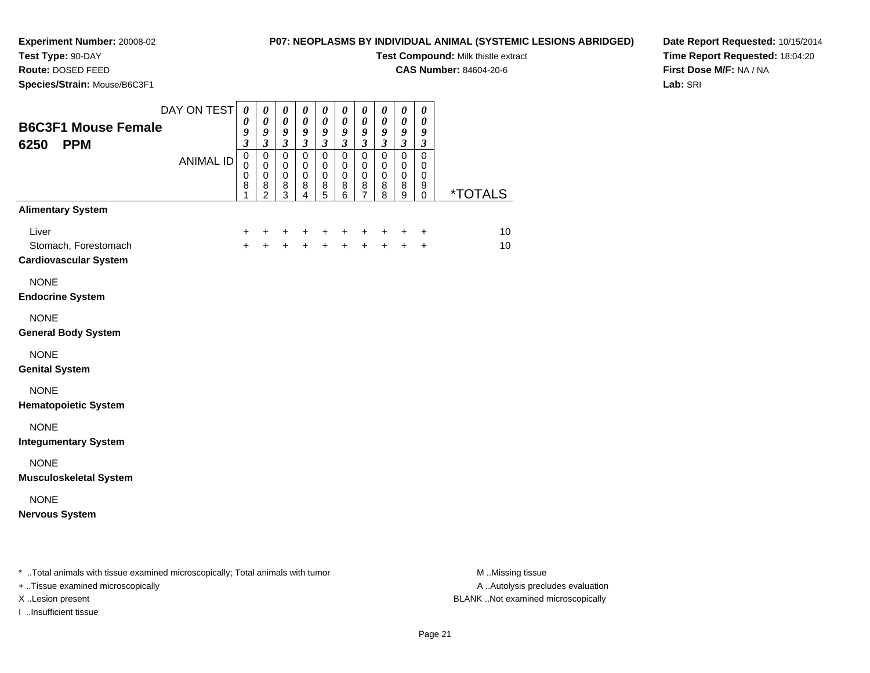# **Test Type:** 90-DAY

**Route:** DOSED FEED

**Species/Strain:** Mouse/B6C3F1

### **P07: NEOPLASMS BY INDIVIDUAL ANIMAL (SYSTEMIC LESIONS ABRIDGED)**

**Test Compound:** Milk thistle extract

**CAS Number:** 84604-20-6

**Date Report Requested:** 10/15/2014**Time Report Requested:** 18:04:20**First Dose M/F:** NA / NA**Lab:** SRI

| <b>B6C3F1 Mouse Female</b><br>6250<br><b>PPM</b><br><b>Alimentary System</b> | DAY ON TEST<br><b>ANIMAL ID</b> | $\boldsymbol{\theta}$<br>$\boldsymbol{\theta}$<br>9<br>$\mathfrak{z}$<br>$\pmb{0}$<br>$\pmb{0}$<br>$\pmb{0}$<br>8<br>1 | 0<br>$\pmb{\theta}$<br>$\pmb{9}$<br>$\overline{\mathbf{3}}$<br>$\pmb{0}$<br>$\mathbf 0$<br>$\pmb{0}$<br>8<br>$\overline{2}$ | $\boldsymbol{\theta}$<br>$\boldsymbol{\theta}$<br>9<br>$\mathfrak{z}$<br>$\mathbf 0$<br>$\mathbf 0$<br>$\pmb{0}$<br>8<br>3 | 0<br>0<br>9<br>$\overline{\mathbf{3}}$<br>$\pmb{0}$<br>$\mathbf 0$<br>0<br>8<br>$\overline{4}$ | 0<br>$\boldsymbol{\theta}$<br>9<br>$\overline{\mathbf{3}}$<br>$\pmb{0}$<br>$\pmb{0}$<br>$\pmb{0}$<br>8<br>5 | 0<br>$\boldsymbol{\theta}$<br>$\boldsymbol{g}$<br>$\mathfrak{z}$<br>$\pmb{0}$<br>$\mathbf 0$<br>$\mathbf 0$<br>8<br>6 | 0<br>0<br>$\boldsymbol{g}$<br>$\mathfrak{z}$<br>$\pmb{0}$<br>$\mathbf 0$<br>$\pmb{0}$<br>8<br>$\overline{7}$ | $\boldsymbol{\theta}$<br>$\boldsymbol{\theta}$<br>$\boldsymbol{g}$<br>$\mathfrak{z}$<br>$\mathsf 0$<br>$\mathbf 0$<br>$\pmb{0}$<br>8<br>8 | 0<br>$\boldsymbol{\theta}$<br>$\pmb{9}$<br>$\mathfrak{z}$<br>$\pmb{0}$<br>$\pmb{0}$<br>$\pmb{0}$<br>8<br>9 | 0<br>$\boldsymbol{\theta}$<br>9<br>$\mathfrak{z}$<br>$\pmb{0}$<br>$\mathbf 0$<br>$\mathbf 0$<br>9<br>$\mathbf 0$ | <u>*TOTALS</u> |
|------------------------------------------------------------------------------|---------------------------------|------------------------------------------------------------------------------------------------------------------------|-----------------------------------------------------------------------------------------------------------------------------|----------------------------------------------------------------------------------------------------------------------------|------------------------------------------------------------------------------------------------|-------------------------------------------------------------------------------------------------------------|-----------------------------------------------------------------------------------------------------------------------|--------------------------------------------------------------------------------------------------------------|-------------------------------------------------------------------------------------------------------------------------------------------|------------------------------------------------------------------------------------------------------------|------------------------------------------------------------------------------------------------------------------|----------------|
| Liver<br>Stomach, Forestomach<br><b>Cardiovascular System</b>                |                                 | +<br>$\ddot{+}$                                                                                                        | +                                                                                                                           | +<br>$\ddot{+}$                                                                                                            | +<br>$\ddot{+}$                                                                                | +<br>$\ddot{+}$                                                                                             | +<br>$\ddot{+}$                                                                                                       | +<br>$+$                                                                                                     | +<br>$+$                                                                                                                                  | +<br>$\ddot{+}$                                                                                            | +<br>$\ddot{}$                                                                                                   | 10<br>10       |
| <b>NONE</b><br><b>Endocrine System</b>                                       |                                 |                                                                                                                        |                                                                                                                             |                                                                                                                            |                                                                                                |                                                                                                             |                                                                                                                       |                                                                                                              |                                                                                                                                           |                                                                                                            |                                                                                                                  |                |
| <b>NONE</b><br><b>General Body System</b>                                    |                                 |                                                                                                                        |                                                                                                                             |                                                                                                                            |                                                                                                |                                                                                                             |                                                                                                                       |                                                                                                              |                                                                                                                                           |                                                                                                            |                                                                                                                  |                |
| <b>NONE</b><br><b>Genital System</b>                                         |                                 |                                                                                                                        |                                                                                                                             |                                                                                                                            |                                                                                                |                                                                                                             |                                                                                                                       |                                                                                                              |                                                                                                                                           |                                                                                                            |                                                                                                                  |                |
| <b>NONE</b><br><b>Hematopoietic System</b>                                   |                                 |                                                                                                                        |                                                                                                                             |                                                                                                                            |                                                                                                |                                                                                                             |                                                                                                                       |                                                                                                              |                                                                                                                                           |                                                                                                            |                                                                                                                  |                |
| <b>NONE</b><br><b>Integumentary System</b>                                   |                                 |                                                                                                                        |                                                                                                                             |                                                                                                                            |                                                                                                |                                                                                                             |                                                                                                                       |                                                                                                              |                                                                                                                                           |                                                                                                            |                                                                                                                  |                |
| <b>NONE</b><br><b>Musculoskeletal System</b>                                 |                                 |                                                                                                                        |                                                                                                                             |                                                                                                                            |                                                                                                |                                                                                                             |                                                                                                                       |                                                                                                              |                                                                                                                                           |                                                                                                            |                                                                                                                  |                |
| <b>NONE</b><br><b>Nervous System</b>                                         |                                 |                                                                                                                        |                                                                                                                             |                                                                                                                            |                                                                                                |                                                                                                             |                                                                                                                       |                                                                                                              |                                                                                                                                           |                                                                                                            |                                                                                                                  |                |
|                                                                              |                                 |                                                                                                                        |                                                                                                                             |                                                                                                                            |                                                                                                |                                                                                                             |                                                                                                                       |                                                                                                              |                                                                                                                                           |                                                                                                            |                                                                                                                  |                |

\* ..Total animals with tissue examined microscopically; Total animals with tumor **M** . Missing tissue M ..Missing tissue

+ ..Tissue examined microscopically

I ..Insufficient tissue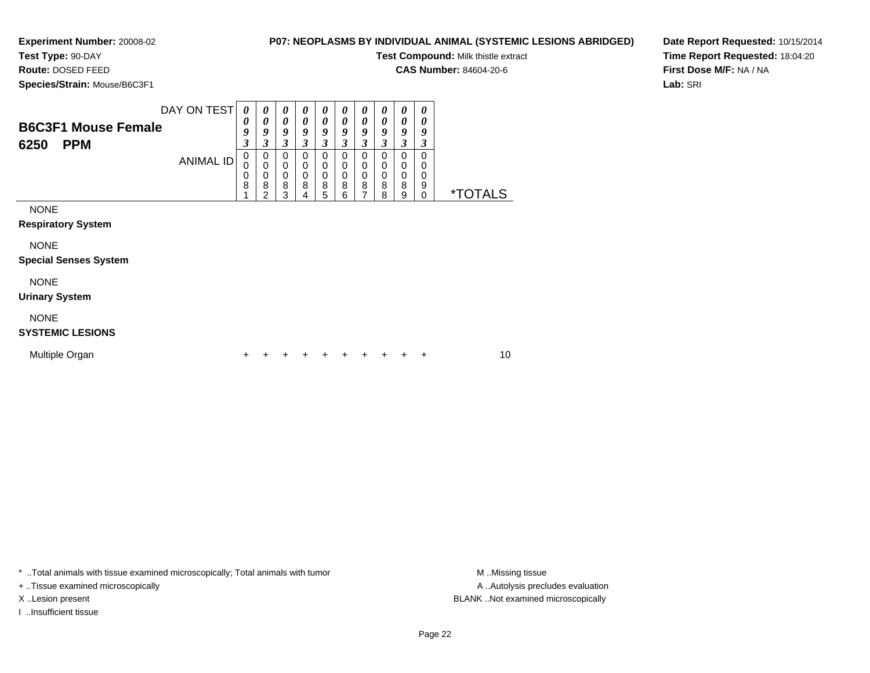**Experiment Number:** 20008-02**Test Type:** 90-DAY

# **P07: NEOPLASMS BY INDIVIDUAL ANIMAL (SYSTEMIC LESIONS ABRIDGED)**

**Test Compound:** Milk thistle extract

**CAS Number:** 84604-20-6

**Species/Strain:** Mouse/B6C3F1

**Route:** DOSED FEED

**Date Report Requested:** 10/15/2014**Time Report Requested:** 18:04:20**First Dose M/F:** NA / NA**Lab:** SRI

| <b>B6C3F1 Mouse Female</b><br><b>PPM</b><br>6250 | DAY ON TEST<br><b>ANIMAL ID</b> | 0<br>0<br>9<br>3<br>$\mathbf 0$<br>0 | 0<br>0<br>9<br>$\boldsymbol{\beta}$<br>0<br>0 | 0<br>0<br>9<br>3<br>0<br>0 | 0<br>0<br>9<br>3<br>$\Omega$<br>$\mathbf 0$ | $\boldsymbol{\theta}$<br>0<br>9<br>3<br>$\Omega$<br>0 | 0<br>0<br>9<br>3<br>$\Omega$<br>$\mathbf 0$ | 0<br>0<br>9<br>3<br>0<br>0 | 0<br>$\boldsymbol{\theta}$<br>9<br>3<br>0<br>0 | 0<br>0<br>9<br>3<br>0<br>0 | 0<br>0<br>9<br>3<br>$\Omega$<br>$\mathbf 0$ |                       |  |
|--------------------------------------------------|---------------------------------|--------------------------------------|-----------------------------------------------|----------------------------|---------------------------------------------|-------------------------------------------------------|---------------------------------------------|----------------------------|------------------------------------------------|----------------------------|---------------------------------------------|-----------------------|--|
|                                                  |                                 | 0<br>8                               | 0<br>8<br>$\mathfrak{p}$                      | 0<br>8<br>3                | 0<br>8<br>4                                 | $\mathbf 0$<br>8<br>5                                 | $\mathbf 0$<br>8<br>6                       | $\mathbf 0$<br>8<br>7      | $\mathbf 0$<br>8<br>8                          | $\mathbf 0$<br>8<br>9      | $\mathbf 0$<br>9<br>$\mathbf 0$             | <i><b>*TOTALS</b></i> |  |
| <b>NONE</b><br><b>Respiratory System</b>         |                                 |                                      |                                               |                            |                                             |                                                       |                                             |                            |                                                |                            |                                             |                       |  |
| <b>NONE</b><br><b>Special Senses System</b>      |                                 |                                      |                                               |                            |                                             |                                                       |                                             |                            |                                                |                            |                                             |                       |  |
| <b>NONE</b><br><b>Urinary System</b>             |                                 |                                      |                                               |                            |                                             |                                                       |                                             |                            |                                                |                            |                                             |                       |  |
| <b>NONE</b><br><b>SYSTEMIC LESIONS</b>           |                                 |                                      |                                               |                            |                                             |                                                       |                                             |                            |                                                |                            |                                             |                       |  |
| Multiple Organ                                   |                                 | +                                    |                                               |                            |                                             |                                                       | +                                           | ٠                          | ÷                                              |                            | ÷                                           | 10                    |  |

\* ..Total animals with tissue examined microscopically; Total animals with tumor **M** . Missing tissue M ..Missing tissue

+ ..Tissue examined microscopically

I ..Insufficient tissue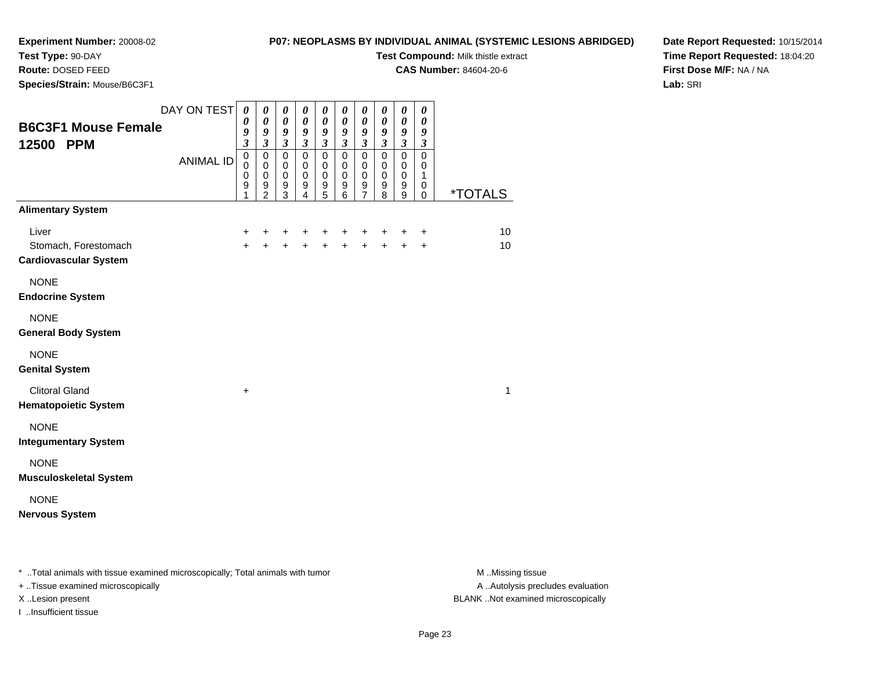**Test Type:** 90-DAY**Route:** DOSED FEED

# **P07: NEOPLASMS BY INDIVIDUAL ANIMAL (SYSTEMIC LESIONS ABRIDGED)**

**Test Compound:** Milk thistle extract

**CAS Number:** 84604-20-6

**Date Report Requested:** 10/15/2014**Time Report Requested:** 18:04:20**First Dose M/F:** NA / NA**Lab:** SRI

| Species/Strain: Mouse/B6C3F1                                  |                                 |                                                                                                          |                                                                                                                                       |                                                                                                                                      |                                                                                                                                         |                                                                                                      |                                                                                                                                  |                                                                                                     |                                                                                                                                       |                                                                                                                                                 |                                                                                                                        |                       |
|---------------------------------------------------------------|---------------------------------|----------------------------------------------------------------------------------------------------------|---------------------------------------------------------------------------------------------------------------------------------------|--------------------------------------------------------------------------------------------------------------------------------------|-----------------------------------------------------------------------------------------------------------------------------------------|------------------------------------------------------------------------------------------------------|----------------------------------------------------------------------------------------------------------------------------------|-----------------------------------------------------------------------------------------------------|---------------------------------------------------------------------------------------------------------------------------------------|-------------------------------------------------------------------------------------------------------------------------------------------------|------------------------------------------------------------------------------------------------------------------------|-----------------------|
| <b>B6C3F1 Mouse Female</b><br>12500 PPM                       | DAY ON TEST<br><b>ANIMAL ID</b> | $\boldsymbol{\theta}$<br>$\pmb{\theta}$<br>9<br>3<br>$\mathsf 0$<br>$\mathbf 0$<br>$\mathbf 0$<br>9<br>1 | $\boldsymbol{\theta}$<br>$\pmb{\theta}$<br>9<br>$\overline{\mathbf{3}}$<br>$\mathsf 0$<br>$\mathbf 0$<br>$\mathbf 0$<br>$\frac{9}{2}$ | $\boldsymbol{\theta}$<br>$\boldsymbol{\theta}$<br>$\frac{9}{3}$<br>$\overline{0}$<br>$\mathbf 0$<br>$\pmb{0}$<br>9<br>$\overline{3}$ | $\boldsymbol{\theta}$<br>$\pmb{\theta}$<br>9<br>$\overline{\mathbf{3}}$<br>$\mathbf 0$<br>$\pmb{0}$<br>$\pmb{0}$<br>9<br>$\overline{4}$ | 0<br>$\pmb{\theta}$<br>9<br>$\mathfrak{z}$<br>$\mathsf 0$<br>$\mathbf 0$<br>0<br>9<br>$\overline{5}$ | $\boldsymbol{\theta}$<br>$\pmb{\theta}$<br>9<br>$\mathfrak{z}$<br>$\mathsf 0$<br>$\pmb{0}$<br>$\pmb{0}$<br>$\boldsymbol{9}$<br>6 | 0<br>$\pmb{\theta}$<br>9<br>$\overline{\mathbf{3}}$<br>0<br>$\mathbf 0$<br>0<br>9<br>$\overline{7}$ | $\boldsymbol{\theta}$<br>$\pmb{\theta}$<br>9<br>$\boldsymbol{\mathfrak{z}}$<br>$\mathbf 0$<br>$\pmb{0}$<br>0<br>$\boldsymbol{9}$<br>8 | $\boldsymbol{\theta}$<br>$\pmb{\theta}$<br>$\pmb{9}$<br>$\mathfrak{z}$<br>$\overline{0}$<br>0<br>$\mathbf 0$<br>$\boldsymbol{9}$<br>$\mathsf g$ | 0<br>$\boldsymbol{\theta}$<br>9<br>$\mathfrak{z}$<br>$\overline{0}$<br>$\mathbf 0$<br>$\mathbf{1}$<br>0<br>$\mathbf 0$ | <i><b>*TOTALS</b></i> |
| <b>Alimentary System</b>                                      |                                 |                                                                                                          |                                                                                                                                       |                                                                                                                                      |                                                                                                                                         |                                                                                                      |                                                                                                                                  |                                                                                                     |                                                                                                                                       |                                                                                                                                                 |                                                                                                                        |                       |
| Liver<br>Stomach, Forestomach<br><b>Cardiovascular System</b> |                                 | +<br>$\ddot{+}$                                                                                          | +<br>$\ddot{+}$                                                                                                                       | +<br>$\ddot{}$                                                                                                                       | +<br>$\ddot{+}$                                                                                                                         | $\ddot{+}$                                                                                           | $\ddot{}$                                                                                                                        | $\ddot{+}$                                                                                          | $+$                                                                                                                                   | +<br>$+$                                                                                                                                        | $\ddot{}$<br>$\ddot{}$                                                                                                 | 10<br>10              |
| <b>NONE</b><br><b>Endocrine System</b>                        |                                 |                                                                                                          |                                                                                                                                       |                                                                                                                                      |                                                                                                                                         |                                                                                                      |                                                                                                                                  |                                                                                                     |                                                                                                                                       |                                                                                                                                                 |                                                                                                                        |                       |
| <b>NONE</b><br><b>General Body System</b>                     |                                 |                                                                                                          |                                                                                                                                       |                                                                                                                                      |                                                                                                                                         |                                                                                                      |                                                                                                                                  |                                                                                                     |                                                                                                                                       |                                                                                                                                                 |                                                                                                                        |                       |
| <b>NONE</b><br><b>Genital System</b>                          |                                 |                                                                                                          |                                                                                                                                       |                                                                                                                                      |                                                                                                                                         |                                                                                                      |                                                                                                                                  |                                                                                                     |                                                                                                                                       |                                                                                                                                                 |                                                                                                                        |                       |
| <b>Clitoral Gland</b><br><b>Hematopoietic System</b>          |                                 | +                                                                                                        |                                                                                                                                       |                                                                                                                                      |                                                                                                                                         |                                                                                                      |                                                                                                                                  |                                                                                                     |                                                                                                                                       |                                                                                                                                                 |                                                                                                                        | 1                     |
| <b>NONE</b><br><b>Integumentary System</b>                    |                                 |                                                                                                          |                                                                                                                                       |                                                                                                                                      |                                                                                                                                         |                                                                                                      |                                                                                                                                  |                                                                                                     |                                                                                                                                       |                                                                                                                                                 |                                                                                                                        |                       |
| <b>NONE</b><br><b>Musculoskeletal System</b>                  |                                 |                                                                                                          |                                                                                                                                       |                                                                                                                                      |                                                                                                                                         |                                                                                                      |                                                                                                                                  |                                                                                                     |                                                                                                                                       |                                                                                                                                                 |                                                                                                                        |                       |
| <b>NONE</b><br><b>Nervous System</b>                          |                                 |                                                                                                          |                                                                                                                                       |                                                                                                                                      |                                                                                                                                         |                                                                                                      |                                                                                                                                  |                                                                                                     |                                                                                                                                       |                                                                                                                                                 |                                                                                                                        |                       |

\* ..Total animals with tissue examined microscopically; Total animals with tumor **M** . Missing tissue M ..Missing tissue

+ ..Tissue examined microscopically

I ..Insufficient tissue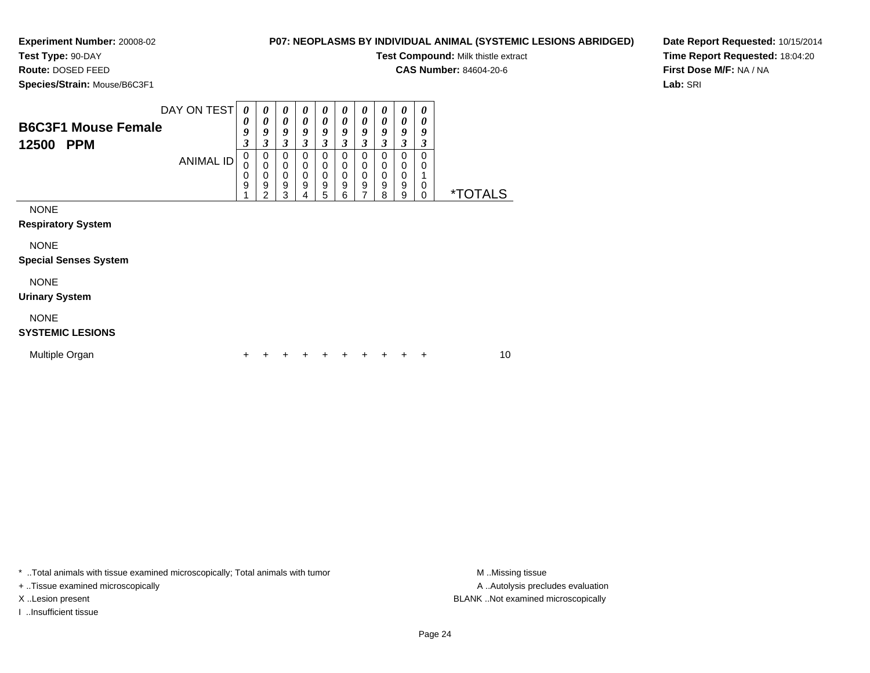**Test Type:** 90-DAY

**Route:** DOSED FEED

**Species/Strain:** Mouse/B6C3F1

**P07: NEOPLASMS BY INDIVIDUAL ANIMAL (SYSTEMIC LESIONS ABRIDGED)**

**Test Compound:** Milk thistle extract

**CAS Number:** 84604-20-6

**Date Report Requested:** 10/15/2014**Time Report Requested:** 18:04:20**First Dose M/F:** NA / NA**Lab:** SRI

|                                        | DAY ON TEST      | $\theta$         | 0                               | 0                     | $\boldsymbol{\theta}$                                | 0                     | 0                                              | 0                     | 0                     | 0                     | 0                |                       |
|----------------------------------------|------------------|------------------|---------------------------------|-----------------------|------------------------------------------------------|-----------------------|------------------------------------------------|-----------------------|-----------------------|-----------------------|------------------|-----------------------|
| <b>B6C3F1 Mouse Female</b>             |                  | 0<br>9           | 0<br>9                          | 0<br>9                | $\boldsymbol{\theta}$<br>9                           | 0<br>9                | 0<br>9                                         | 0<br>9                | 0<br>9                | 0<br>9                | 0<br>9           |                       |
| 12500<br><b>PPM</b>                    |                  | 3                | 3                               | 3                     | 3                                                    | 3                     | $\boldsymbol{\beta}$                           | 3                     | 3                     | 3                     | 3                |                       |
|                                        | <b>ANIMAL ID</b> | 0<br>0<br>0<br>9 | 0<br>$\mathbf 0$<br>0<br>9<br>2 | 0<br>0<br>0<br>9<br>3 | 0<br>$\pmb{0}$<br>$\pmb{0}$<br>$\boldsymbol{9}$<br>4 | 0<br>0<br>0<br>9<br>5 | 0<br>0<br>$\mathbf 0$<br>$\boldsymbol{9}$<br>6 | 0<br>0<br>0<br>9<br>7 | 0<br>0<br>0<br>9<br>8 | 0<br>0<br>0<br>9<br>9 | 0<br>0<br>0<br>0 | <i><b>*TOTALS</b></i> |
| <b>NONE</b>                            |                  |                  |                                 |                       |                                                      |                       |                                                |                       |                       |                       |                  |                       |
| <b>Respiratory System</b>              |                  |                  |                                 |                       |                                                      |                       |                                                |                       |                       |                       |                  |                       |
| <b>NONE</b>                            |                  |                  |                                 |                       |                                                      |                       |                                                |                       |                       |                       |                  |                       |
| <b>Special Senses System</b>           |                  |                  |                                 |                       |                                                      |                       |                                                |                       |                       |                       |                  |                       |
| <b>NONE</b>                            |                  |                  |                                 |                       |                                                      |                       |                                                |                       |                       |                       |                  |                       |
| <b>Urinary System</b>                  |                  |                  |                                 |                       |                                                      |                       |                                                |                       |                       |                       |                  |                       |
| <b>NONE</b><br><b>SYSTEMIC LESIONS</b> |                  |                  |                                 |                       |                                                      |                       |                                                |                       |                       |                       |                  |                       |

| Multiple Organ |  |  |  |  |  |  |  |  |  | + + + + + + + + + + |  | 10 |
|----------------|--|--|--|--|--|--|--|--|--|---------------------|--|----|
|----------------|--|--|--|--|--|--|--|--|--|---------------------|--|----|

\* ..Total animals with tissue examined microscopically; Total animals with tumor **M** . Missing tissue M ..Missing tissue

+ ..Tissue examined microscopically

I ..Insufficient tissue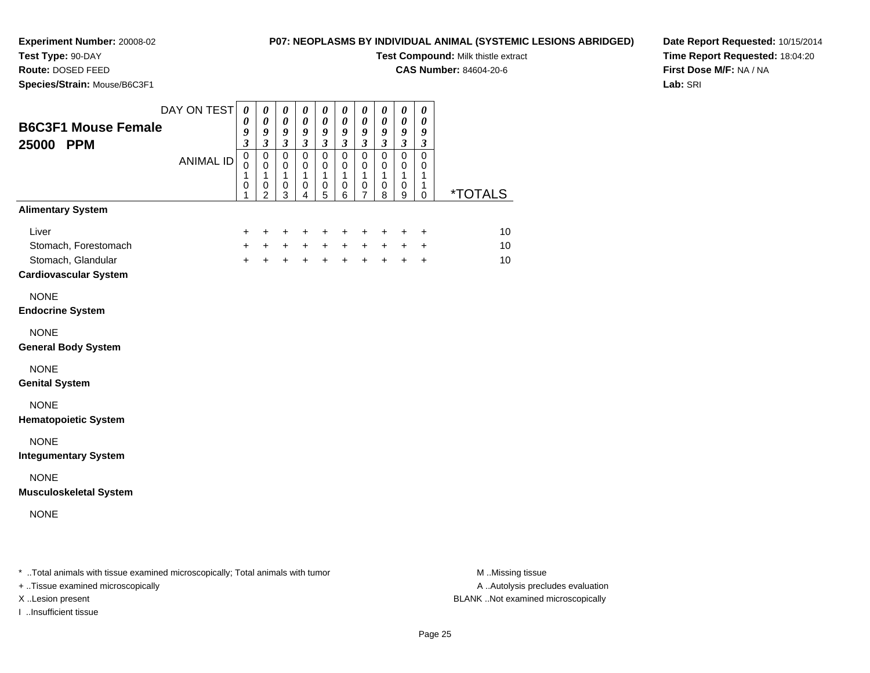**Test Type:** 90-DAY**Route:** DOSED FEED

# **P07: NEOPLASMS BY INDIVIDUAL ANIMAL (SYSTEMIC LESIONS ABRIDGED)**

**Test Compound:** Milk thistle extract

**CAS Number:** 84604-20-6

**Date Report Requested:** 10/15/2014**Time Report Requested:** 18:04:20**First Dose M/F:** NA / NA**Lab:** SRI

| Species/Strain: Mouse/B6C3F1                                                        |                                 |                                                                          |                                                                                                                |                                                                                                         |                                                                                                          |                                                                                             |                                                                                                                   |                                                                                                  |                                                                                        |                                                                                                                                          |                                                                                                              |                       |
|-------------------------------------------------------------------------------------|---------------------------------|--------------------------------------------------------------------------|----------------------------------------------------------------------------------------------------------------|---------------------------------------------------------------------------------------------------------|----------------------------------------------------------------------------------------------------------|---------------------------------------------------------------------------------------------|-------------------------------------------------------------------------------------------------------------------|--------------------------------------------------------------------------------------------------|----------------------------------------------------------------------------------------|------------------------------------------------------------------------------------------------------------------------------------------|--------------------------------------------------------------------------------------------------------------|-----------------------|
| <b>B6C3F1 Mouse Female</b><br>25000 PPM                                             | DAY ON TEST<br><b>ANIMAL ID</b> | $\boldsymbol{\theta}$<br>0<br>9<br>3<br>$\pmb{0}$<br>0<br>1<br>$\pmb{0}$ | $\pmb{\theta}$<br>$\boldsymbol{\theta}$<br>9<br>$\mathfrak{z}$<br>$\mathbf 0$<br>$\mathbf 0$<br>1<br>$\pmb{0}$ | $\pmb{\theta}$<br>$\boldsymbol{\theta}$<br>9<br>$\mathfrak{z}$<br>$\pmb{0}$<br>0<br>1<br>$\pmb{0}$<br>3 | $\pmb{\theta}$<br>$\boldsymbol{\theta}$<br>9<br>$\boldsymbol{\beta}$<br>$\pmb{0}$<br>0<br>1<br>$\pmb{0}$ | $\boldsymbol{\theta}$<br>0<br>9<br>$\boldsymbol{\beta}$<br>$\pmb{0}$<br>0<br>1<br>$\pmb{0}$ | $\pmb{\theta}$<br>$\boldsymbol{\theta}$<br>$\boldsymbol{g}$<br>$\mathfrak{z}$<br>$\pmb{0}$<br>0<br>1<br>$\pmb{0}$ | $\pmb{\theta}$<br>$\boldsymbol{\theta}$<br>9<br>$\boldsymbol{\beta}$<br>$\pmb{0}$<br>0<br>1<br>0 | $\pmb{\theta}$<br>0<br>9<br>$\boldsymbol{\beta}$<br>$\pmb{0}$<br>0<br>1<br>$\mathbf 0$ | $\boldsymbol{\theta}$<br>$\boldsymbol{\theta}$<br>$\boldsymbol{9}$<br>$\mathfrak{z}$<br>$\pmb{0}$<br>0<br>$\mathbf{1}$<br>$\pmb{0}$<br>9 | $\boldsymbol{\theta}$<br>$\boldsymbol{\theta}$<br>9<br>$\mathfrak{z}$<br>$\pmb{0}$<br>0<br>1<br>$\mathbf{1}$ | <i><b>*TOTALS</b></i> |
| <b>Alimentary System</b>                                                            |                                 | 1                                                                        | 2                                                                                                              |                                                                                                         | 4                                                                                                        | 5                                                                                           | 6                                                                                                                 | 7                                                                                                | 8                                                                                      |                                                                                                                                          | 0                                                                                                            |                       |
| Liver<br>Stomach, Forestomach<br>Stomach, Glandular<br><b>Cardiovascular System</b> |                                 | +<br>$\ddot{}$<br>$\ddot{}$                                              | +<br>$+$<br>$\ddot{}$                                                                                          | +<br>$+$<br>$\ddot{+}$                                                                                  | +<br>$+$<br>$\ddot{+}$                                                                                   | +<br>$\ddot{+}$                                                                             | +<br>$+$ $+$<br>$\ddot{+}$                                                                                        | +<br>$+$<br>$\ddot{+}$                                                                           | $+$                                                                                    | +<br>$+$ $+$<br>$+$                                                                                                                      | $\ddot{}$<br>$\ddot{}$<br>$\ddot{}$                                                                          | 10<br>10<br>10        |
| <b>NONE</b><br><b>Endocrine System</b>                                              |                                 |                                                                          |                                                                                                                |                                                                                                         |                                                                                                          |                                                                                             |                                                                                                                   |                                                                                                  |                                                                                        |                                                                                                                                          |                                                                                                              |                       |
| <b>NONE</b><br><b>General Body System</b>                                           |                                 |                                                                          |                                                                                                                |                                                                                                         |                                                                                                          |                                                                                             |                                                                                                                   |                                                                                                  |                                                                                        |                                                                                                                                          |                                                                                                              |                       |
| <b>NONE</b><br><b>Genital System</b>                                                |                                 |                                                                          |                                                                                                                |                                                                                                         |                                                                                                          |                                                                                             |                                                                                                                   |                                                                                                  |                                                                                        |                                                                                                                                          |                                                                                                              |                       |
| <b>NONE</b><br><b>Hematopoietic System</b>                                          |                                 |                                                                          |                                                                                                                |                                                                                                         |                                                                                                          |                                                                                             |                                                                                                                   |                                                                                                  |                                                                                        |                                                                                                                                          |                                                                                                              |                       |
| <b>NONE</b><br><b>Integumentary System</b>                                          |                                 |                                                                          |                                                                                                                |                                                                                                         |                                                                                                          |                                                                                             |                                                                                                                   |                                                                                                  |                                                                                        |                                                                                                                                          |                                                                                                              |                       |
| <b>NONE</b><br><b>Musculoskeletal System</b>                                        |                                 |                                                                          |                                                                                                                |                                                                                                         |                                                                                                          |                                                                                             |                                                                                                                   |                                                                                                  |                                                                                        |                                                                                                                                          |                                                                                                              |                       |
| <b>NONE</b>                                                                         |                                 |                                                                          |                                                                                                                |                                                                                                         |                                                                                                          |                                                                                             |                                                                                                                   |                                                                                                  |                                                                                        |                                                                                                                                          |                                                                                                              |                       |
| * Total animals with tissue examined microscopically; Total animals with tumor      |                                 |                                                                          |                                                                                                                |                                                                                                         |                                                                                                          |                                                                                             |                                                                                                                   |                                                                                                  |                                                                                        |                                                                                                                                          |                                                                                                              | M.Missing tissue      |

I ..Insufficient tissue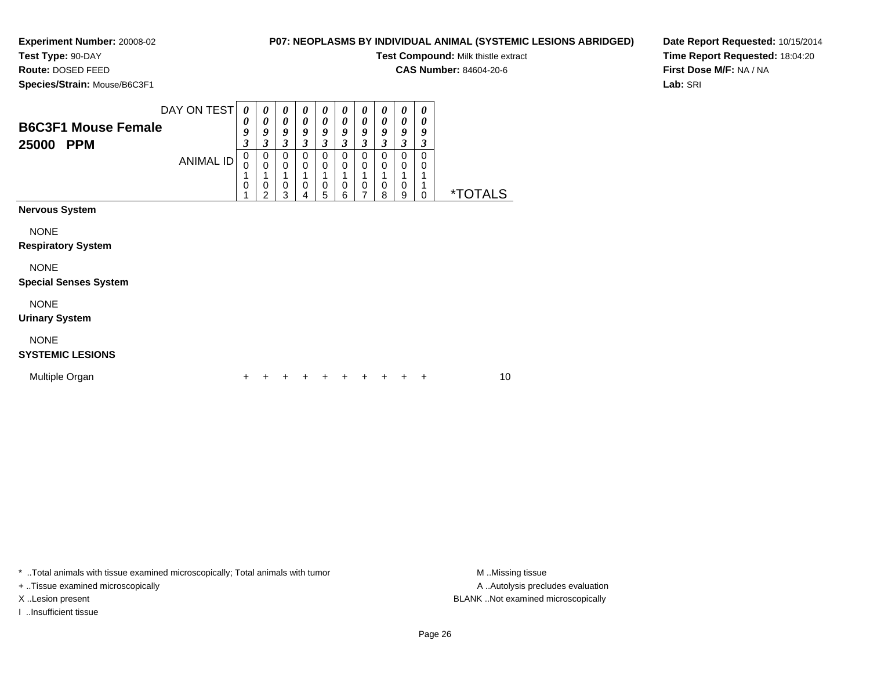**Experiment Number:** 20008-02**Test Type:** 90-DAY

## **P07: NEOPLASMS BY INDIVIDUAL ANIMAL (SYSTEMIC LESIONS ABRIDGED)**

**Test Compound:** Milk thistle extract

**CAS Number:** 84604-20-6

**Species/Strain:** Mouse/B6C3F1

**Route:** DOSED FEED

**Date Report Requested:** 10/15/2014**Time Report Requested:** 18:04:20**First Dose M/F:** NA / NA**Lab:** SRI

|                                                   | DAY ON TEST      | 0                                                              | 0                                       | 0                                      | $\boldsymbol{\theta}$                              | $\boldsymbol{\theta}$ | 0                                                  | $\boldsymbol{\theta}$          | $\boldsymbol{\theta}$                              | 0                       | $\boldsymbol{\theta}$                |                       |    |
|---------------------------------------------------|------------------|----------------------------------------------------------------|-----------------------------------------|----------------------------------------|----------------------------------------------------|-----------------------|----------------------------------------------------|--------------------------------|----------------------------------------------------|-------------------------|--------------------------------------|-----------------------|----|
| <b>B6C3F1 Mouse Female</b><br>25000<br><b>PPM</b> |                  | 0<br>9<br>$\mathfrak{z}$                                       | 0<br>9<br>3                             | 0<br>9<br>$\boldsymbol{\beta}$         | $\boldsymbol{\theta}$<br>9<br>$\boldsymbol{\beta}$ | 0<br>9<br>3           | $\boldsymbol{\theta}$<br>9<br>$\boldsymbol{\beta}$ | 0<br>9<br>$\boldsymbol{\beta}$ | $\boldsymbol{\theta}$<br>9<br>$\boldsymbol{\beta}$ | 0<br>9<br>3             | 0<br>9<br>3                          |                       |    |
|                                                   | <b>ANIMAL ID</b> | $\pmb{0}$<br>$\mathbf 0$<br>1<br>$\mathbf 0$<br>$\overline{A}$ | 0<br>$\mathbf 0$<br>0<br>$\overline{2}$ | $\Omega$<br>0<br>1<br>$\mathbf 0$<br>3 | $\Omega$<br>0<br>1<br>0<br>4                       | 0<br>0<br>1<br>0<br>5 | 0<br>$\mathbf 0$<br>1<br>$\mathbf 0$<br>6          | $\mathbf 0$<br>0<br>0<br>7     | 0<br>$\mathbf 0$<br>1<br>$\mathbf 0$<br>8          | $\Omega$<br>0<br>0<br>9 | $\mathbf 0$<br>0<br>1<br>$\mathbf 0$ | <i><b>*TOTALS</b></i> |    |
| <b>Nervous System</b>                             |                  |                                                                |                                         |                                        |                                                    |                       |                                                    |                                |                                                    |                         |                                      |                       |    |
| <b>NONE</b><br><b>Respiratory System</b>          |                  |                                                                |                                         |                                        |                                                    |                       |                                                    |                                |                                                    |                         |                                      |                       |    |
| <b>NONE</b><br><b>Special Senses System</b>       |                  |                                                                |                                         |                                        |                                                    |                       |                                                    |                                |                                                    |                         |                                      |                       |    |
| <b>NONE</b><br><b>Urinary System</b>              |                  |                                                                |                                         |                                        |                                                    |                       |                                                    |                                |                                                    |                         |                                      |                       |    |
| <b>NONE</b><br><b>SYSTEMIC LESIONS</b>            |                  |                                                                |                                         |                                        |                                                    |                       |                                                    |                                |                                                    |                         |                                      |                       |    |
| Multiple Organ                                    |                  | ÷                                                              |                                         |                                        | ٠                                                  | ÷                     | ٠                                                  |                                | ٠                                                  |                         | ÷                                    |                       | 10 |

\* ..Total animals with tissue examined microscopically; Total animals with tumor **M** . Missing tissue M ..Missing tissue

+ ..Tissue examined microscopically

I ..Insufficient tissue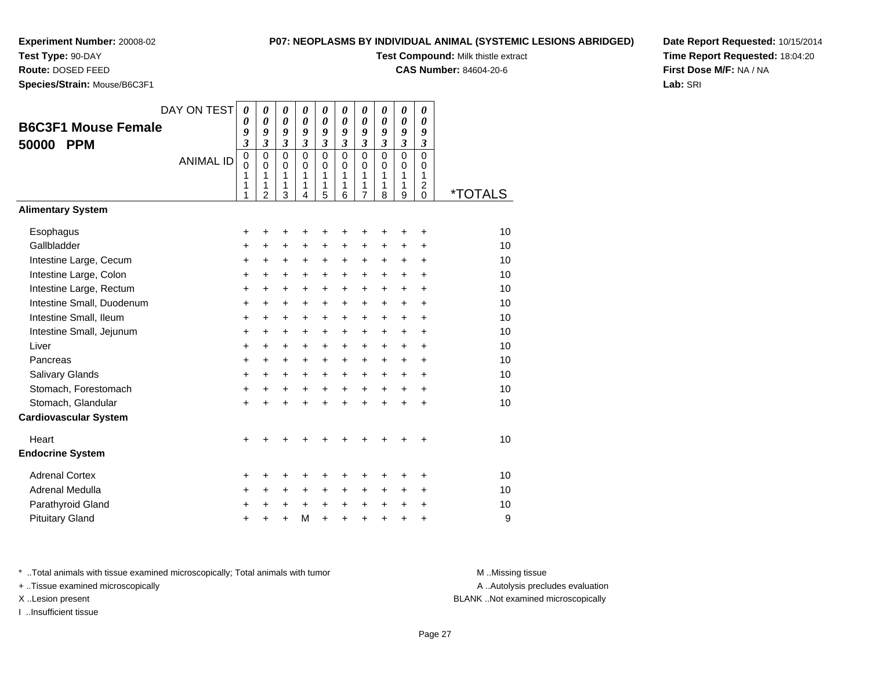### **Test Type:** 90-DAY

**Route:** DOSED FEED

**Species/Strain:** Mouse/B6C3F1

#### **P07: NEOPLASMS BY INDIVIDUAL ANIMAL (SYSTEMIC LESIONS ABRIDGED)**

**Test Compound:** Milk thistle extract

**CAS Number:** 84604-20-6

**Date Report Requested:** 10/15/2014**Time Report Requested:** 18:04:20**First Dose M/F:** NA / NA**Lab:** SRI

|                              | DAY ON TEST      | 0                       | 0                          | 0                          | 0                                         | 0                          | 0                          | 0                          | 0                          | 0                          | 0                          |                       |
|------------------------------|------------------|-------------------------|----------------------------|----------------------------|-------------------------------------------|----------------------------|----------------------------|----------------------------|----------------------------|----------------------------|----------------------------|-----------------------|
| <b>B6C3F1 Mouse Female</b>   |                  | 0<br>9                  | $\boldsymbol{\theta}$<br>9 | $\boldsymbol{\theta}$<br>9 | $\boldsymbol{\theta}$<br>$\boldsymbol{g}$ | $\boldsymbol{\theta}$<br>9 | $\boldsymbol{\theta}$<br>9 | $\boldsymbol{\theta}$<br>9 | $\boldsymbol{\theta}$<br>9 | $\boldsymbol{\theta}$<br>9 | $\boldsymbol{\theta}$<br>9 |                       |
| <b>PPM</b><br>50000          |                  | $\overline{\mathbf{3}}$ | $\mathfrak{z}$             | $\mathfrak{z}$             | $\mathfrak{z}$                            | $\mathfrak{z}$             | $\mathfrak{z}$             | $\mathfrak{z}$             | $\overline{\mathbf{3}}$    | $\overline{\mathbf{3}}$    | $\mathfrak{z}$             |                       |
|                              | <b>ANIMAL ID</b> | $\pmb{0}$               | $\mathbf 0$                | $\mathbf 0$                | $\mathbf 0$                               | $\mathbf 0$                | $\mathbf 0$                | $\mathbf 0$                | $\mathbf 0$                | $\mathbf 0$                | $\mathbf 0$                |                       |
|                              |                  | $\mathbf 0$<br>1        | $\mathbf 0$<br>1           | $\mathbf 0$<br>1           | $\mathbf 0$<br>1                          | 0<br>1                     | $\Omega$<br>1              | $\mathbf 0$<br>1           | $\mathbf 0$<br>1           | $\mathbf 0$<br>1           | 0<br>1                     |                       |
|                              |                  | 1                       | 1                          | 1                          | $\mathbf{1}$                              | 1                          | 1                          | 1                          | 1                          | 1                          | 2                          |                       |
|                              |                  | 1                       | $\overline{2}$             | 3                          | $\overline{4}$                            | 5                          | 6                          | $\overline{7}$             | 8                          | 9                          | $\Omega$                   | <i><b>*TOTALS</b></i> |
| <b>Alimentary System</b>     |                  |                         |                            |                            |                                           |                            |                            |                            |                            |                            |                            |                       |
| Esophagus                    |                  | +                       | +                          | +                          | ٠                                         | ٠                          | +                          | +                          | +                          | +                          | +                          | 10                    |
| Gallbladder                  |                  | +                       | $\ddot{}$                  | $\ddot{}$                  | $\ddot{}$                                 | $\ddot{}$                  | $\ddot{}$                  | $\ddot{}$                  | $\ddot{}$                  | $\ddot{}$                  | +                          | 10                    |
| Intestine Large, Cecum       |                  | $\ddot{}$               | $\ddot{}$                  | $\ddot{}$                  | $\ddot{}$                                 | $\ddot{}$                  | $\ddot{}$                  | $\ddot{}$                  | $\ddot{}$                  | $\ddot{}$                  | $\ddot{}$                  | 10                    |
| Intestine Large, Colon       |                  | +                       | $\ddot{}$                  | $\ddot{}$                  | $\ddot{}$                                 | $\ddot{}$                  | $\ddot{}$                  | $\ddot{}$                  | $\ddot{}$                  | $\ddot{}$                  | $\ddot{}$                  | 10                    |
| Intestine Large, Rectum      |                  | +                       | +                          | $\ddot{}$                  | +                                         | +                          | +                          | +                          | +                          | +                          | $\ddot{}$                  | 10                    |
| Intestine Small, Duodenum    |                  | $\ddot{}$               | $\ddot{}$                  | $\ddot{}$                  | $+$                                       | $+$                        | $\ddot{}$                  | $\ddot{}$                  | $\ddot{}$                  | $+$                        | $\ddot{}$                  | 10                    |
| Intestine Small, Ileum       |                  | +                       | $\ddot{}$                  | $\ddot{}$                  | $\ddot{}$                                 | $\ddot{}$                  | $\ddot{}$                  | $\ddot{}$                  | $\ddot{}$                  | $\ddot{}$                  | $\ddot{}$                  | 10                    |
| Intestine Small, Jejunum     |                  | $\ddot{}$               | $\ddot{}$                  | $\ddot{}$                  | $\ddot{}$                                 | $\ddot{}$                  | $\ddot{}$                  | $\ddot{}$                  | $\ddot{}$                  | $\ddot{}$                  | $\ddot{}$                  | 10                    |
| Liver                        |                  | +                       | $\ddot{}$                  | $\ddot{}$                  | +                                         | +                          | +                          | +                          | $\ddot{}$                  | +                          | +                          | 10                    |
| Pancreas                     |                  | $\ddot{}$               | $\ddot{}$                  | $\ddot{}$                  | $\ddot{}$                                 | $\ddot{}$                  | $\ddot{}$                  | $\ddot{}$                  | $\ddot{}$                  | $\ddot{}$                  | $\ddot{}$                  | 10                    |
| Salivary Glands              |                  | $\ddot{}$               | $+$                        | $\ddot{}$                  | $+$                                       | $+$                        | $\ddot{}$                  | $+$                        | $+$                        | $+$                        | $\ddot{}$                  | 10                    |
| Stomach, Forestomach         |                  | +                       | $\ddot{}$                  | $\ddot{}$                  | $\ddot{}$                                 | $\ddot{}$                  | $\ddot{}$                  | $\ddot{}$                  | $+$                        | $\ddot{}$                  | $\ddot{}$                  | 10                    |
| Stomach, Glandular           |                  | $\ddot{}$               |                            | $\ddot{}$                  | $\ddot{}$                                 | $\ddot{}$                  | $\ddot{}$                  | $\ddot{}$                  | $\ddot{}$                  | $\ddot{}$                  | $\ddot{}$                  | 10                    |
| <b>Cardiovascular System</b> |                  |                         |                            |                            |                                           |                            |                            |                            |                            |                            |                            |                       |
| Heart                        |                  | $\ddot{}$               |                            |                            |                                           |                            |                            |                            |                            |                            | +                          | 10                    |
| <b>Endocrine System</b>      |                  |                         |                            |                            |                                           |                            |                            |                            |                            |                            |                            |                       |
| <b>Adrenal Cortex</b>        |                  | +                       | +                          | +                          | +                                         | ٠                          | +                          | ٠                          | ٠                          | ٠                          | +                          | 10                    |
| Adrenal Medulla              |                  | +                       | $\ddot{}$                  | +                          | $\ddot{}$                                 | +                          | +                          | +                          | $\ddot{}$                  | $\ddot{}$                  | $\ddot{}$                  | 10                    |
| Parathyroid Gland            |                  | +                       | $\ddot{}$                  | $\ddot{}$                  | $+$                                       | $\ddot{}$                  | $\ddot{}$                  | $\ddot{}$                  | $+$                        | $\ddot{}$                  | $\ddot{}$                  | 10                    |
| <b>Pituitary Gland</b>       |                  | +                       |                            |                            | M                                         | $\ddot{}$                  | $\ddot{}$                  | +                          | ÷                          | $\ddot{}$                  | +                          | 9                     |
|                              |                  |                         |                            |                            |                                           |                            |                            |                            |                            |                            |                            |                       |

\* ..Total animals with tissue examined microscopically; Total animals with tumor **M** . Missing tissue M ..Missing tissue

+ ..Tissue examined microscopically

I ..Insufficient tissue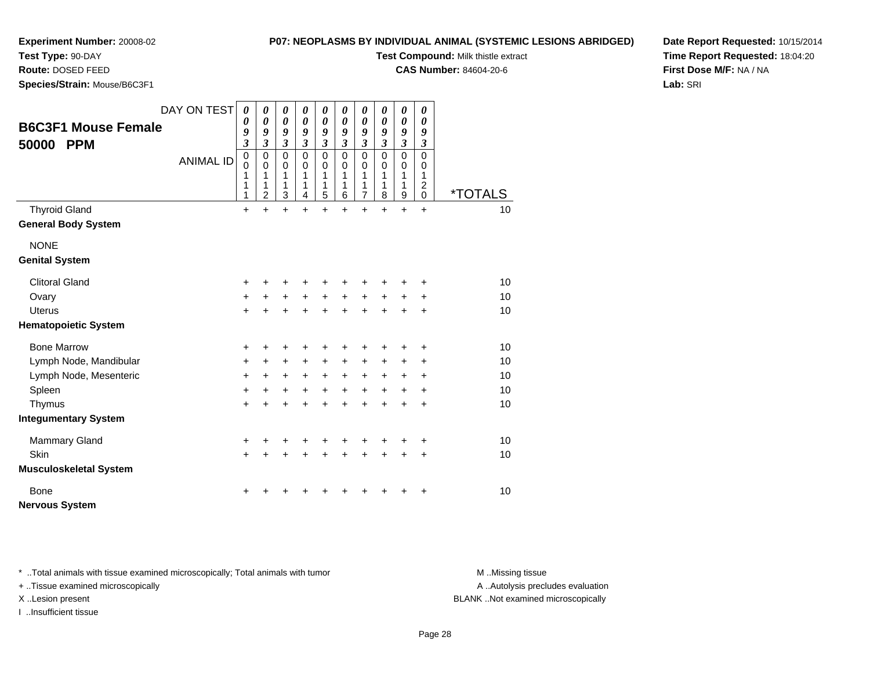# **Test Type:** 90-DAY

**Route:** DOSED FEED

**Species/Strain:** Mouse/B6C3F1

## **P07: NEOPLASMS BY INDIVIDUAL ANIMAL (SYSTEMIC LESIONS ABRIDGED)**

**Test Compound:** Milk thistle extract

**CAS Number:** 84604-20-6

**Date Report Requested:** 10/15/2014**Time Report Requested:** 18:04:20**First Dose M/F:** NA / NA**Lab:** SRI

|                               | DAY ON TEST      | $\boldsymbol{\theta}$           | 0                          | $\boldsymbol{\theta}$      | 0                                         | 0                          | 0                          | $\pmb{\theta}$              | 0                | $\pmb{\theta}$             | 0                          |                       |
|-------------------------------|------------------|---------------------------------|----------------------------|----------------------------|-------------------------------------------|----------------------------|----------------------------|-----------------------------|------------------|----------------------------|----------------------------|-----------------------|
| <b>B6C3F1 Mouse Female</b>    |                  | 0<br>9                          | 0<br>9                     | 0<br>9                     | $\boldsymbol{\theta}$<br>$\boldsymbol{g}$ | 0<br>9                     | 0<br>9                     | 0<br>9                      | 0<br>9           | $\boldsymbol{\theta}$<br>9 | $\boldsymbol{\theta}$<br>9 |                       |
| 50000<br><b>PPM</b>           |                  | $\overline{\mathbf{3}}$         | $\overline{\mathbf{3}}$    | $\mathfrak{z}$             | $\mathfrak{z}$                            | $\mathfrak{z}$             | $\mathfrak{z}$             | $\boldsymbol{\mathfrak{z}}$ | $\mathfrak{z}$   | $\mathfrak{z}$             | $\boldsymbol{\beta}$       |                       |
|                               | <b>ANIMAL ID</b> | $\boldsymbol{0}$<br>$\mathbf 0$ | $\mathbf 0$<br>$\mathbf 0$ | $\mathbf 0$<br>$\mathbf 0$ | $\mathbf 0$<br>$\Omega$                   | $\mathbf 0$<br>$\mathbf 0$ | $\mathbf 0$<br>$\mathbf 0$ | $\mathbf 0$<br>0            | $\mathbf 0$<br>0 | $\mathbf 0$<br>0           | $\mathbf 0$<br>0           |                       |
|                               |                  | 1                               | 1                          | 1                          | 1                                         | 1                          | 1                          | 1                           | 1                | 1                          | 1                          |                       |
|                               |                  | 1<br>1                          | 1<br>$\overline{2}$        | 1<br>3                     | 1<br>4                                    | 1<br>5                     | 1<br>6                     | 1<br>$\overline{7}$         | 1<br>8           | 1<br>9                     | 2<br>$\mathbf 0$           | <i><b>*TOTALS</b></i> |
| <b>Thyroid Gland</b>          |                  | $\ddot{}$                       | $\ddot{}$                  | $\ddot{}$                  | $\ddot{}$                                 | $\ddot{}$                  | $\ddot{}$                  | $+$                         | $\ddot{}$        | $\ddot{}$                  | $\ddot{}$                  | 10                    |
| <b>General Body System</b>    |                  |                                 |                            |                            |                                           |                            |                            |                             |                  |                            |                            |                       |
| <b>NONE</b>                   |                  |                                 |                            |                            |                                           |                            |                            |                             |                  |                            |                            |                       |
| <b>Genital System</b>         |                  |                                 |                            |                            |                                           |                            |                            |                             |                  |                            |                            |                       |
| <b>Clitoral Gland</b>         |                  | +                               |                            | +                          | +                                         | +                          |                            |                             |                  |                            | +                          | 10                    |
| Ovary                         |                  | $\ddot{}$                       | $\ddot{}$                  | $\ddot{}$                  | $\ddot{}$                                 | $\ddot{}$                  | $\ddot{}$                  | $\ddot{}$                   | $\ddot{}$        | +                          | +                          | 10                    |
| <b>Uterus</b>                 |                  | $\ddot{}$                       | ÷                          | $\ddot{}$                  | $\ddot{}$                                 | $\ddot{}$                  | $\ddot{}$                  | $+$                         | $\ddot{}$        | +                          | $\ddot{}$                  | 10                    |
| <b>Hematopoietic System</b>   |                  |                                 |                            |                            |                                           |                            |                            |                             |                  |                            |                            |                       |
| <b>Bone Marrow</b>            |                  | +                               | +                          | +                          | +                                         | +                          |                            | +                           |                  | +                          | +                          | 10                    |
| Lymph Node, Mandibular        |                  | $\ddot{}$                       | +                          | +                          | +                                         | +                          | +                          | $\ddot{}$                   | +                | +                          | +                          | 10                    |
| Lymph Node, Mesenteric        |                  | $\ddot{}$                       | $\ddot{}$                  | $\ddot{}$                  | $\ddot{}$                                 | $\ddot{}$                  | $\ddot{}$                  | $\ddot{}$                   | $\ddot{}$        | $\ddot{}$                  | +                          | 10                    |
| Spleen                        |                  | +                               | +                          | +                          | $\ddot{}$                                 | $\ddot{}$                  | $+$                        | $\ddot{}$                   | $\ddot{}$        | $\ddot{}$                  | +                          | 10                    |
| Thymus                        |                  | +                               | +                          | $\ddot{}$                  | $\ddot{}$                                 | $\ddot{}$                  | $\ddot{}$                  | $\ddot{}$                   | +                | +                          | $\ddot{}$                  | 10                    |
| <b>Integumentary System</b>   |                  |                                 |                            |                            |                                           |                            |                            |                             |                  |                            |                            |                       |
| <b>Mammary Gland</b>          |                  | $\ddot{}$                       | ٠                          | +                          | +                                         | +                          |                            | ٠                           |                  |                            | +                          | 10                    |
| <b>Skin</b>                   |                  | $+$                             | $+$                        | $\ddot{}$                  | $\ddot{}$                                 | $\ddot{}$                  | $\ddot{}$                  | $+$                         | $\ddot{}$        | $\ddot{}$                  | $\ddot{}$                  | 10                    |
| <b>Musculoskeletal System</b> |                  |                                 |                            |                            |                                           |                            |                            |                             |                  |                            |                            |                       |
| <b>Bone</b>                   |                  |                                 |                            |                            |                                           |                            |                            |                             |                  |                            | +                          | 10                    |
| <b>Nervous System</b>         |                  |                                 |                            |                            |                                           |                            |                            |                             |                  |                            |                            |                       |

\* ..Total animals with tissue examined microscopically; Total animals with tumor **M** . Missing tissue M ..Missing tissue

+ ..Tissue examined microscopically

I ..Insufficient tissue

A ..Autolysis precludes evaluation

X ..Lesion present BLANK ..Not examined microscopically